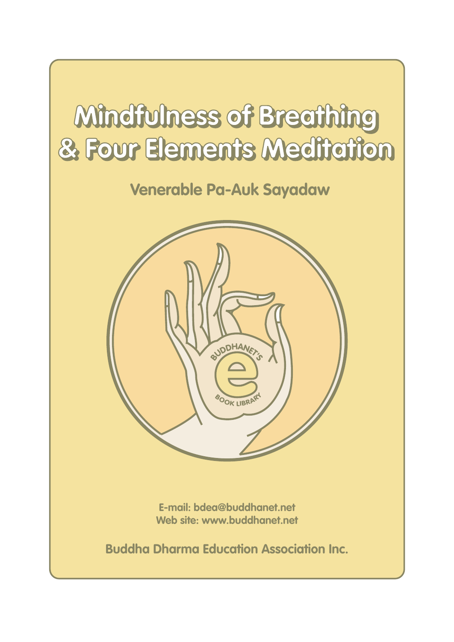# **Mindfulness of Breathing Mindfulness of Breathing & Four Elements Meditation & Four Elements Meditation**

**Venerable Pa-Auk Sayadaw**



**E-mail: bdea@buddhanet.net Web site: www.buddhanet.net**

**Buddha Dharma Education Association Inc.**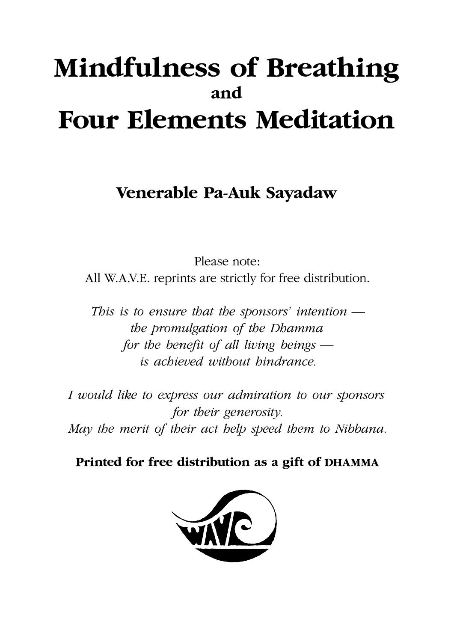# **Mindfulness of Breathing and Four Elements Meditation**

### **Venerable Pa-Auk Sayadaw**

Please note: All W.A.V.E. reprints are strictly for free distribution.

*This is to ensure that the sponsors' intention the promulgation of the Dhamma for the benefit of all living beings is achieved without hindrance.*

*I would like to express our admiration to our sponsors for their generosity. May the merit of their act help speed them to Nibbana.*

#### **Printed for free distribution as a gift of DHAMMA**

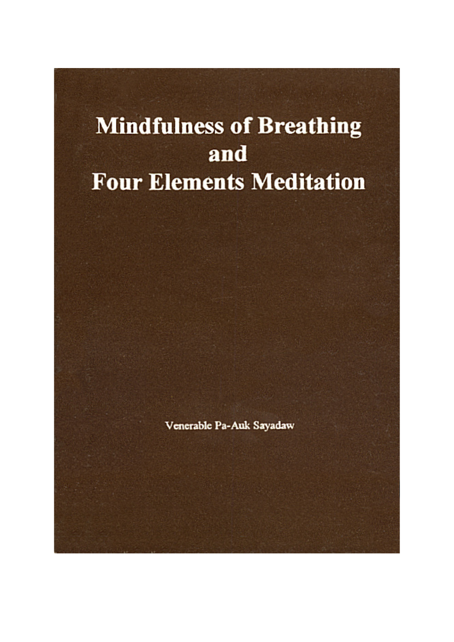## **Mindfulness of Breathing** and **Four Elements Meditation**

Venerable Pa-Auk Sayadaw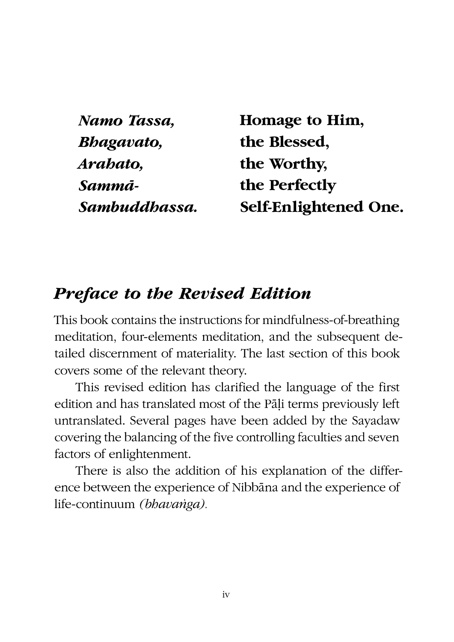<span id="page-3-0"></span>

| Namo Tassa,       |  |
|-------------------|--|
| <b>Bhagavato,</b> |  |
| Arabato,          |  |
| Sammā-            |  |
| Sambuddhassa.     |  |

*Namo Tassa,* **Homage to Him,** *Bhagavato,* **the Blessed,** *Arahato,* **the Worthy,** the Perfectly *Sambuddhassa.* **Self-Enlightened One.**

#### *Preface to the Revised Edition*

This book contains the instructions for mindfulness-of-breathing meditation, four-elements meditation, and the subsequent detailed discernment of materiality. The last section of this book covers some of the relevant theory.

This revised edition has clarified the language of the first<br>edition and has translated most of the Pāḷi terms previously left<br>untranslated. Several pages have been added by the Sayadaw<br>covering the balancing of the five c

There is also the addition of his explanation of the difference between the experience of Nibbāna and the experience of life-continuum *(bhavanga)*.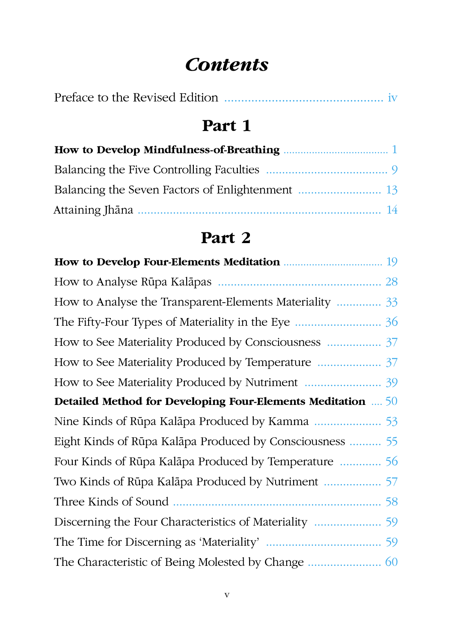### *Contents*

|--|--|

### **[Part 1](#page-6-0)**

### **[Part 2](#page-24-0)**

| How to Analyse the Transparent-Elements Materiality  33           |
|-------------------------------------------------------------------|
|                                                                   |
|                                                                   |
|                                                                   |
|                                                                   |
| <b>Detailed Method for Developing Four-Elements Meditation</b> 50 |
|                                                                   |
| Eight Kinds of Rūpa Kalāpa Produced by Consciousness  55          |
|                                                                   |
|                                                                   |
|                                                                   |
|                                                                   |
|                                                                   |
|                                                                   |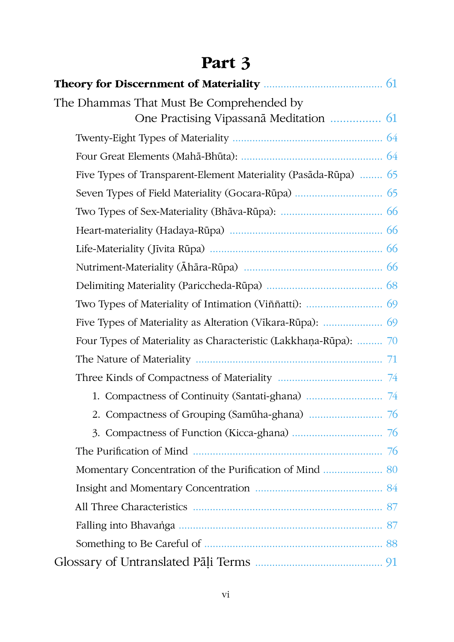### **[Part 3](#page-66-0)**

| The Dhammas That Must Be Comprehended by                         |  |
|------------------------------------------------------------------|--|
|                                                                  |  |
|                                                                  |  |
| Five Types of Transparent-Element Materiality (Pasada-Rūpa)  65  |  |
|                                                                  |  |
|                                                                  |  |
|                                                                  |  |
|                                                                  |  |
|                                                                  |  |
|                                                                  |  |
|                                                                  |  |
|                                                                  |  |
| Four Types of Materiality as Characteristic (Lakkhana-Rūpa):  70 |  |
|                                                                  |  |
|                                                                  |  |
|                                                                  |  |
|                                                                  |  |
|                                                                  |  |
|                                                                  |  |
|                                                                  |  |
|                                                                  |  |
|                                                                  |  |
|                                                                  |  |
|                                                                  |  |
|                                                                  |  |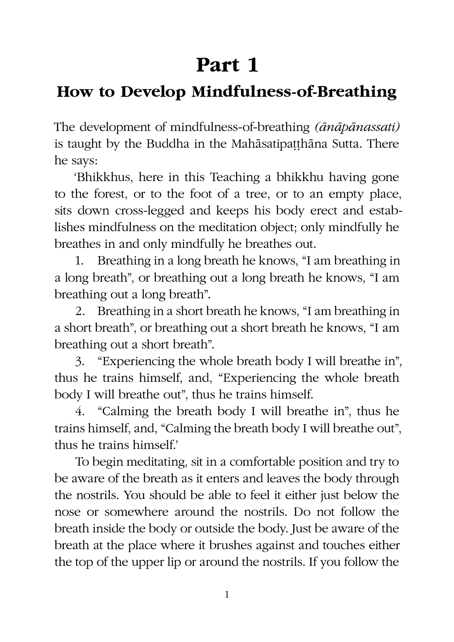### **Part 1**

### <span id="page-6-0"></span>**How to Develop Mindfulness-of-Breathing**

The development of mindfulness-of-breathing *(ànàpànassati)* is taught by the Buddha in the Mahāsatipaṭṭhāna Sutta. There he says:

'Bhikkhus, here in this Teaching a bhikkhu having gone to the forest, or to the foot of a tree, or to an empty place, sits down cross-legged and keeps his body erect and establishes mindfulness on the meditation object; only mindfully he breathes in and only mindfully he breathes out.

1. Breathing in a long breath he knows, "I am breathing in a long breath", or breathing out a long breath he knows, "I am breathing out a long breath".

2. Breathing in a short breath he knows, "I am breathing in a short breath", or breathing out a short breath he knows, "I am breathing out a short breath".

3. "Experiencing the whole breath body I will breathe in", thus he trains himself, and, "Experiencing the whole breath body I will breathe out", thus he trains himself.

4. "Calming the breath body I will breathe in", thus he trains himself, and, "Calming the breath body I will breathe out", thus he trains himself.'

To begin meditating, sit in a comfortable position and try to<br>be aware of the breath as it enters and leaves the body through<br>the nostrils. You should be able to feel it either just below the<br>nose or somewhere around the n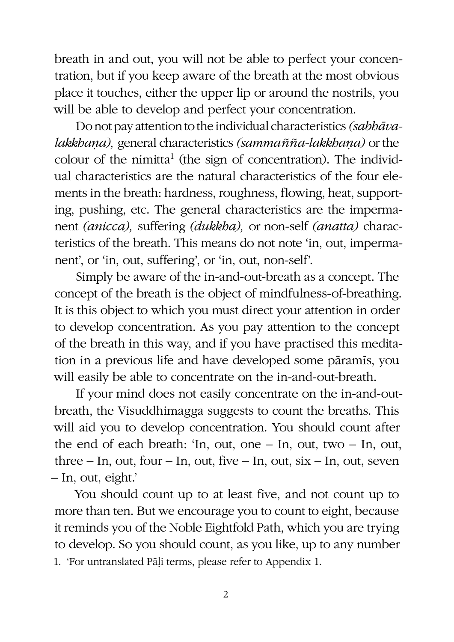breath in and out, you will not be able to perfect your concentration, but if you keep aware of the breath at the most obvious place it touches, either the upper lip or around the nostrils, you will be able to develop and perfect your concentration.

Do not pay attention to the individual characteristics *(sabhàva lakkhaṇa*), general characteristics *(sammañña-lakkhaṇa)* or the colour of the nimitta<sup>1</sup> (the sign of concentration). The individual characteristics are the natural characteristics of the four elements in the breath: hardness, roughness, flowing, heat, supporting, pushing, etc. The general characteristics are the impermanent *(anicca),* suffering *(dukkha),* or non-self *(anatta)* charac teristics of the breath. This means do not note 'in, out, impermanent', or 'in, out, suffering', or 'in, out, non-self'.

Simply be aware of the in-and-out-breath as a concept. The concept of the breath is the object of mindfulness-of-breathing. It is this object to which you must direct your attention in order to develop concentration. As yo tion in a previous life and have developed some pàramãs, you will easily be able to concentrate on the in-and-out-breath.

If your mind does not easily concentrate on the in-and-outbreath, the Visuddhimagga suggests to count the breaths. This<br>will aid you to develop concentration. You should count after<br>the end of each breath: 'In, out, one – In, out, two – In, out,<br>three – In, out, four – In, out,

You should count up to at least five, and not count up to<br>more than ten. But we encourage you to count to eight, because<br>it reminds you of the Noble Eightfold Path, which you are trying<br>to develop. So you should count, as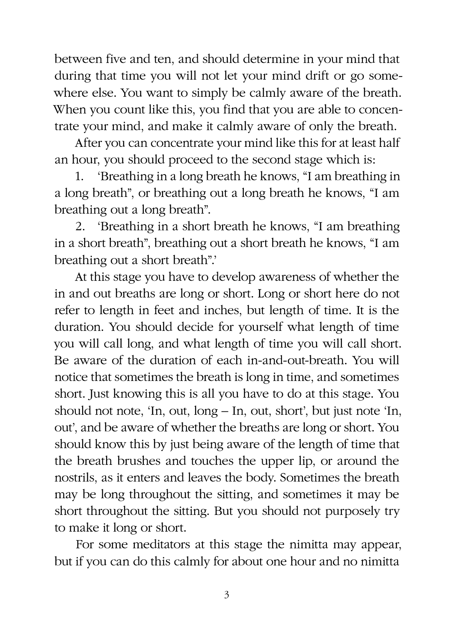between five and ten, and should determine in your mind that during that time you will not let your mind drift or go somewhere else. You want to simply be calmly aware of the breath. When you count like this, you find that you are able to concentrate your mind, and make it calmly aware of only the breath.

After you can concentrate your mind like this for at least half an hour, you should proceed to the second stage which is:

1. 'Breathing in a long breath he knows, "I am breathing in a long breath", or breathing out a long breath he knows, "I am breathing out a long breath".

2. 'Breathing in a short breath he knows, "I am breathing in a short breath", breathing out a short breath he knows, "I am breathing out a short breath".'

At this stage you have to develop awareness of whether the<br>in and out breaths are long or short. Long or short here do not<br>refer to length in feet and inches, but length of time. It is the<br>duration. You should decide for y

For some meditators at this stage the nimitta may appear, but if you can do this calmly for about one hour and no nimitta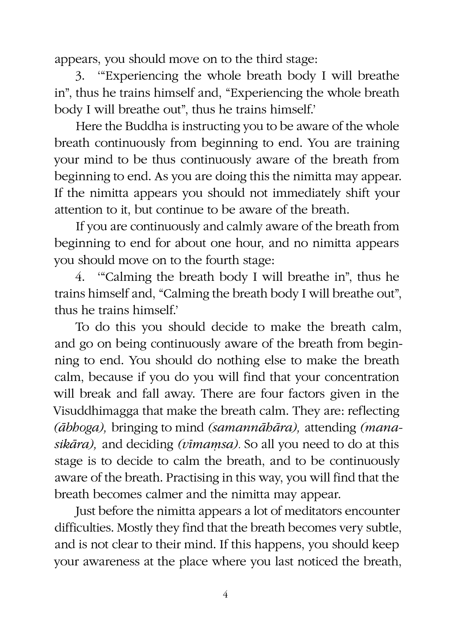appears, you should move on to the third stage:

3. '"Experiencing the whole breath body I will breathe in", thus he trains himself and, "Experiencing the whole breath body I will breathe out", thus he trains himself.'

Here the Buddha is instructing you to be aware of the whole<br>breath continuously from beginning to end. You are training<br>your mind to be thus continuously aware of the breath from<br>beginning to end. As you are doing this the

If you are continuously and calmly aware of the breath from beginning to end for about one hour, and no nimitta appears you should move on to the fourth stage:

4. '"Calming the breath body I will breathe in", thus he trains himself and, "Calming the breath body I will breathe out", thus he trains himself.'

To do this you should decide to make the breath calm, and go on being continuously aware of the breath from beginning to end. You should do nothing else to make the breath calm, because if you do you will find that your concentration will break and fall away. There are four factors given in the Visuddhimagga that make the breath calm *(àbhoga),* bringing to mind *(samannàhàra),* attending *(mana* sikāra), and deciding (vīmamsa). So all you need to do at this stage is to decide to calm the breath, and to be continuously aware of the breath. Practising in this way, you will find that the breath becomes calmer and the

Just before the nimitta appears a lot of meditators encounter<br>difficulties. Mostly they find that the breath becomes very subtle,<br>and is not clear to their mind. If this happens, you should keep<br>your awareness at the place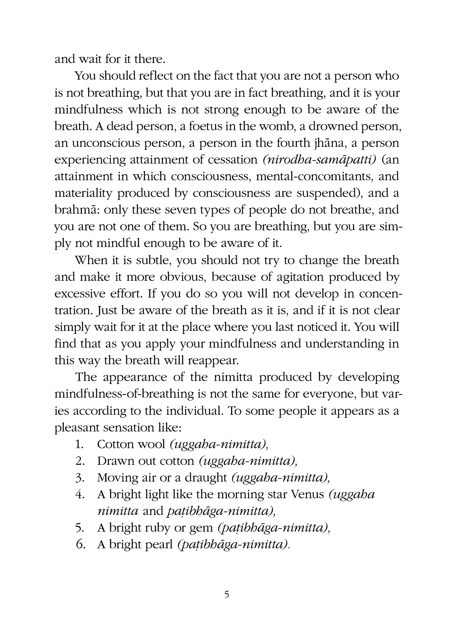and wait for it there.

You should reflect on the fact that you are not a person who<br>is not breathing, but that you are in fact breathing, and it is your<br>mindfulness which is not strong enough to be aware of the<br>breath. A dead person, a foetus in ply not mindful enough to be aware of it.

When it is subtle, you should not try to change the breath and make it more obvious, because of agitation produced by excessive effort. If you do so you will not develop in concentration. Just be aware of the breath as it is, and if it is not clear<br>simply wait for it at the place where you last noticed it. You will<br>find that as you apply your mindfulness and understanding in<br>this way the breath wil

The appearance of the nimitta produced by developing mindfulness-of-breathing is not the same for everyone, but varies according to the individual. To some people it appears as a pleasant sensation like:

- 1. Cotton wool *(uggaha-nimitta),*
- 2. Drawn out cotton *(uggaha-nimitta),*
- 3. Moving air or a draught *(uggaha-nimitta),*
- 4. A bright light like the morning star Venus *(uggaha*  $n$ *imitta* and *pațibhāga-nimitta*),
- 5. A bright ruby or gem *(pañibhàga-nimitta),*
- 6. A bright pearl *(pañibhàga-nimitta).*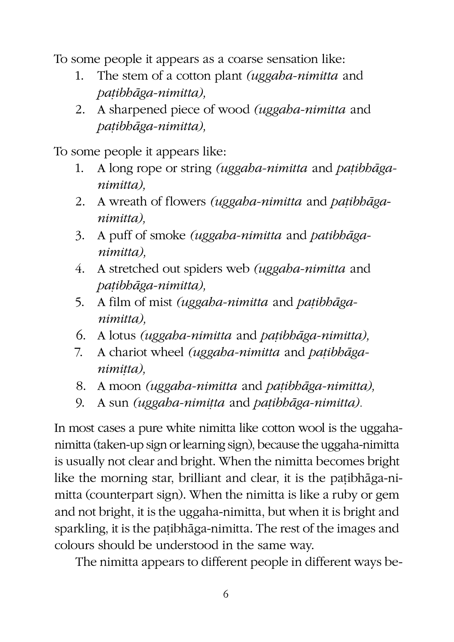To some people it appears as a coarse sensation like:

- 1. The stem of a cotton plant *(uggaha-nimitta* and *pañibhàga-nimitta),*
- 2. A sharpened piece of wood *(uggaha-nimitta* and *pañibhàga-nimitta),*

To some people it appears like:

- 1. A long rope or string *(uggaha-nimitta* and *patibhaganimitta),*
- 2. A wreath of flowers *(uggaha-nimitta* and *paṭibhāganimitta),*
- 3. A puff of smoke *(uggaha-nimitta* and *patibhàga nimitta),*
- 4. A stretched out spiders web *(uggaha-nimitta* and *pañibhàga-nimitta),*
- 5. A film of mist *(uggaba-nimitta* and *paṭibbāganimitta),*
- 6. A lotus *(uggaha-nimitta* and *pañibhàga-nimitta),*
- 7. A chariot wheel *(uggaha-nimitta* and *paṭibhāga* $nimita)$ ,
- 8. A moon *(uggaha-nimitta* and *paṭibhāga-nimitta)*,
- 9. A sun *(uggaha-nimitta* and *paṭibhāga-nimitta)*.

In most cases a pure white nimitta like cotton wool is the uggaha nimitta (taken-up sign or learning sign), because the uggaha-nimitta is usually not clear and bright. When the nimitta becomes bright like the morning star, brilliant and clear, it is the patibhāga-nimitta (counterpart sign). When the nimitta is like a ruby or gem<br>and not bright, it is the uggaha-nimitta, but when it is bright and<br>sparkling, it is the patibhaga-nimitta. The rest of the images and<br>colours should be unde

The nimitta appears to different people in different ways be-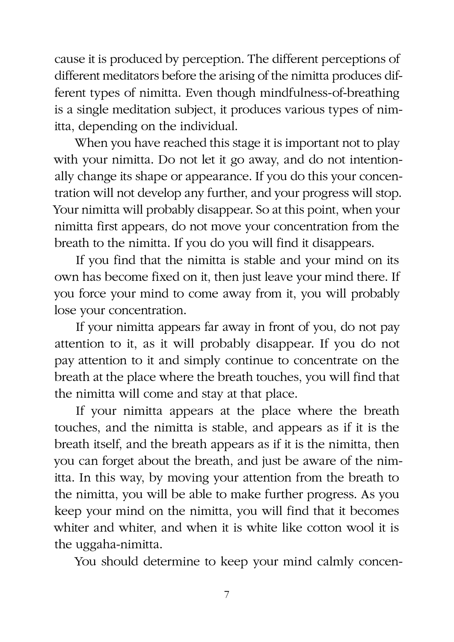cause it is produced by perception. The different perceptions of different meditators before the arising of the nimitta produces dif ferent types of nimitta. Even though mindfulness-of-breathing is a single meditation subject, it produces various types of nimitta, depending on the individual.

When you have reached this stage it is important not to play with your nimitta. Do not let it go away, and do not intentionally change its shape or appearance. If you do this your concentration will not develop any further, and your progress will stop.<br>Your nimitta will probably disappear. So at this point, when your<br>nimitta first appears, do not move your concentration from the<br>breath to the nimitta. If

If you find that the nimitta is stable and your mind on its own has become fixed on it, then just leave your mind there. If you force your mind to come away from it, you will probably lose your concentration.

If your nimitta appears far away in front of you, do not pay<br>attention to it, as it will probably disappear. If you do not<br>pay attention to it and simply continue to concentrate on the<br>breath at the place where the breath

If your nimitta appears at the place where the breath<br>touches, and the nimitta is stable, and appears as if it is the<br>breath itself, and the breath appears as if it is the nimitta, then<br>you can forget about the breath, and itta. In this way, by moving your attention from the breath to the nimitta, you will be able to make further progress. As you keep your mind on the nimitta, you will find that it becomes whiter and whiter, and when it is w

You should determine to keep your mind calmly concen-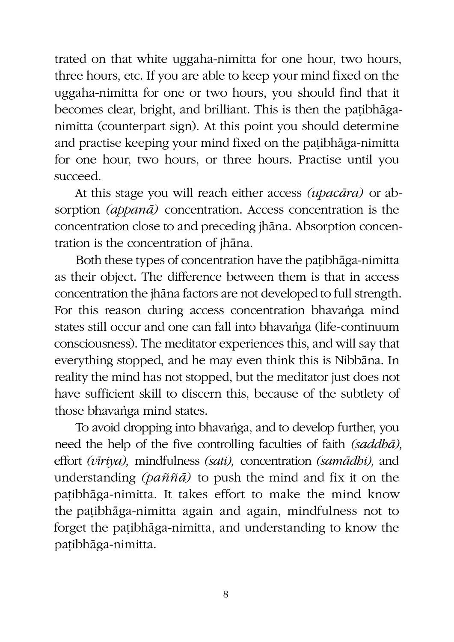trated on that white uggaha-nimitta for one hour, two hours,<br>three hours, etc. If you are able to keep your mind fixed on the<br>uggaha-nimitta for one or two hours, you should find that it<br>becomes clear, bright, and brillian nimitta (counterpart sign). At this point you should determine and practise keeping your mind fixed on the paṭibhāga-nimitta for one hour, two hours, or three hours. Practise until you succeed.

At this stage you will reach either access *(upacàra)* or absorption *(appanà)* concentration. Access concentration is the concentration close to and preceding jhàna. Absorption concentration is the concentration of jhàna.

Both these types of concentration have the patibhaga-nimitta<br>as their object. The difference between them is that in access<br>concentration the jhana factors are not developed to full strength.<br>For this reason during access

To avoid dropping into bhavanga, and to develop further, you need the help of the five controlling faculties of faith *(saddhā)*, effort (*vīriya*), mindfulness (*sati*), concentration (*samādbi*), and understanding ( $pa\tilde{n}\tilde{n}\bar{a}$ ) to push the mind and fix it on the patibhāga-nimitta. It takes effort to make the mind know the patibhāga-nimitta ag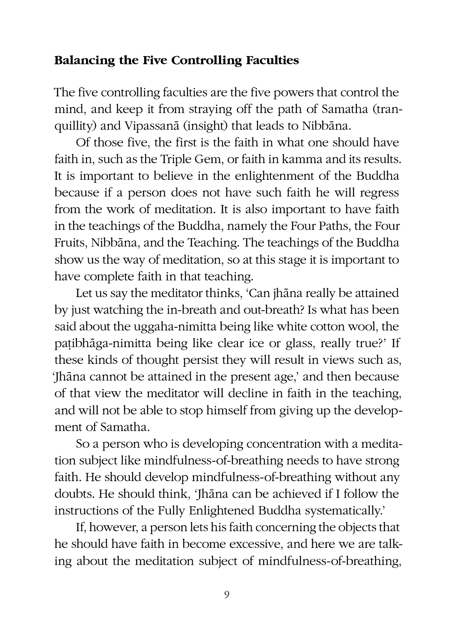#### <span id="page-14-0"></span>**Balancing the Five Controlling Faculties**

The five controlling faculties are the five powers that control the mind, and keep it from straying off the path of Samatha (tranquillity) and Vipassanà (insight) that leads to Nibbàna.

Of those five, the first is the faith in what one should have<br>faith in, such as the Triple Gem, or faith in kamma and its results.<br>It is important to believe in the enlightenment of the Buddha<br>because if a person does not

Let us say the meditator thinks, 'Can jhana really be attained<br>by just watching the in-breath and out-breath? Is what has been<br>said about the uggaha-nimitta being like white cotton wool, the<br>patibhāga-nimitta being like cl ment of Samatha.

So a person who is developing concentration with a meditation subject like mindfulness-of-breathing needs to have strong<br>faith. He should develop mindfulness-of-breathing without any<br>doubts. He should think, 'Jhāna can be achieved if I follow the<br>instructions of the Fully Enligh

If, however, a person lets his faith concerning the objects that he should have faith in become excessive, and here we are talking about the meditation subject of mindfulness-of-breathing,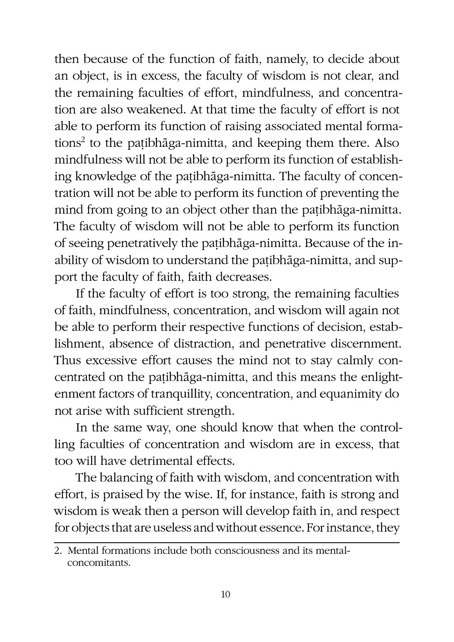then because of the function of faith, namely, to decide about an object, is in excess, the faculty of wisdom is not clear, and the remaining faculties of effort, mindfulness, and concentration are also weakened. At that time the faculty of effort is not able to perform its function of raising associated mental forma $tions<sup>2</sup>$  to the patibhaga-nimitta, and keeping them there. Also mindfulness will not be able to perform its function of establishing knowledge of the paṭibhāga-nimitta. The faculty of concentration will not be able to perform its function of preventing the<br>mind from going to an object other than the patibhaga-nimitta.<br>The faculty of wisdom will not be able to perform its function<br>of seeing penetratively the p ability of wisdom to understand the paṭibhāga-nimitta, and support the faculty of faith, faith decreases.

If the faculty of effort is too strong, the remaining faculties of faith, mindfulness, concentration, and wisdom will again not be able to perform their respective functions of decision, establishment, absence of distraction, and penetrative discernment. Thus excessive effort causes the mind not to stay calmly concentrated on the paṭibhāga-nimitta, and this means the enlightenment factors of tranquillity, concentration, and equanimity do not arise with sufficient strength.

In the same way, one should know that when the controlling faculties of concentration and wisdom are in excess, that too will have detrimental effects.

The balancing of faith with wisdom, and concentration with<br>effort, is praised by the wise. If, for instance, faith is strong and<br>wisdom is weak then a person will develop faith in, and respect<br>for objects that are useless

<sup>2.</sup> Mental formations include both consciousness and its mental concomitants.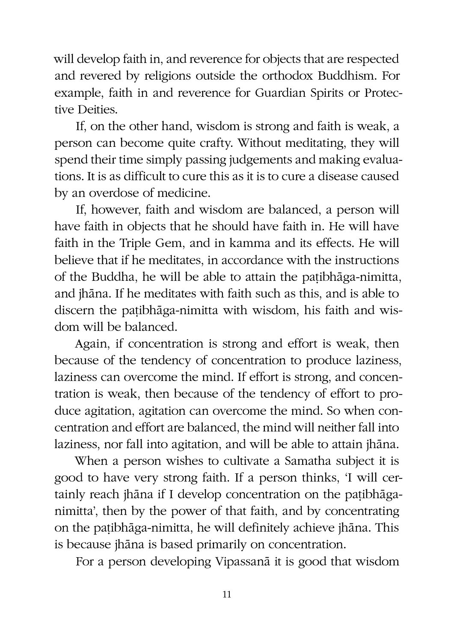will develop faith in, and reverence for objects that are respected and revered by religions outside the orthodox Buddhism. For example, faith in and reverence for Guardian Spirits or Protective Deities.

If, on the other hand, wisdom is strong and faith is weak, a person can become quite crafty. Without meditating, they will spend their time simply passing judgements and making evaluations. It is as difficult to cure this as it is to cure a disease caused by an overdose of medicine.

If, however, faith and wisdom are balanced, a person will<br>have faith in objects that he should have faith in. He will have<br>faith in the Triple Gem, and in kamma and its effects. He will<br>believe that if he meditates, in acc dom will be balanced.

Again, if concentration is strong and effort is weak, then because of the tendency of concentration to produce laziness, laziness can overcome the mind. If effort is strong, and concentration is weak, then because of the tendency of effort to produce agitation, agitation can overcome the mind. So when concentration and effort are balanced, the mind will neither fall into laziness, nor fall into agitation, and will be able to attain jhàna.

When a person wishes to cultivate a Samatha subject it is good to have very strong faith. If a person thinks, 'I will certainly reach jhāna if I develop concentration on the paṭibhāganimitta', then by the power of that faith, and by concentrating on the paṭibhāga-nimitta, he will definitely achieve jhāna. This is because jhāna is based primarily on concentration.

For a person developing Vipassanà it is good that wisdom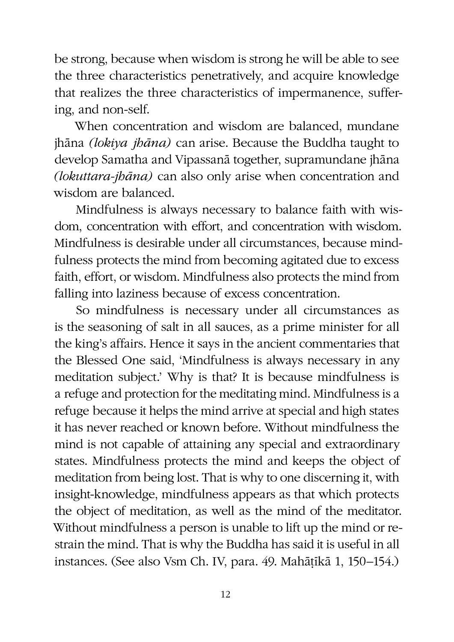be strong, because when wisdom is strong he will be able to see the three characteristics penetratively, and acquire knowledge that realizes the three characteristics of impermanence, suffering, and non-self.

When concentration and wisdom are balanced, mundane jhàna *(lokiya jhàna)* can arise. Because the Buddha taught to develop Samatha and Vipassanà together, supramundane jhàna *(lokuttara-jhàna)* can also only arise when concentration and wisdom are balanced.

Mindfulness is always necessary to balance faith with wisdom, concentration with effort, and concentration with wisdom. Mindfulness is desirable under all circumstances, because mind fulness protects the mind from becoming agitated due to excess faith, effort, or wisdom. Mindfulness also protects the mind from falling into laziness because of excess concentration.

So mindfulness is necessary under all circumstances as<br>is the seasoning of salt in all sauces, as a prime minister for all<br>the king's affairs. Hence it says in the ancient commentaries that<br>the Blessed One said, 'Mindfulne strain the mind. That is why the Buddha has said it is useful in all instances. (See also Vsm Ch. IV, para. 49. Mahātīkā 1, 150–154.)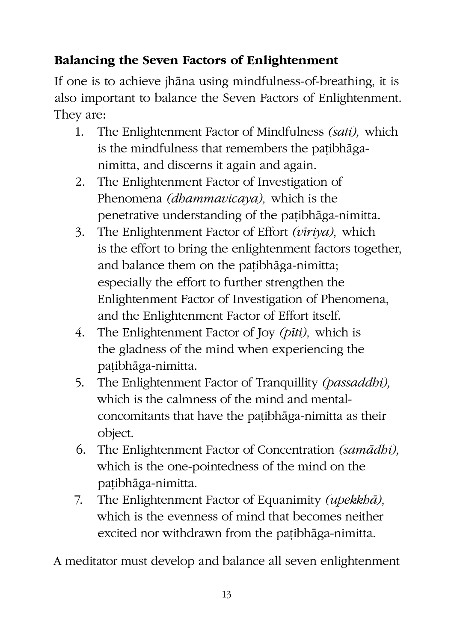#### <span id="page-18-0"></span>**Balancing the Seven Factors of Enlightenment**

If one is to achieve jhàna using mindfulness-of-breathing, it is also important to balance the Seven Factors of Enlightenment. They are:

- 1. The Enlightenment Factor of Mindfulness *(sati)*, which is the mindfulness that remembers the paṭibhāganimitta, and discerns it again and again.
- 2. The Enlightenment Factor of Investigation of<br>Phenomena *(dhammavicaya)*, which is the<br>penetrative understanding of the paṭibhāga-nimitta.
- 3. The Enlightenment Factor of Effort (viriya), which<br>is the effort to bring the enlightenment factors together,<br>and balance them on the patibhaga-nimitta;<br>especially the effort to further strengthen the<br>Enlightenment Fact
- 4. The Enlightenment Factor of Joy *(pãti),* which is the gladness of the mind when experiencing the pañibhàga-nimitta.
- 5. The Enlightenment Factor of Tranquillity *(passaddhi),* which is the calmness of the mind and mental concomitants that have the paṭibhāga-nimitta as their object.
- 6. The Enlightenment Factor of Concentration *(samàdhi),* which is the one-pointedness of the mind on the paṭibhāga-nimitta.
- 7. The Enlightenment Factor of Equanimity *(upekkhà),* which is the evenness of mind that becomes neither excited nor withdrawn from the paṭibhāga-nimitta.

A meditator must develop and balance all seven enlightenment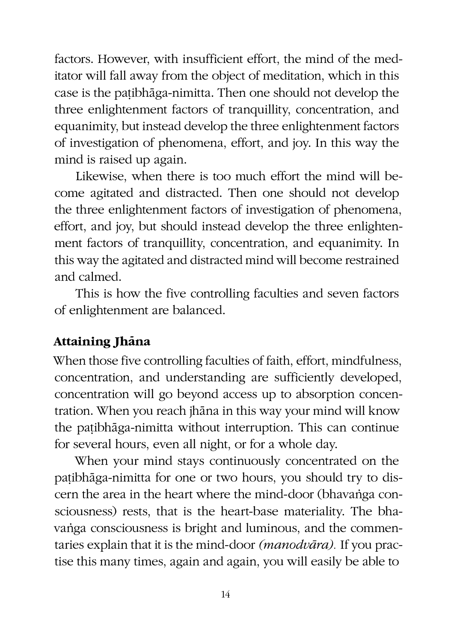<span id="page-19-0"></span>factors. However, with insufficient effort, the mind of the meditator will fall away from the object of meditation, which in this<br>case is the patibhāga-nimitta. Then one should not develop the<br>three enlightenment factors of tranquillity, concentration, and<br>equanimity, but instead deve

Likewise, when there is too much effort the mind will become agitated and distracted. Then one should not develop the three enlightenment factors of investigation of phenomena, effort, and joy, but should instead develop the three enlighten ment factors of tranquillity, concentration, and equanimity. In this way the agitated and distracted mind will become restrained and calmed.

This is how the five controlling faculties and seven factors of enlightenment are balanced.

#### **Attaining Jhàna**

When those five controlling faculties of faith, effort, mindfulness, concentration, and understanding are sufficiently developed, concentration will go beyond access up to absorption concentration. When you reach jhāna in this way your mind will know the paṭibhāga-nimitta without interruption. This can continue for several hours, even all night, or for a whole day.

When your mind stays continuously concentrated on the patibhaga-nimitta for one or two hours, you should try to discern the area in the heart where the mind-door (bhavanga consciousness) rests, that is the heart-base materiality. The bhavanga consciousness is bright and luminous, and the commentaries explain that it is the mind-door *(manodvàra).* If you practise this many times, again and again, you will easily be able to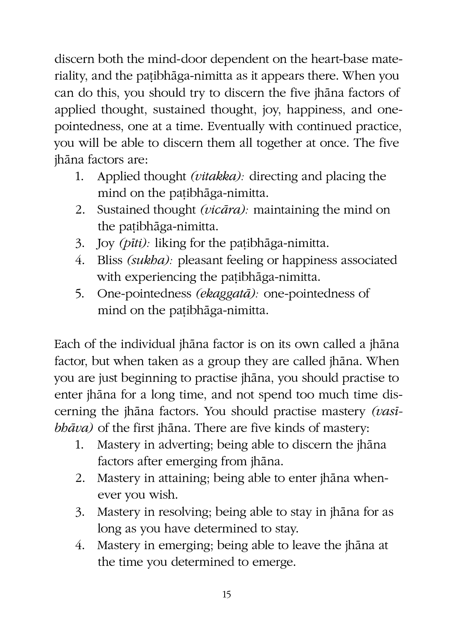discern both the mind-door dependent on the heart-base materiality, and the paṭibhāga-nimitta as it appears there. When you can do this, you should try to discern the five jhāna factors of applied thought, sustained thought, joy, happiness, and onepointedness, one at a time. Eventually with continued practice, you will be able to discern them all together at once. The five jhàna factors are:

- 1. Applied thought *(vitakka)*: directing and placing the mind on the paṭibhāga-nimitta.
- 2. Sustained thought *(vicāra)*: maintaining the mind on the paṭibhāga-nimitta.
- 3. Joy (*pīti*): liking for the paṭibhāga-nimitta.
- 4. Bliss *(sukha)*: pleasant feeling or happiness associated with experiencing the paṭibhāga-nimitta.
- 5. One-pointedness *(ekaggatā)*: one-pointedness of mind on the paṭibhāga-nimitta.

Each of the individual jhāna factor is on its own called a jhāna factor, but when taken as a group they are called jhāna. When you are just beginning to practise jhāna, you should practise to enter jhāna for a long time, a cerning the jhàna factors. You should practise mastery *(vasã bhàva)* of the first jhàna. There are five kinds of mastery:

- 1. Mastery in adverting; being able to discern the jhàna factors after emerging from jhàna.
- 2. Mastery in attaining; being able to enter jhàna whenever you wish.
- 3. Mastery in resolving; being able to stay in jhàna for as long as you have determined to stay.
- 4. Mastery in emerging; being able to leave the jhàna at the time you determined to emerge.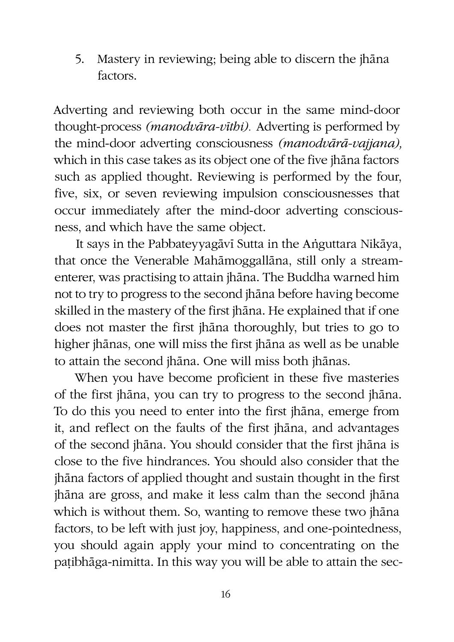5. Mastery in reviewing; being able to discern the jhàna factors.

Adverting and reviewing both occur in the same mind-door thought-process *(manodvàra-vãthi).* Adverting is performed by the mind-door adverting consciousness *(manodvàrà-vajjana),* which in this case takes as its object one of the five jhāna factors<br>such as applied thought. Reviewing is performed by the four,<br>five, six, or seven reviewing impulsion consciousnesses that<br>occur immediately after the min ness, and which have the same object.

It says in the Pabbateyyagāvī Sutta in the Anguttara Nikāya, that once the Venerable Mahāmoggallāna, still only a streamenterer, was practising to attain jhāna. The Buddha warned him<br>not to try to progress to the second jhāna before having become<br>skilled in the mastery of the first jhāna. He explained that if one<br>does not master the first j

When you have become proficient in these five masteries<br>of the first jhāna, you can try to progress to the second jhāna.<br>To do this you need to enter into the first jhāna, emerge from<br>it, and reflect on the faults of the f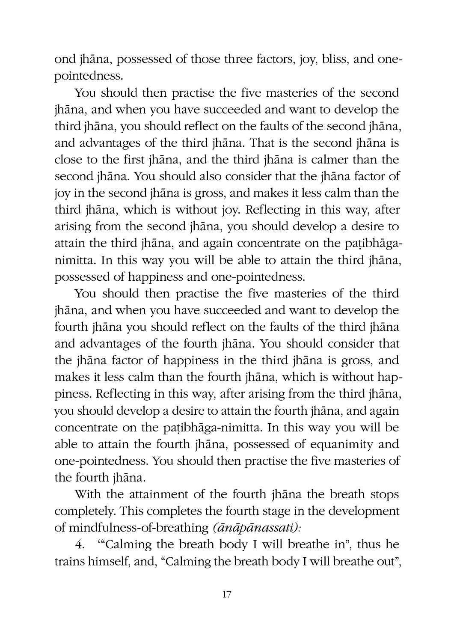ond jhàna, possessed of those three factors, joy, bliss, and one pointedness.

You should then practise the five masteries of the second<br>jhāna, and when you have succeeded and want to develop the<br>third jhāna, you should reflect on the faults of the second jhāna,<br>and advantages of the third jhāna. Tha nimitta. In this way you will be able to attain the third jhàna, possessed of happiness and one-pointedness.

You should then practise the five masteries of the third<br>jhāna, and when you have succeeded and want to develop the<br>fourth jhāna you should reflect on the faults of the third jhāna<br>and advantages of the fourth jhāna. You s piness. Reflecting in this way, after arising from the third jhāna, you should develop a desire to attain the fourth jhāna, and again concentrate on the paṭibhāga-nimitta. In this way you will be able to attain the fourth

With the attainment of the fourth jhāna the breath stops completely. This completes the fourth stage in the development of mindfulness-of-breathing *(anapanassati)*:

4. '"Calming the breath body I will breathe in", thus he trains himself, and, "Calming the breath body I will breathe out",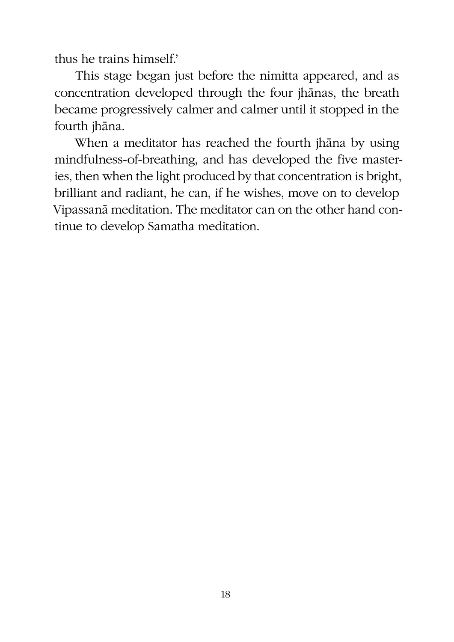thus he trains himself.'

This stage began just before the nimitta appeared, and as concentration developed through the four jhànas, the breath became progressively calmer and calmer until it stopped in the fourth jhàna.

When a meditator has reached the fourth jhàna by using mindfulness-of-breathing, and has developed the five masteries, then when the light produced by that concentration is bright, brilliant and radiant, he can, if he wishes, move on to develop Vipassanà meditation. The meditator can on the other hand continue to develop Samatha meditation.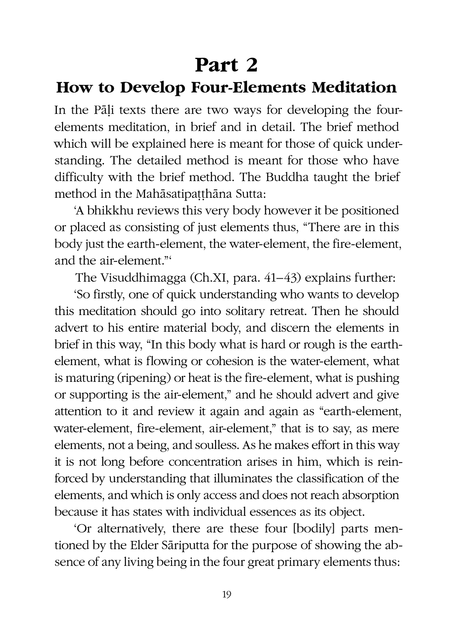### **Part 2**

#### <span id="page-24-0"></span>**How to Develop Four-Elements Meditation**

In the Pali texts there are two ways for developing the fourelements meditation, in brief and in detail. The brief method which will be explained here is meant for those of quick understanding. The detailed method is meant for those who have difficulty with the brief method. The Buddha taught the brief method in the Mahāsatipatthāna Sutta:

'A bhikkhu reviews this very body however it be positioned or placed as consisting of just elements thus, "There are in this body just the earth-element, the water-element, the fire-element, and the air-element."'

The Visuddhimagga (Ch.XI, para. 41–43) explains further:

'So firstly, one of quick understanding who wants to develop<br>this meditation should go into solitary retreat. Then he should<br>advert to his entire material body, and discern the elements in<br>brief in this way, "In this body element, what is flowing or cohesion is the water-element, what<br>is maturing (ripening) or heat is the fire-element, what is pushing<br>or supporting is the air-element," and he should advert and give<br>attention to it and revie forced by understanding that illuminates the classification of the elements, and which is only access and does not reach absorption because it has states with individual essences as its object.

'Or alternatively, there are these four [bodily] parts mentioned by the Elder Sàriputta for the purpose of showing the absence of any living being in the four great primary elements thus: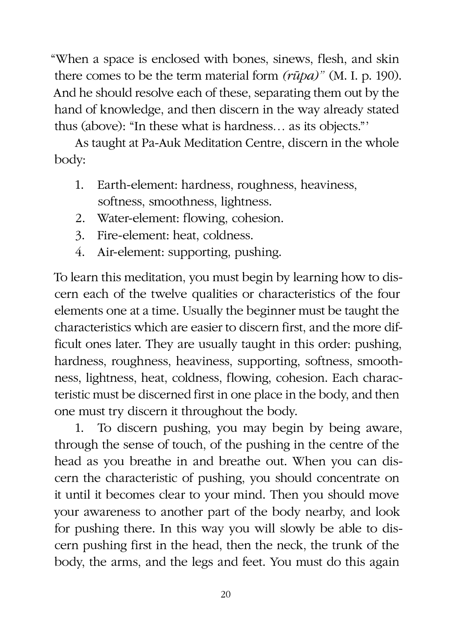"When a space is enclosed with bones, sinews, flesh, and skin there comes to be the term material form  $(r\bar{u}pa)$ " (M. I. p. 190). And he should resolve each of these, separating them out by the hand of knowledge, and the

As taught at Pa-Auk Meditation Centre, discern in the whole body:

- 1. Earth-element: hardness, roughness, heaviness, softness, smoothness, lightness.
- 2. Water-element: flowing, cohesion.
- 3. Fire-element: heat, coldness.
- 4. Air-element: supporting, pushing.

To learn this meditation, you must begin by learning how to discern each of the twelve qualities or characteristics of the four elements one at a time. Usually the beginner must be taught the characteristics which are easier to discern first, and the more difficult ones later. They are usually taught in this order: pushing, hardness, roughness, heaviness, supporting, softness, smoothness, lightness, heat, coldness, flowing, cohesion. Each characteristic must be discerned first in one place in the body, and then one must try discern it throughout the body.

1. To discern pushing, you may begin by being aware, through the sense of touch, of the pushing in the centre of the head as you breathe in and breathe out. When you can discern the characteristic of pushing, you should concentrate on<br>it until it becomes clear to your mind. Then you should move<br>your awareness to another part of the body nearby, and look<br>for pushing there. In this way you will cern pushing first in the head, then the neck, the trunk of the body, the arms, and the legs and feet. You must do this again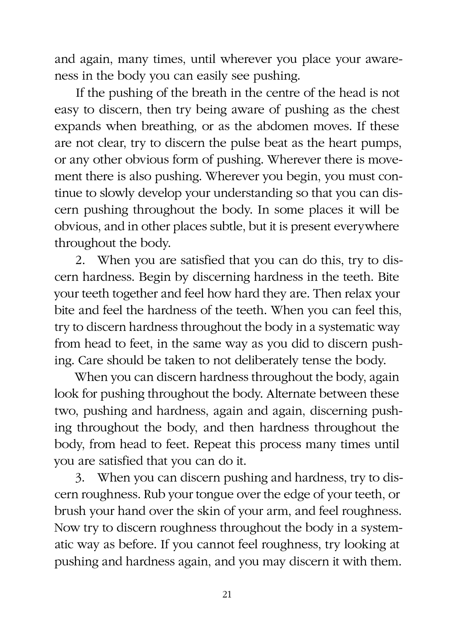and again, many times, until wherever you place your awareness in the body you can easily see pushing.

If the pushing of the breath in the centre of the head is not<br>easy to discern, then try being aware of pushing as the chest<br>expands when breathing, or as the abdomen moves. If these<br>are not clear, try to discern the pulse ment there is also pushing. Wherever you begin, you must continue to slowly develop your understanding so that you can discern pushing throughout the body. In some places it will be obvious, and in other places subtle, but it is present everywhere throughout the body.

2. When you are satisfied that you can do this, try to discern hardness. Begin by discerning hardness in the teeth. Bite<br>your teeth together and feel how hard they are. Then relax your<br>bite and feel the hardness of the teeth. When you can feel this,<br>try to discern hardness throug ing. Care should be taken to not deliberately tense the body.

When you can discern hardness throughout the body, again look for pushing throughout the body. Alternate between these two, pushing and hardness, again and again, discerning pushing throughout the body, and then hardness throughout the body, from head to feet. Repeat this process many times until you are satisfied that you can do it.

3. When you can discern pushing and hardness, try to discern roughness. Rub your tongue over the edge of your teeth, or brush your hand over the skin of your arm, and feel roughness. Now try to discern roughness throughout the body in a systematic way as before. If you cannot feel roughness, try looking at pushing and hardness again, and you may discern it with them.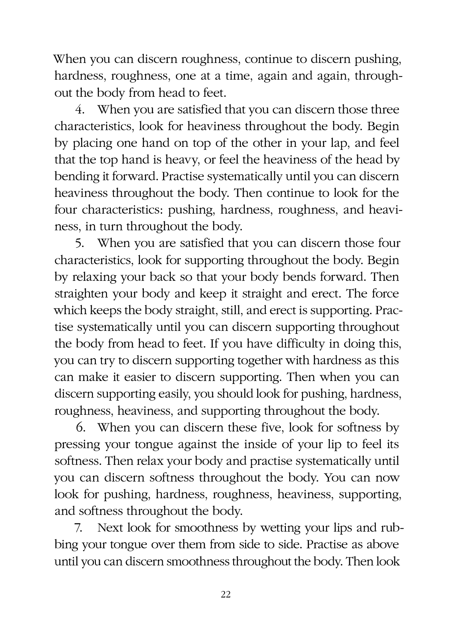When you can discern roughness, continue to discern pushing, hardness, roughness, one at a time, again and again, throughout the body from head to feet.

4. When you are satisfied that you can discern those three characteristics, look for heaviness throughout the body. Begin by placing one hand on top of the other in your lap, and feel that the top hand is heavy, or feel th ness, in turn throughout the body.

5. When you are satisfied that you can discern those four characteristics, look for supporting throughout the body. Begin by relaxing your back so that your body bends forward. Then straighten your body and keep it straigh tise systematically until you can discern supporting throughout<br>the body from head to feet. If you have difficulty in doing this,<br>you can try to discern supporting together with hardness as this<br>can make it easier to disce

6. When you can discern these five, look for softness by pressing your tongue against the inside of your lip to feel its softness. Then relax your body and practise systematically until you can discern softness throughout

7. Next look for smoothness by wetting your lips and rubbing your tongue over them from side to side. Practise as above until you can discern smoothness throughout the body. Then look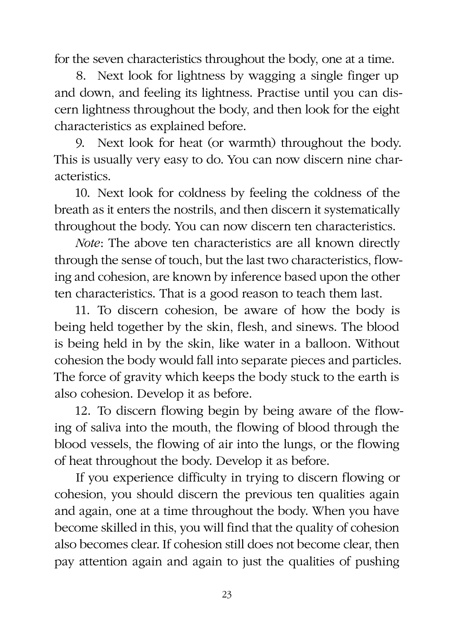for the seven characteristics throughout the body, one at a time.

8. Next look for lightness by wagging a single finger up and down, and feeling its lightness. Practise until you can discern lightness throughout the body, and then look for the eight characteristics as explained before.

9. Next look for heat (or warmth) throughout the body. This is usually very easy to do. You can now discern nine characteristics.

10. Next look for coldness by feeling the coldness of the breath as it enters the nostrils, and then discern it systematically throughout the body. You can now discern ten characteristics.

*Note*: The above ten characteristics are all known directly through the sense of touch, but the last two characteristics, flowing and cohesion, are known by inference based upon the other ten characteristics. That is a good reason to teach them last.

11. To discern cohesion, be aware of how the body is<br>being held together by the skin, flesh, and sinews. The blood<br>is being held in by the skin, like water in a balloon. Without<br>cohesion the body would fall into separate p

12. To discern flowing begin by being aware of the flowing of saliva into the mouth, the flowing of blood through the blood vessels, the flowing of air into the lungs, or the flowing of heat throughout the body. Develop it as before.

If you experience difficulty in trying to discern flowing or cohesion, you should discern the previous ten qualities again and again, one at a time throughout the body. When you have become skilled in this, you will find t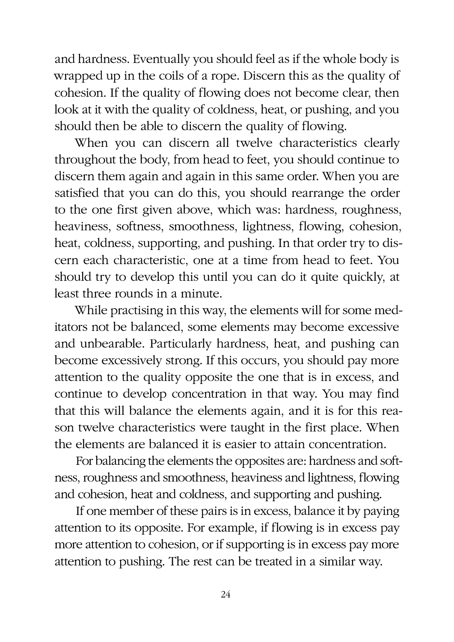and hardness. Eventually you should feel as if the whole body is<br>wrapped up in the coils of a rope. Discern this as the quality of<br>cohesion. If the quality of flowing does not become clear, then<br>look at it with the quality

When you can discern all twelve characteristics clearly<br>throughout the body, from head to feet, you should continue to<br>discern them again and again in this same order. When you are<br>satisfied that you can do this, you shoul cern each characteristic, one at a time from head to feet. You should try to develop this until you can do it quite quickly, at least three rounds in a minute.

While practising in this way, the elements will for some meditators not be balanced, some elements may become excessive<br>and unbearable. Particularly hardness, heat, and pushing can<br>become excessively strong. If this occurs, you should pay more<br>attention to the quality opposite the son twelve characteristics were taught in the first place. When the elements are balanced it is easier to attain concentration.

For balancing the elements the opposites are: hardness and softness, roughness and smoothness, heaviness and lightness, flowing and cohesion, heat and coldness, and supporting and pushing.

If one member of these pairs is in excess, balance it by paying<br>attention to its opposite. For example, if flowing is in excess pay<br>more attention to cohesion, or if supporting is in excess pay more<br>attention to pushing. T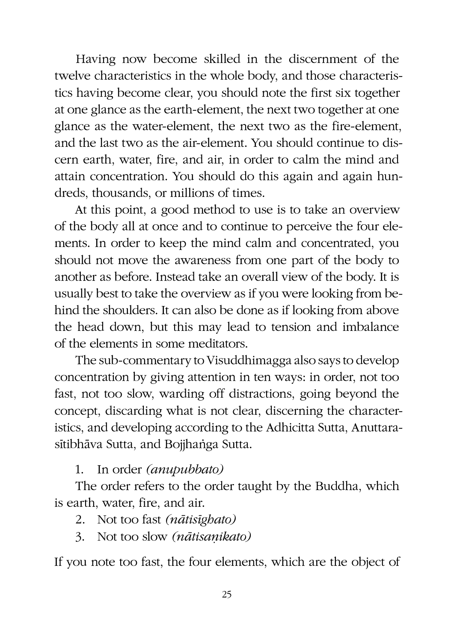Having now become skilled in the discernment of the twelve characteristics in the whole body, and those characteristics having become clear, you should note the first six together<br>at one glance as the earth-element, the next two together at one<br>glance as the water-element, the next two as the fire-element,<br>and the last two as the air-e cern earth, water, fire, and air, in order to calm the mind and attain concentration. You should do this again and again hundreds, thousands, or millions of times.

At this point, a good method to use is to take an overview of the body all at once and to continue to perceive the four ele ments. In order to keep the mind calm and concentrated, you should not move the awareness from one part of the body to another as before. Instead take an overall view of the body. It is usually best to take the overview as hind the shoulders. It can also be done as if looking from above the head down, but this may lead to tension and imbalance of the elements in some meditators.

The sub-commentary to Visuddhimagga also says to develop<br>concentration by giving attention in ten ways: in order, not too<br>fast, not too slow, warding off distractions, going beyond the<br>concept, discarding what is not clear istics, and developing according to the Adhicitta Sutta, Anuttara sītibhāva Sutta, and Bojjhanga Sutta.

#### 1. In order *(anupubbato)*

The order refers to the order taught by the Buddha, which is earth, water, fire, and air.

- 2. Not too fast *(nàtisãghato)*
- 3. Not too slow *(nātisanikato)*

If you note too fast, the four elements, which are the object of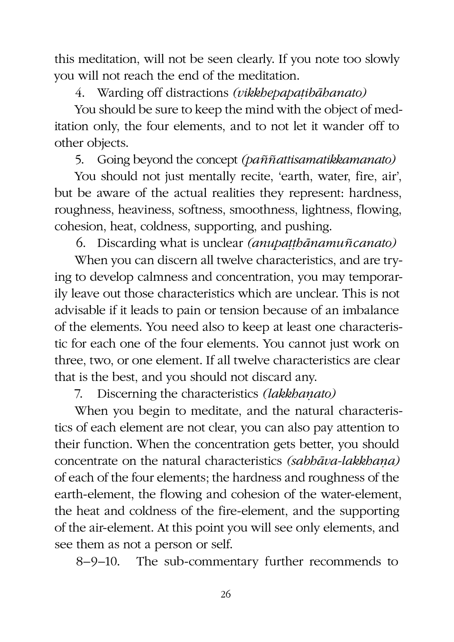this meditation, will not be seen clearly. If you note too slowly you will not reach the end of the meditation.

4. Warding off distractions *(vikkhepapañibàhanato)*

You should be sure to keep the mind with the object of meditation only, the four elements, and to not let it wander off to other objects.

5. Going beyond the concept *(pa¤¤attisamatikkamanato)*

You should not just mentally recite, 'earth, water, fire, air',<br>but be aware of the actual realities they represent: hardness,<br>roughness, heaviness, softness, smoothness, lightness, flowing,<br>cohesion, heat, coldness, suppo

6. Discarding what is unclear *(anupa*<sub>thanamuñcanato)</sub>

When you can discern all twelve characteristics, and are trying to develop calmness and concentration, you may temporarily leave out those characteristics which are unclear. This is not advisable if it leads to pain or tension because of an imbalance of the elements. You need also to keep at least one characteristic for each one of the four elements. You cannot just work on three, two, or one element. If all twelve characteristics are clear that is the best, and you should not discard any.

7. Discerning the characteristics *(lakkhanato)* 

When you begin to meditate, and the natural characteristics of each element are not clear, you can also pay attention to their function. When the concentration gets better, you should concentrate on the natural characteristics *(sabhāva-lakkhana)* of each of the four elements; the hardness and roughness of the earth-element, the flowing and cohesion of the water-element, the heat and coldness of the fire-element, and the supporting of the air-element. At this point

8-9-10. The sub-commentary further recommends to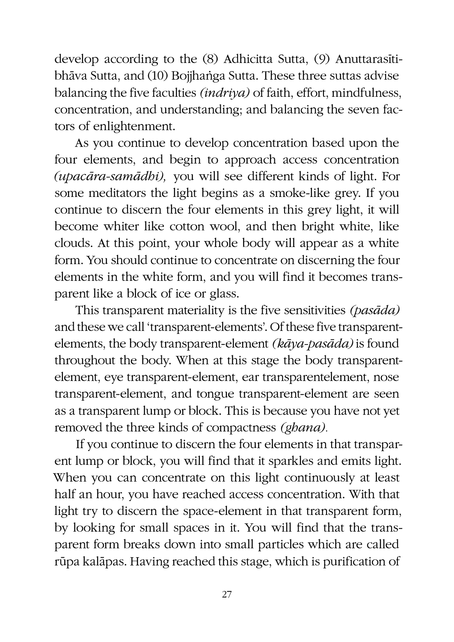develop according to the (8) Adhicitta Sutta, (9) Anuttarasitibhāva Sutta, and (10) Bojjhaṅga Sutta. These three suttas advise balancing the five faculties *(indriya)* of faith, effort, mindfulness, concentration, and understanding; and balancing the seven factors of enlightenment.

As you continue to develop concentration based upon the four elements, and begin to approach access concentration (*upacāra-samādbi*), you will see different kinds of light. For some meditators the light begins as a smoke-like grey. If you continue to discern the four elements in this grey light, it will become whiter like cotton wool parent like a block of ice or glass.

This transparent materiality is the five sensitivities *(pasàda)* and these we call 'transparent-elements'. Of these five transparent elements, the body transparent-element *(kàya-pasàda)* is found throughout the body. When at this stage the body transparent element, eye transparent-element, ear transparentelement, nose<br>transparent-element, and tongue transparent-element are seen<br>as a transparent lump or block. This is because you have not yet<br>removed the three kinds of compac

If you continue to discern the four elements in that transparent lump or block, you will find that it sparkles and emits light.<br>When you can concentrate on this light continuously at least<br>half an hour, you have reached access concentration. With that<br>light try to discern the spaceparent form breaks down into small particles which are called råpa kalàpas. Having reached this stage, which is purification of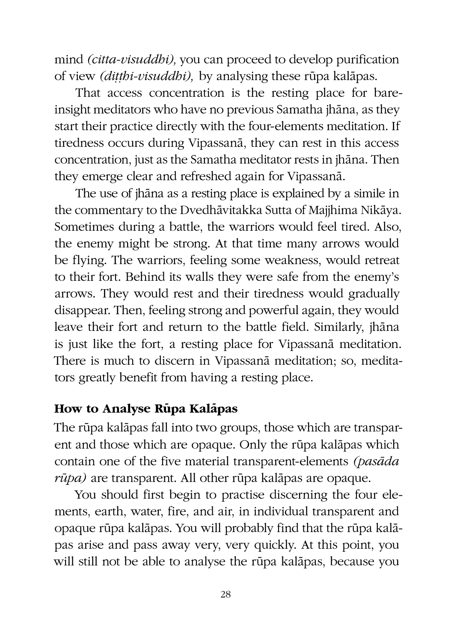<span id="page-33-0"></span>mind *(citta-visuddhi)*, you can proceed to develop purification of view *(diṭṭhi-visuddhi)*, by analysing these rūpa kalāpas.

That access concentration is the resting place for bare insight meditators who have no previous Samatha jhāna, as they<br>start their practice directly with the four-elements meditation. If<br>tiredness occurs during Vipassanā, they can rest in this access<br>concentration, just as the

The use of jhāna as a resting place is explained by a simile in<br>the commentary to the Dvedhāvitakka Sutta of Majjhima Nikāya.<br>Sometimes during a battle, the warriors would feel tired. Also,<br>the enemy might be strong. At th tors greatly benefit from having a resting place.

#### **How to Analyse Råpa Kalàpas**

The rūpa kalāpas fall into two groups, those which are transparent and those which are opaque. Only the råpa kalàpas which contain one of the five material transparent-elements *(pasàda råpa)* are transparent. All other råpa kalàpas are opaque.

You should first begin to practise discerning the four elements, earth, water, fire, and air, in individual transparent and opaque råpa kalàpas. You will probably find that the råpa kalàpas arise and pass away very, very quickly. At this point, you will still not be able to analyse the råpa kalàpas, because you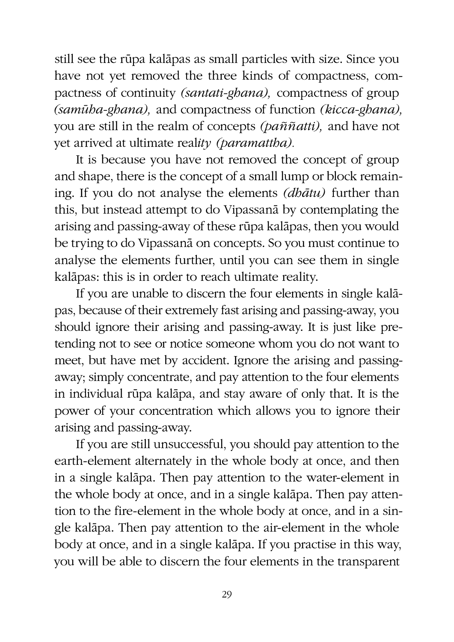still see the rūpa kalāpas as small particles with size. Since you have not yet removed the three kinds of compactness, compactness of continuity *(santati-ghana),* compactness of group *(samåha-ghana),* and compactness of function *(kicca-ghana),* you are still in the realm of concepts *(paññatti)*, and have not yet arrived at ultimate reality *(paramattha)*.

It is because you have not removed the concept of group and shape, there is the concept of a small lump or block remaining. If you do not analyse the elements *(dbātu)* further than<br>this, but instead attempt to do Vipassanā by contemplating the<br>arising and passing-away of these rūpa kalāpas, then you would<br>be trying to do Vipassanā on conc

If you are unable to discern the four elements in single kalàpas, because of their extremely fast arising and passing-away, you should ignore their arising and passing-away. It is just like pretending not to see or notice someone whom you do not want to meet, but have met by accident. Ignore the arising and passing away; simply concentrate, and pay attention to the four elements in individual rūpa kalāpa, and stay aware of only that. It is the power of your concentration which allows you to ignore their arising and passing-away.

If you are still unsuccessful, you should pay attention to the<br>earth-element alternately in the whole body at once, and then<br>in a single kalapa. Then pay attention to the water-element in<br>the whole body at once, and in a s tion to the fire-element in the whole body at once, and in a single kalàpa. Then pay attention to the air-element in the whole body at once, and in a single kalàpa. If you practise in this way, you will be able to discern the four elements in the transparent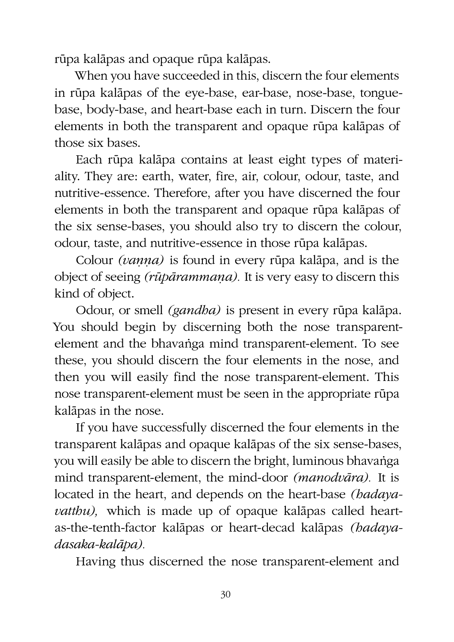råpa kalàpas and opaque råpa kalàpas.

When you have succeeded in this, discern the four elements in rūpa kalāpas of the eye-base, ear-base, nose-base, tonguebase, body-base, and heart-base each in turn. Discern the four elements in both the transparent and opaque råpa kalàpas of those six bases.

Each rūpa kalāpa contains at least eight types of materiality. They are: earth, water, fire, air, colour, odour, taste, and nutritive-essence. Therefore, after you have discerned the four elements in both the transparent and opaque rūpa kalāpas of the six sense-bases, you shoul

Colour *(vaṇṇa)* is found in every rūpa kalāpa, and is the object of seeing *(rūpārammaṇa)*. It is very easy to discern this kind of object.

Odour, or smell *(gandha)* is present in every rūpa kalāpa.<br>You should begin by discerning both the nose transparentelement and the bhavanga mind transparent-element. To see<br>these, you should discern the four elements in the nose, and<br>then you will easily find the nose transparent-element. This<br>nose transparent-element must be seen in t

If you have successfully discerned the four elements in the<br>transparent kalāpas and opaque kalāpas of the six sense-bases,<br>you will easily be able to discern the bright, luminous bhavanga<br>mind transparent-element, the mind *vatthu)*, which is made up of opaque kalāpas called heartas-the-tenth-factor kalàpas or heart-decad kalàpas *(hadaya dasaka-kalàpa).*

Having thus discerned the nose transparent-element and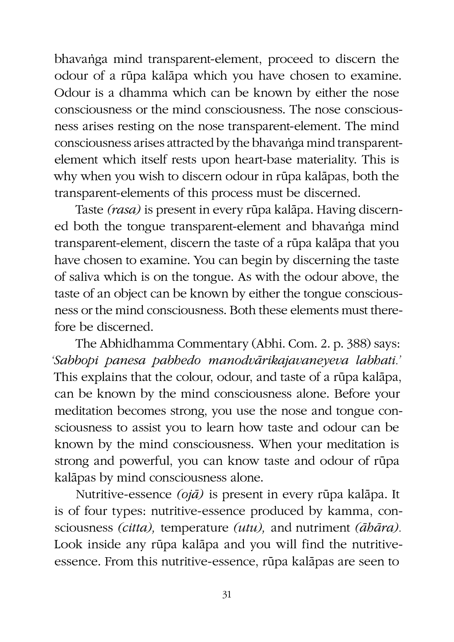bhavanga mind transparent-element, proceed to discern the odour of a rūpa kalāpa which you have chosen to examine.<br>Odour is a dhamma which can be known by either the nose consciousness or the mind consciousness. The nose c ness arises resting on the nose transparent-element. The mind consciousness arises attracted by the bhavanga mind transparentelement which itself rests upon heart-base materiality. This is why when you wish to discern odour in råpa kalàpas, both the transparent-elements of this process must be discerned.

Taste *(rasa)* is present in every råpa kalàpa. Having discern ed both the tongue transparent-element and bhavanga mind<br>transparent-element, discern the taste of a rūpa kalāpa that you<br>have chosen to examine. You can begin by discerning the taste<br>of saliva which is on the tongue. As w ness or the mind consciousness. Both these elements must therefore be discerned.

The Abhidhamma Commentary (Abhi. Com. 2. p. 388) says: *'Sabbopi panesa pabhedo manodvàrikajavaneyeva labhati.'* This explains that the colour, odour, and taste of a rūpa kalāpa, can be known by the mind consciousness alone. Before your meditation becomes strong, you use the nose and tongue consciousness to assist you to learn how taste and odour can be known by the mind consciousness. When your meditation is strong and powerful, you can know taste and odour of råpa kalàpas by mind consciousness alone.

Nutritive-essence *(ojā)* is present in every rūpa kalāpa. It is of four types: nutritive-essence produced by kamma, consciousness *(citta),* temperature *(utu),* and nutriment *(àhàra).* Look inside any rūpa kalāpa and you will find the nutritiveessence. From this nutritive-essence, råpa kalàpas are seen to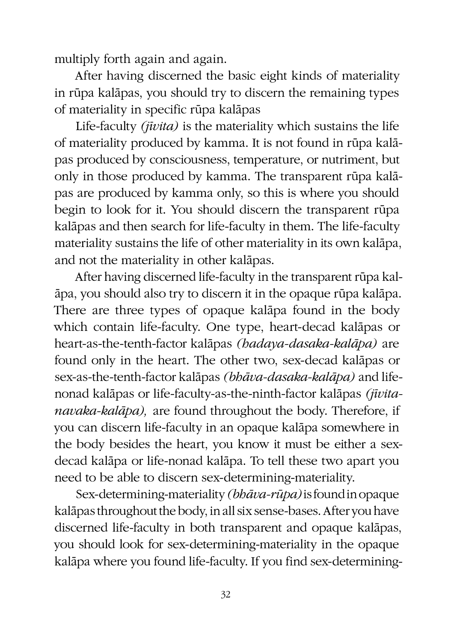multiply forth again and again.

After having discerned the basic eight kinds of materiality in rūpa kalāpas, you should try to discern the remaining types of materiality in specific rūpa kalāpas

Life-faculty *(jūvita)* is the materiality which sustains the life of materiality produced by kamma. It is not found in rūpa kalāpas produced by consciousness, temperature, or nutriment, but only in those produced by kamma. The transparent råpa kalàpas are produced by kamma only, so this is where you should<br>begin to look for it. You should discern the transparent rūpa<br>kalāpas and then search for life-faculty in them. The life-faculty<br>materiality sustains the life of

After having discerned life-faculty in the transparent råpa kal āpa, you should also try to discern it in the opaque rūpa kalāpa.<br>There are three types of opaque kalāpa found in the body<br>which contain life-faculty. One type, heart-decad kalāpas or<br>heart-as-the-tenth-factor kalāpas (*ba* nonad kalàpas or life-faculty-as-the-ninth-factor kalàpas *(jãvita navaka-kalàpa),* are found throughout the body. Therefore, if you can discern life-faculty in an opaque kalàpa somewhere in the body besides the heart, you know it must be either a sexdecad kalàpa or life-nonad kalàpa. To tell these two apart you need to be able to discern sex-determining-materiality.

Sex-determining-materiality (bhava-rūpa) is found in opaque<br>kalāpas throughout the body, in all six sense-bases. After you have<br>discerned life-faculty in both transparent and opaque kalāpas,<br>you should look for sex-determi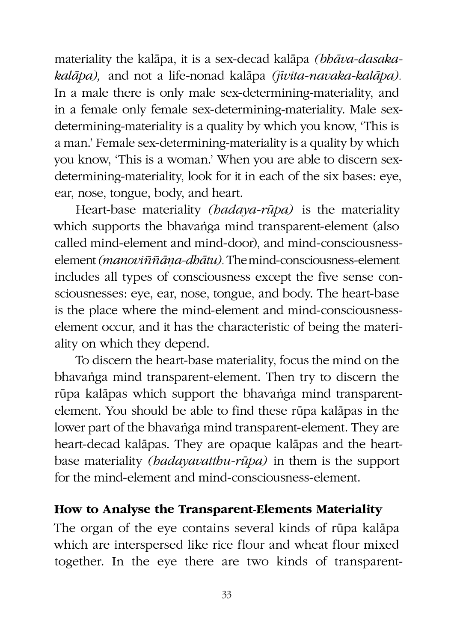materiality the kalàpa, it is a sex-decad kalàpa *(bhàva-dasaka kalàpa),* and not a life-nonad kalàpa *(jãvita-navaka-kalàpa).* In a male there is only male sex-determining-materiality, and in a female only female sex-determining-materiality. Male sex determining-materiality is a quality by which you know, 'This is a man.' Female sex-determining-materiality is a quality by which you know, 'This is a woman.' When you are able to discern sex determining-materiality, look for it in each of the six bases: eye, ear, nose, tongue, body, and heart.

Heart-base materiality *(hadaya-rūpa)* is the materiality which supports the bhavanga mind transparent-element (also called mind-element and mind-door), and mind-consciousnesselement *(manoviññāṇa-dhātu)*. The mind-consciousness-element includes all types of consciousness except the five sense consciousnesses: eye, ear, nose, tongue, and body. The heart-base is the place where the mind-element and mind-consciousness element occur, and it has the characteristic of being the materiality on which they depend.

To discern the heart-base materiality, focus the mind on the bhavanga mind transparent-element. Then try to discern the rūpa kalāpas which support the bhavanga mind transparentelement. You should be able to find these rūpa kalāpas in the lower part of the bhavanga mind transparent-element. They are heart-decad kalāpas. They are opaque kalāpas and the heartbase materiality *(hadayavatthu-råpa)* in them is the support for the mind-element and mind-consciousness-element.

#### **How to Analyse the Transparent-Elements Materiality**

The organ of the eye contains several kinds of råpa kalàpa which are interspersed like rice flour and wheat flour mixed together. In the eye there are two kinds of transparent-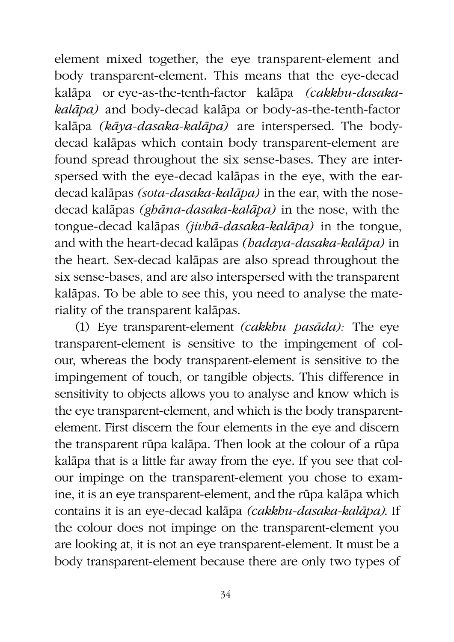element mixed together, the eye transparent-element and body transparent-element. This means that the eye-decad kalàpa or eye-as-the-tenth-factor kalàpa *(cakkhu-dasaka kalàpa)* and body-decad kalàpa or body-as-the-tenth-factor kalàpa *(kàya-dasaka-kalàpa)* are interspersed. The body decad kalàpas which contain body transparent-element are found spread throughout the six sense-bases. They are interspersed with the eye-decad kalàpas in the eye, with the ear decad kalàpas *(sota-dasaka-kalàpa)* in the ear, with the nose decad kalāpas (gbāna-dasaka-kalāpa) in the nose, with the tongue-decad kalāpas (jivbā-dasaka-kalāpa) in the tongue, and with the heart-decad kalāpas (badaya-dasaka-kalāpa) in the heart. Sex-decad kalāpas are also spread th riality of the transparent kalàpas.

(1) Eye transparent-element *(cakkhu pasàda):* The eye transparent-element is sensitive to the impingement of colour, whereas the body transparent-element is sensitive to the impingement of touch, or tangible objects. This difference in sensitivity to objects allows you to analyse and know which is the eye transparent-element, and wh element. First discern the four elements in the eye and discern the transparent rūpa kalāpa. Then look at the colour of a rūpa kalāpa that is a little far away from the eye. If you see that colour impinge on the transparent-element you chose to examine, it is an eye transparent-element, and the rūpa kalāpa which<br>contains it is an eye-decad kalāpa *(cakkbu-dasaka-kalāpa)*. If<br>the colour does not impinge on the transparent-element you<br>are looking at, it is not an eye t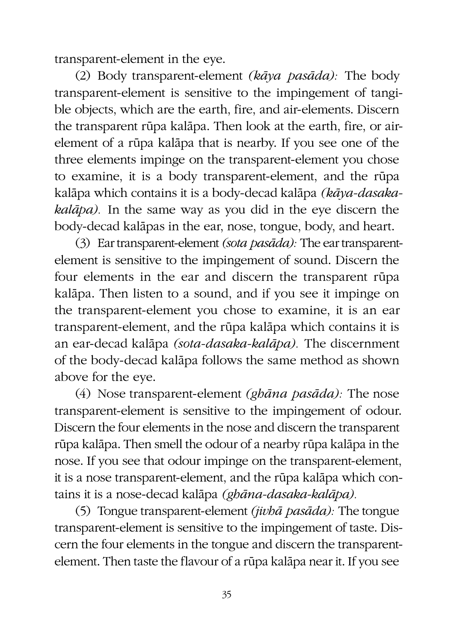transparent-element in the eye.

(2) Body transparent-element *(kàya pasàda):* The body transparent-element is sensitive to the impingement of tangible objects, which are the earth, fire, and air-elements. Discern the transparent råpa kalàpa. Then look at the earth, fire, or air element of a rūpa kalāpa that is nearby. If you see one of the three elements impinge on the transparent-element you chose to examine, it is a body transparent-element, and the rūpa kalāpa which contains it is a body-decad *kalàpa).* In the same way as you did in the eye discern the body-decad kalàpas in the ear, nose, tongue, body, and heart.

(3) Ear transparent-element *(sota pasàda):* The ear transparent element is sensitive to the impingement of sound. Discern the<br>four elements in the ear and discern the transparent rūpa<br>kalāpa. Then listen to a sound, and if you see it impinge on<br>the transparent-element you chose to exam

(4) Nose transparent-element (*gbāna pasāda*): The nose transparent-element is sensitive to the impingement of odour.<br>Discern the four elements in the nose and discern the transparent rūpa kalāpa. Then smell the odour of a tains it is a nose-decad kalàpa *(ghàna-dasaka-kalàpa).*

(5) Tongue transparent-element *(jivhà pasàda):* The tongue transparent-element is sensitive to the impingement of taste. Discern the four elements in the tongue and discern the transparent element. Then taste the flavour of a råpa kalàpa near it. If you see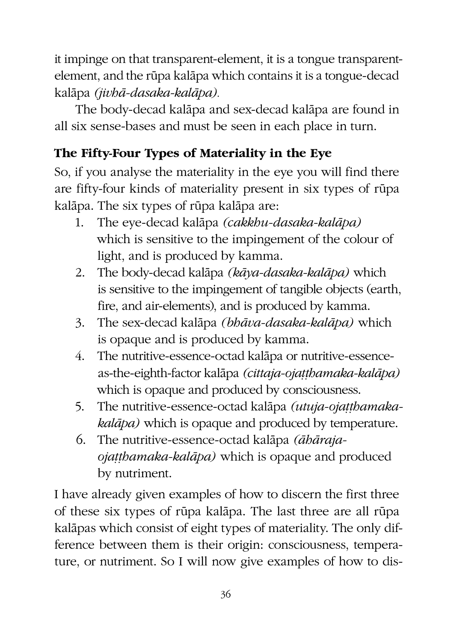it impinge on that transparent-element, it is a tongue transparent element, and the råpa kalàpa which contains it is a tongue-decad kalàpa *(jivhà-dasaka-kalàpa).*

The body-decad kalàpa and sex-decad kalàpa are found in all six sense-bases and must be seen in each place in turn.

#### **The Fifty-Four Types of Materiality in the Eye**

So, if you analyse the materiality in the eye you will find there are fifty-four kinds of materiality present in six types of råpa kalàpa. The six types of råpa kalàpa are:

- 1. The eye-decad kalàpa *(cakkhu-dasaka-kalàpa)* which is sensitive to the impingement of the colour of light, and is produced by kamma.
- 2. The body-decad kalàpa *(kàya-dasaka-kalàpa)* which is sensitive to the impingement of tangible objects (earth, fire, and air-elements), and is produced by kamma.
- 3. The sex-decad kalàpa *(bhàva-dasaka-kalàpa)* which is opaque and is produced by kamma.
- 4. The nutritive-essence-octad kalàpa or nutritive-essence as-the-eighth-factor kalàpa *(cittaja-ojaññhamaka-kalàpa)* which is opaque and produced by consciousness.
- 5. The nutritive-essence-octad kalāpa *(utuja-ojatthamakakalàpa)* which is opaque and produced by temperature.
- 6. The nutritive-essence-octad kalàpa *(àhàraja ojaṭṭbamaka-kalāpa)* which is opaque and produced by nutriment.

I have already given examples of how to discern the first three of these six types of råpa kalàpa. The last three are all råpa kalàpas which consist of eight types of materiality. The only difference between them is their origin: consciousness, temperature, or nutriment. So I will now give examples of how to dis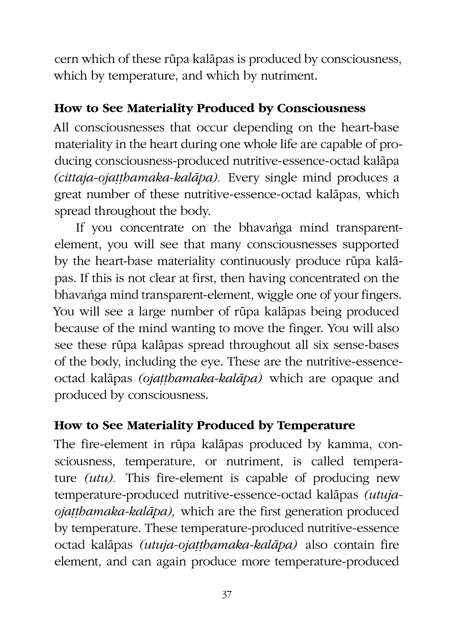cern which of these råpa kalàpas is produced by consciousness, which by temperature, and which by nutriment.

#### **How to See Materiality Produced by Consciousness**

All consciousnesses that occur depending on the heart-base materiality in the heart during one whole life are capable of producing consciousness-produced nutritive-essence-octad kalàpa *(cittaja-ojaṭṭbamaka-kalāpa)*. Every single mind produces a great number of these nutritive-essence-octad kalāpas, which spread throughout the body.

If you concentrate on the bhavanga mind transparentelement, you will see that many consciousnesses supported by the heart-base materiality continuously produce råpa kalàpas. If this is not clear at first, then having concentrated on the bhavanga mind transparent-element, wiggle one of your fingers. You will see a large number of rūpa kalāpas being produced because of the mind wanting to m octad kalāpas *(ojaṭṭbamaka-kalāpa)* which are opaque and produced by consciousness.

#### **How to See Materiality Produced by Temperature**

The fire-element in råpa kalàpas produced by kamma, consciousness, temperature, or nutriment, is called temperature *(utu).* This fire-element is capable of producing new temperature-produced nutritive-essence-octad kalàpas *(utuja* ojațibamaka-kalāpa), which are the first generation produced<br>by temperature. These temperature-produced nutritive-essence<br>octad kalāpas *(utuja-ojațibamaka-kalāpa)* also contain fire<br>element, and can again produce more tem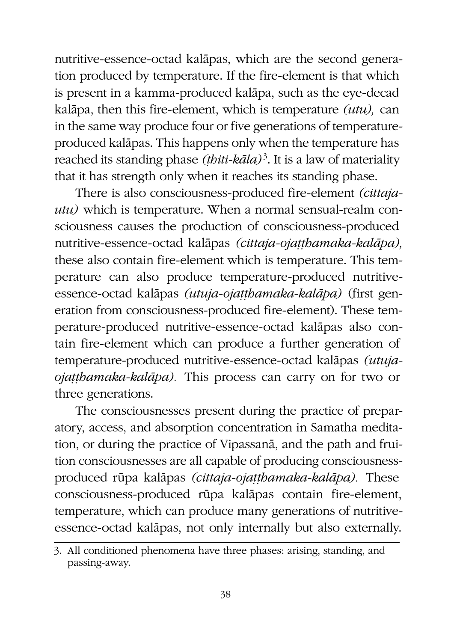nutritive-essence-octad kalàpas, which are the second generation produced by temperature. If the fire-element is that which<br>is present in a kamma-produced kalāpa, such as the eye-decad<br>kalāpa, then this fire-element, which is temperature  $(utu)$ , can<br>in the same way produce four or produced kalāpas. This happens only when the temperature has reached its standing phase *(thiti-kāla)*<sup>3</sup>. It is a law of materiality that it has strength only when it reaches its standing phase.

There is also consciousness-produced fire-element *(cittaja utu)* which is temperature. When a normal sensual-realm consciousness causes the production of consciousness-produced nutritive-essence-octad kalāpas *(cittaja-ojațthamaka-kalāpa)*, these also contain fire-element which is temperature. This temperature can also produce temperature-produced nutritive essence-octad kalāpas *(utuja-ojaṭṭhamaka-kalāpa)* (first generation from consciousness-produced fire-element). These temperature-produced nutritive-essence-octad kalàpas also contain fire-element which can produce a further generation of temperature-produced nutritive-essence-octad kalàpas *(utuja ojaṭṭbamaka-kalāpa)*. This process can carry on for two or three generations.

The consciousnesses present during the practice of preparatory, access, and absorption concentration in Samatha meditation, or during the practice of Vipassanà, and the path and fruition consciousnesses are all capable of producing consciousness produced rūpa kalāpas *(cittaja-ojaṭṭhamaka-kalāpa)*. These consciousness-produced rūpa kalāpas contain fire-element, temperature, which can produce many generations of nutritiveessence-octad kalàpas, not only internally but also externally.

<sup>3.</sup> All conditioned phenomena have three phases: arising, standing, and passing-away.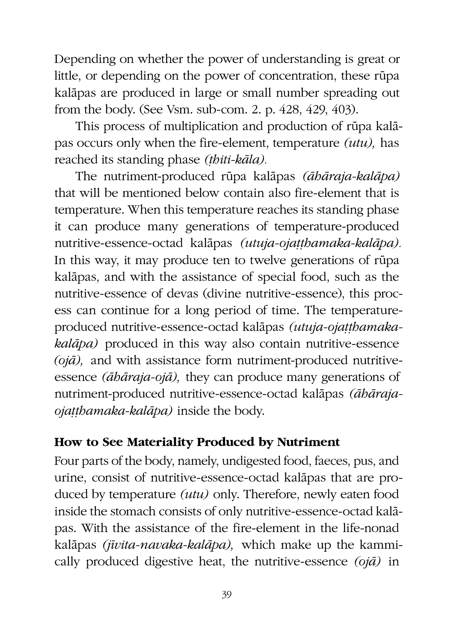Depending on whether the power of understanding is great or little, or depending on the power of concentration, these rūpa kalāpas are produced in large or small number spreading out from the body. (See Vsm. sub-com. 2. p.

This process of multiplication and production of råpa kalàpas occurs only when the fire-element, temperature *(utu)*, has reached its standing phase *(thiti-kāla)*.

The nutriment-produced råpa kalàpas *(àhàraja-kalàpa)* that will be mentioned below contain also fire-element that is<br>temperature. When this temperature reaches its standing phase<br>it can produce many generations of temperature-produced<br>nutritive-essence-octad kalāpas (utuja-oj In this way, it may produce ten to twelve generations of råpa kalàpas, and with the assistance of special food, such as the nutritive-essence of devas (divine nutritive-essence), this process can continue for a long period of time. The temperature produced nutritive-essence-octad kalāpas *(utuja-ojațthamakakalàpa)* produced in this way also contain nutritive-essence *(ojà),* and with assistance form nutriment-produced nutritive essence *(àhàraja-ojà),* they can produce many generations of nutriment-produced nutritive-essence-octad kalàpas *(àhàraja*  $oja$ *ţthamaka-kalāpa*) inside the body.

#### **How to See Materiality Produced by Nutriment**

Four parts of the body, namely, undigested food, faeces, pus, and urine, consist of nutritive-essence-octad kalàpas that are produced by temperature *(utu)* only. Therefore, newly eaten food inside the stomach consists of only nutritive-essence-octad kalàpas. With the assistance of the fire-element in the life-nonad kalàpas *(jãvita-navaka-kalàpa),* which make up the kammically produced digestive heat, the nutritive-essence *(ojà)* in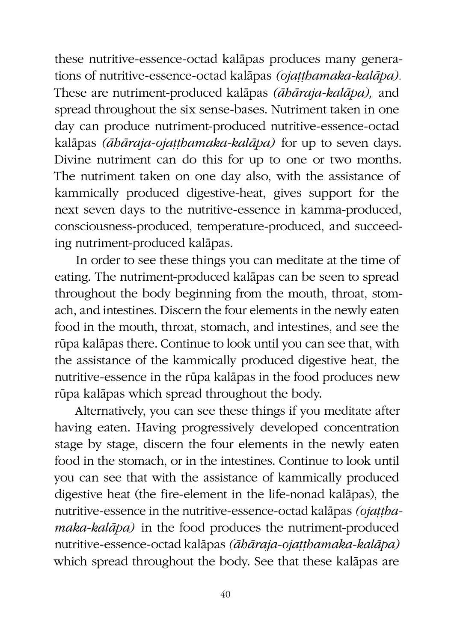these nutritive-essence-octad kalàpas produces many generations of nutritive-essence-octad kalāpas *(ojatthamaka-kalāpa)*. These are nutriment-produced kalapas *(abaraja-kalapa)*, and<br>spread throughout the six sense-bases. Nutriment taken in one<br>day can produce nutriment-produced nutritive-essence-octad<br>kalapas *(abaraja-ojatthamaka-kalapa)* f ing nutriment-produced kalàpas.

In order to see these things you can meditate at the time of eating. The nutriment-produced kalàpas can be seen to spread throughout the body beginning from the mouth, throat, stomach, and intestines. Discern the four elements in the newly eaten<br>food in the mouth, throat, stomach, and intestines, and see the<br>rūpa kalāpas there. Continue to look until you can see that, with<br>the assistance of the kamm

Alternatively, you can see these things if you meditate after<br>having eaten. Having progressively developed concentration<br>stage by stage, discern the four elements in the newly eaten<br>food in the stomach, or in the intestine *maka-kalāpa)* in the food produces the nutriment-produced nutritive-essence-octad kalāpas *(āhāraja-ojatthamaka-kalāpa)* which spread throughout the body. See that these kalàpas are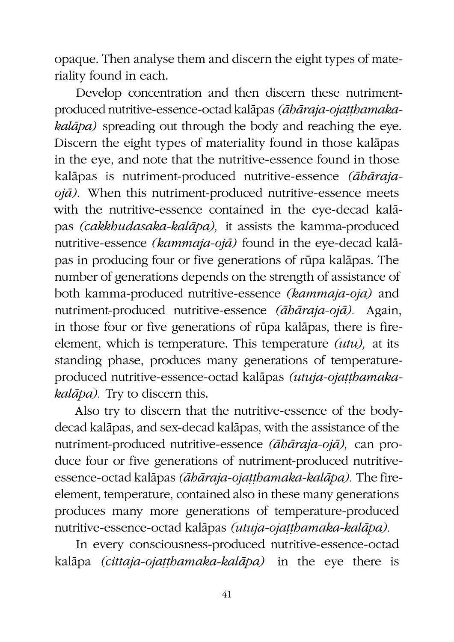opaque. Then analyse them and discern the eight types of materiality found in each.

Develop concentration and then discern these nutriment produced nutritive-essence-octad kalàpas *(àhàraja-ojaññhamaka* kalāpa) spreading out through the body and reaching the eye.<br>Discern the eight types of materiality found in those kalāpas<br>in the eye, and note that the nutritive-essence found in those<br>kalāpas is nutriment-produced nutrit *ojà).* When this nutriment-produced nutritive-essence meets with the nutritive-essence contained in the eye-decad kalàpas *(cakkhudasaka-kalàpa),* it assists the kamma-produced nutritive-essence *(kammaja-ojà)* found in the eye-decad kalàpas in producing four or five generations of rūpa kalāpas. The<br>number of generations depends on the strength of assistance of<br>both kamma-produced nutritive-essence *(kammaja-oja)* and<br>nutriment-produced nutritive-essence element, which is temperature. This temperature *(utu),* at its standing phase, produces many generations of temperature produced nutritive-essence-octad kalāpas *(utuja-ojațibamakakalàpa).* Try to discern this.

Also try to discern that the nutritive-essence of the body decad kalàpas, and sex-decad kalàpas, with the assistance of the nutriment-produced nutritive-essence *(àhàraja-ojà),* can produce four or five generations of nutriment-produced nutritive essence-octad kalāpas *(āhāraja-ojatthamaka-kalāpa)*. The fireelement, temperature, contained also in these many generations produces many more generations of temperature-produced nutritive-essence-octad kalàpas *(utuja-ojaññhamaka-kalàpa).*

In every consciousness-produced nutritive-essence-octad kalāpa *(cittaja-ojatthamaka-kalāpa)* in the eye there is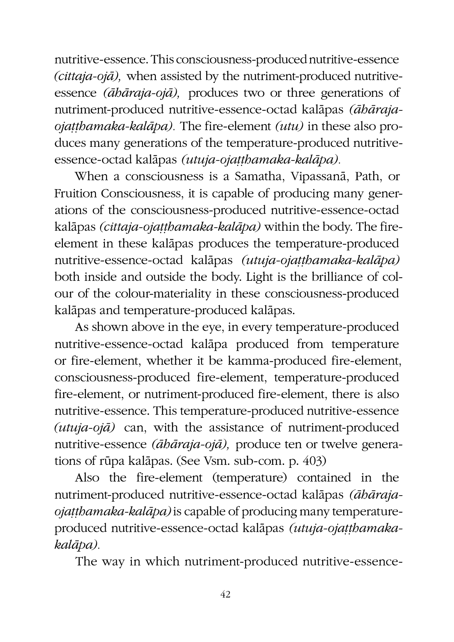nutritive-essence. This consciousness-produced nutritive-essence *(cittaja-ojà),* when assisted by the nutriment-produced nutritive essence *(àhàraja-ojà),* produces two or three generations of nutriment-produced nutritive-essence-octad kalàpas *(àhàraja ojaṭṭbamaka-kalāpa)*. The fire-element *(utu)* in these also produces many generations of the temperature-produced nutritive essence-octad kalāpas *(utuja-ojațthamaka-kalāpa)*.

When a consciousness is a Samatha, Vipassanà, Path, or Fruition Consciousness, it is capable of producing many generations of the consciousness-produced nutritive-essence-octad kalāpas *(cittaja-ojaṭṭbamaka-kalāpa)* within the body. The fireelement in these kalāpas produces the temperature-produced nutritive-essence-octad kalāpas *(utuja-ojaṭthamaka-kalāpa)* both inside and outside the body. Light is the brilliance of colour of the colour-materiality in these consciousness-produced kalàpas and temperature-produced kalàpas.

As shown above in the eye, in every temperature-produced<br>nutritive-essence-octad kalāpa produced from temperature<br>or fire-element, whether it be kamma-produced fire-element,<br>consciousness-produced fire-element, temperature *(utuja-ojà)* can, with the assistance of nutriment-produced nutritive-essence *(àhàraja-ojà),* produce ten or twelve generations of råpa kalàpas. (See Vsm. sub-com. p. 403)

Also the fire-element (temperature) contained in the nutriment-produced nutritive-essence-octad kalàpas *(àhàraja ojațthamaka-kalāpa)* is capable of producing many temperatureproduced nutritive-essence-octad kalāpas *(utuja-ojatthamakakalàpa).*

The way in which nutriment-produced nutritive-essence-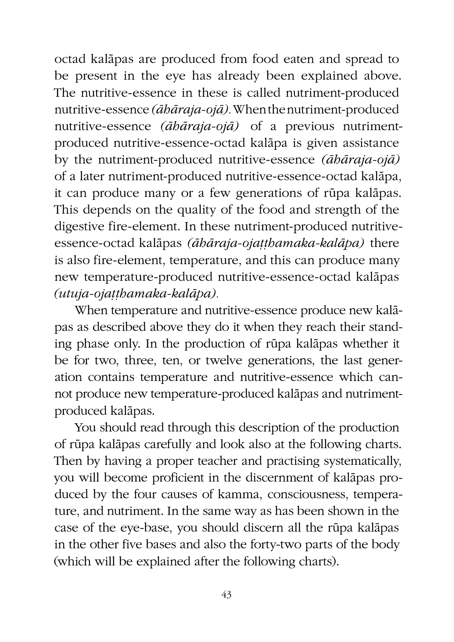octad kalāpas are produced from food eaten and spread to<br>be present in the eye has already been explained above.<br>The nutritive-essence in these is called nutriment-produced<br>nutritive-essence ( $\bar{a}b\bar{a}raja-oj\bar{a}$ ). When produced nutritive-essence-octad kalàpa is given assistance by the nutriment-produced nutritive-essence *(àhàraja-ojà)* of a later nutriment-produced nutritive-essence-octad kalāpa,<br>it can produce many or a few generations of rūpa kalāpas.<br>This depends on the quality of the food and strength of the<br>digestive fire-element. In these nutriment essence-octad kalāpas *(āhāraja-ojaṭṭhamaka-kalāpa)* there is also fire-element, temperature, and this can produce many new temperature-produced nutritive-essence-octad kalāpas *(utuja-ojaññhamaka-kalàpa).*

When temperature and nutritive-essence produce new kalàpas as described above they do it when they reach their standing phase only. In the production of råpa kalàpas whether it be for two, three, ten, or twelve generations, the last generation contains temperature and nutritive-essence which cannot produce new temperature-produced kalàpas and nutriment produced kalàpas.

You should read through this description of the production<br>of rūpa kalāpas carefully and look also at the following charts.<br>Then by having a proper teacher and practising systematically,<br>you will become proficient in the d duced by the four causes of kamma, consciousness, temperature, and nutriment. In the same way as has been shown in the<br>case of the eye-base, you should discern all the rūpa kalāpas<br>in the other five bases and also the forty-two parts of the body<br>(which will be explained after th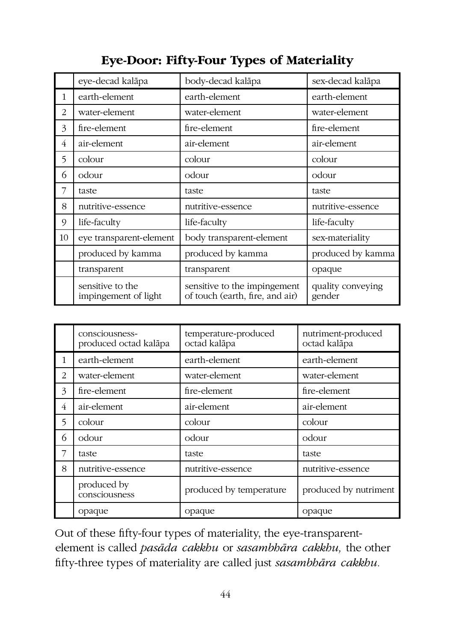|                | eye-decad kalāpa                         | body-decad kalāpa                                               | sex-decad kalāpa            |
|----------------|------------------------------------------|-----------------------------------------------------------------|-----------------------------|
| 1              | earth-element                            | earth-element                                                   | earth-element               |
| $\overline{2}$ | water-element                            | water-element                                                   | water-element               |
| 3              | fire-element                             | fire-element                                                    | fire-element                |
| $\overline{4}$ | air-element                              | air-element                                                     | air-element                 |
| 5              | colour                                   | colour                                                          | colour                      |
| 6              | odour                                    | odour                                                           | odour                       |
| 7              | taste                                    | taste                                                           | taste                       |
| 8              | nutritive-essence                        | nutritive-essence                                               | nutritive-essence           |
| 9              | life-faculty                             | life-faculty                                                    | life-faculty                |
| 10             | eye transparent-element                  | body transparent-element                                        | sex-materiality             |
|                | produced by kamma                        | produced by kamma                                               | produced by kamma           |
|                | transparent                              | transparent                                                     | opaque                      |
|                | sensitive to the<br>impingement of light | sensitive to the impingement<br>of touch (earth, fire, and air) | quality conveying<br>gender |

#### **Eye-Door: Fifty-Four Types of Materiality**

|                | consciousness-<br>produced octad kalāpa | temperature-produced<br>octad kalāpa | nutriment-produced<br>octad kalāpa |
|----------------|-----------------------------------------|--------------------------------------|------------------------------------|
| 1              | earth-element                           | earth-element                        | earth-element                      |
| $\overline{2}$ | water-element                           | water-element                        | water-element                      |
| 3              | fire-element                            | fire-element                         | fire-element                       |
| 4              | air-element                             | air-element                          | air-element                        |
| 5              | colour                                  | colour                               | colour                             |
| 6              | odour                                   | odour                                | odour                              |
| 7              | taste                                   | taste                                | taste                              |
| 8              | nutritive-essence                       | nutritive-essence                    | nutritive-essence                  |
|                | produced by<br>consciousness            | produced by temperature              | produced by nutriment              |
|                | opaque                                  | opaque                               | opaque                             |

Out of these fifty-four types of materiality, the eye-transparent element is called *pasàda cakkhu* or *sasambhàra cakkhu,* the other fifty-three types of materiality are called just *sasambhàra cakkhu.*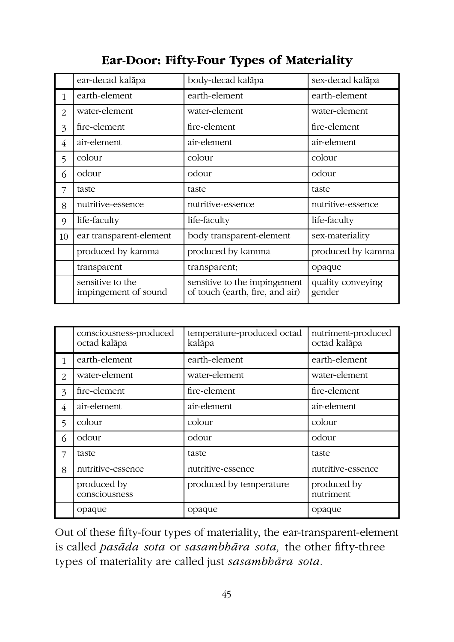|                | ear-decad kalāpa                         | body-decad kalāpa                                               | sex-decad kalāpa            |
|----------------|------------------------------------------|-----------------------------------------------------------------|-----------------------------|
| $\mathbf{1}$   | earth-element                            | earth-element                                                   | earth-element               |
| $\overline{2}$ | water-element                            | water-element                                                   | water-element               |
| 3              | fire-element                             | fire-element                                                    | fire-element                |
| $\overline{4}$ | air-element                              | air-element                                                     | air-element                 |
| 5              | colour                                   | colour                                                          | colour                      |
| 6              | odour                                    | odour                                                           | odour                       |
| 7              | taste                                    | taste                                                           | taste                       |
| 8              | nutritive-essence                        | nutritive-essence                                               | nutritive-essence           |
| 9              | life-faculty                             | life-faculty                                                    | life-faculty                |
| 10             | ear transparent-element                  | body transparent-element                                        | sex-materiality             |
|                | produced by kamma                        | produced by kamma                                               | produced by kamma           |
|                | transparent                              | transparent;                                                    | opaque                      |
|                | sensitive to the<br>impingement of sound | sensitive to the impingement<br>of touch (earth, fire, and air) | quality conveying<br>gender |

#### **Ear-Door: Fifty-Four Types of Materiality**

|                | consciousness-produced<br>octad kalāpa | temperature-produced octad<br>kalāpa | nutriment-produced<br>octad kalāpa |
|----------------|----------------------------------------|--------------------------------------|------------------------------------|
| 1              | earth-element                          | earth-element                        | earth-element                      |
| $\overline{2}$ | water-element                          | water-element                        | water-element                      |
| 3              | fire-element                           | fire-element                         | fire-element                       |
| $\overline{4}$ | air-element                            | air-element                          | air-element                        |
| 5              | colour                                 | colour                               | colour                             |
| 6              | odour                                  | odour                                | odour                              |
| 7              | taste                                  | taste                                | taste                              |
| 8              | nutritive-essence                      | nutritive-essence                    | nutritive-essence                  |
|                | produced by<br>consciousness           | produced by temperature              | produced by<br>nutriment           |
|                | opaque                                 | opaque                               | opaque                             |

Out of these fifty-four types of materiality, the ear-transparent-element is called *pasàda sota* or *sasambhàra sota,* the other fifty-three types of materiality are called just *sasambhàra sota.*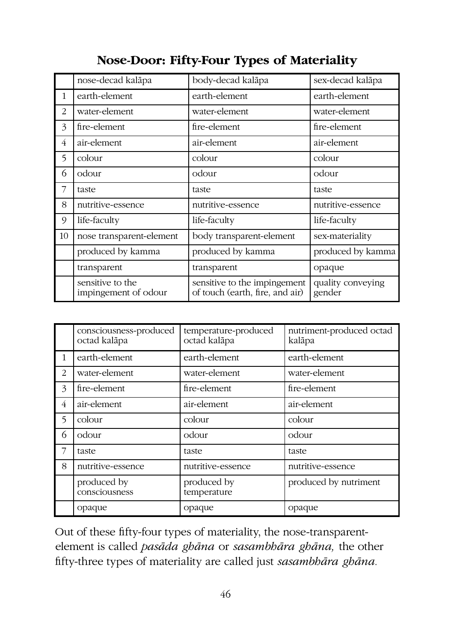|                | nose-decad kalāpa                        | body-decad kalāpa                                               | sex-decad kalāpa            |
|----------------|------------------------------------------|-----------------------------------------------------------------|-----------------------------|
| $\mathbf{1}$   | earth-element                            | earth-element                                                   | earth-element               |
| $\overline{2}$ | water-element                            | water-element                                                   | water-element               |
| 3              | fire-element                             | fire-element                                                    | fire-element                |
| $\overline{4}$ | air-element                              | air-element                                                     | air-element                 |
| 5              | colour                                   | colour                                                          | colour                      |
| 6              | odour                                    | odour                                                           | odour                       |
| 7              | taste                                    | taste                                                           | taste                       |
| 8              | nutritive-essence                        | nutritive-essence                                               | nutritive-essence           |
| 9              | life-faculty                             | life-faculty                                                    | life-faculty                |
| 10             | nose transparent-element                 | body transparent-element                                        | sex-materiality             |
|                | produced by kamma                        | produced by kamma                                               | produced by kamma           |
|                | transparent                              | transparent                                                     | opaque                      |
|                | sensitive to the<br>impingement of odour | sensitive to the impingement<br>of touch (earth, fire, and air) | quality conveying<br>gender |

#### **Nose-Door: Fifty-Four Types of Materiality**

|                | consciousness-produced<br>octad kalāpa | temperature-produced<br>octad kalāpa | nutriment-produced octad<br>kalāpa |
|----------------|----------------------------------------|--------------------------------------|------------------------------------|
| 1              | earth-element                          | earth-element                        | earth-element                      |
| $\overline{2}$ | water-element                          | water-element                        | water-element                      |
| 3              | fire-element                           | fire-element                         | fire-element                       |
| $\overline{4}$ | air-element                            | air-element                          | air-element                        |
| 5              | colour                                 | colour                               | colour                             |
| 6              | odour                                  | odour                                | odour                              |
| 7              | taste                                  | taste                                | taste                              |
| 8              | nutritive-essence                      | nutritive-essence                    | nutritive-essence                  |
|                | produced by<br>consciousness           | produced by<br>temperature           | produced by nutriment              |
|                | opaque                                 | opaque                               | opaque                             |

Out of these fifty-four types of materiality, the nose-transparent element is called *pasàda ghàna* or *sasambhàra ghàna,* the other fifty-three types of materiality are called just *sasambhàra ghàna.*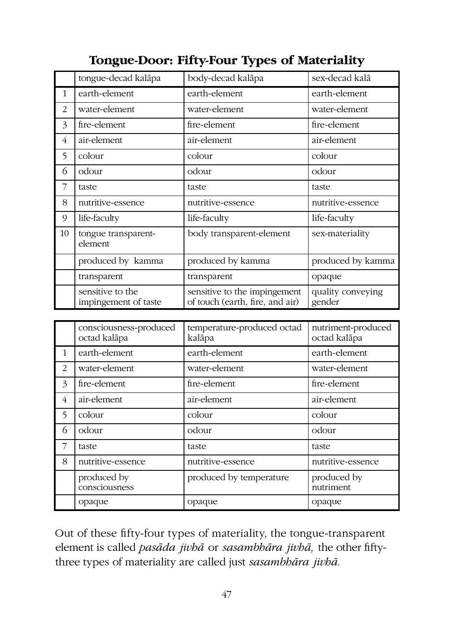|                | tongue-decad kalāpa                      | body-decad kalāpa                                               | sex-decad kalā              |
|----------------|------------------------------------------|-----------------------------------------------------------------|-----------------------------|
| $\mathbf{1}$   | earth-element                            | earth-element                                                   | earth-element               |
| $\overline{2}$ | water-element                            | water-element                                                   | water-element               |
| 3              | fire-element                             | fire-element                                                    | fire-element                |
| $\overline{4}$ | air-element                              | air-element                                                     | air-element                 |
| 5              | colour                                   | colour                                                          | colour                      |
| 6              | odour                                    | odour                                                           | odour                       |
| 7              | taste                                    | taste                                                           | taste                       |
| 8              | nutritive-essence                        | nutritive-essence                                               | nutritive-essence           |
| 9              | life-faculty                             | life-faculty                                                    | life-faculty                |
| 10             | tongue transparent-<br>element           | body transparent-element                                        | sex-materiality             |
|                | produced by kamma                        | produced by kamma                                               | produced by kamma           |
|                | transparent                              | transparent                                                     | opaque                      |
|                | sensitive to the<br>impingement of taste | sensitive to the impingement<br>of touch (earth, fire, and air) | quality conveying<br>gender |

#### **Tongue-Door: Fifty-Four Types of Materiality**

|                | consciousness-produced<br>octad kalāpa | temperature-produced octad<br>kalāpa | nutriment-produced<br>octad kalāpa |
|----------------|----------------------------------------|--------------------------------------|------------------------------------|
| $\mathbf{1}$   | earth-element                          | earth-element                        | earth-element                      |
| 2              | water-element                          | water-element                        | water-element                      |
| 3              | fire-element                           | fire-element                         | fire-element                       |
| 4              | air-element                            | air-element                          | air-element                        |
| 5              | colour                                 | colour                               | colour                             |
| 6              | odour                                  | odour                                | odour                              |
| $\overline{7}$ | taste                                  | taste                                | taste                              |
| 8              | nutritive-essence                      | nutritive-essence                    | nutritive-essence                  |
|                | produced by<br>consciousness           | produced by temperature              | produced by<br>nutriment           |
|                | opaque                                 | opaque                               | opaque                             |

Out of these fifty-four types of materiality, the tongue-transparent element is called *pasàda jivhà* or *sasambhàra jivhà,* the other fifty three types of materiality are called just *sasambhàra jivhà.*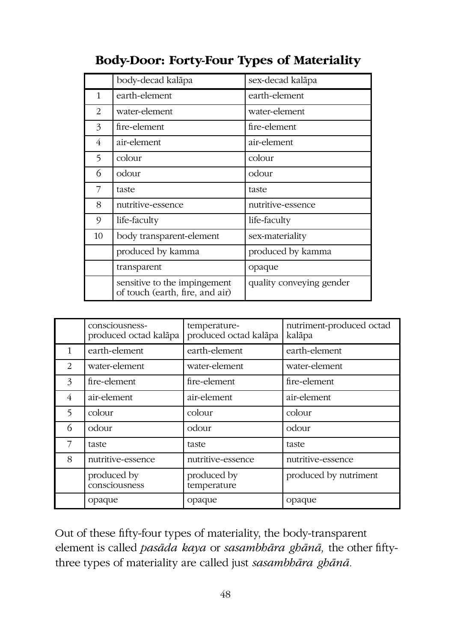|    | body-decad kalāpa                                               | sex-decad kalāpa         |
|----|-----------------------------------------------------------------|--------------------------|
| 1  | earth-element                                                   | earth-element            |
| 2  | water-element                                                   | water-element            |
| 3  | fire-element                                                    | fire-element             |
| 4  | air-element                                                     | air-element              |
| 5  | colour                                                          | colour                   |
| 6  | odour                                                           | odour                    |
| 7  | taste                                                           | taste                    |
| 8  | nutritive-essence                                               | nutritive-essence        |
| 9  | life-faculty                                                    | life-faculty             |
| 10 | body transparent-element                                        | sex-materiality          |
|    | produced by kamma                                               | produced by kamma        |
|    | transparent                                                     | opaque                   |
|    | sensitive to the impingement<br>of touch (earth, fire, and air) | quality conveying gender |

#### **Body-Door: Forty-Four Types of Materiality**

|   | consciousness-<br>produced octad kalāpa | temperature-<br>produced octad kalāpa | nutriment-produced octad<br>kalāpa |
|---|-----------------------------------------|---------------------------------------|------------------------------------|
| 1 | earth-element                           | earth-element                         | earth-element                      |
| 2 | water-element                           | water-element                         | water-element                      |
| 3 | fire-element                            | fire-element                          | fire-element                       |
| 4 | air-element                             | air-element                           | air-element                        |
| 5 | colour                                  | colour                                | colour                             |
| 6 | odour                                   | odour                                 | odour                              |
| 7 | taste                                   | taste                                 | taste                              |
| 8 | nutritive-essence                       | nutritive-essence                     | nutritive-essence                  |
|   | produced by<br>consciousness            | produced by<br>temperature            | produced by nutriment              |
|   | opaque                                  | opaque                                | opaque                             |

Out of these fifty-four types of materiality, the body-transparent element is called *pasàda kaya* or *sasambhàra ghànà,* the other fifty three types of materiality are called just *sasambhàra ghànà.*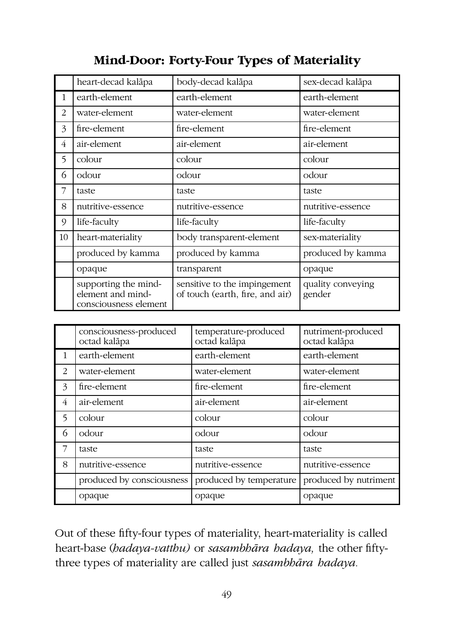|                | heart-decad kalāpa                                                 | body-decad kalāpa                                               | sex-decad kalāpa            |
|----------------|--------------------------------------------------------------------|-----------------------------------------------------------------|-----------------------------|
| 1              | earth-element                                                      | earth-element                                                   | earth-element               |
| 2              | water-element                                                      | water-element                                                   | water-element               |
| 3              | fire-element                                                       | fire-element                                                    | fire-element                |
| $\overline{4}$ | air-element                                                        | air-element                                                     | air-element                 |
| 5              | colour                                                             | colour                                                          | colour                      |
| 6              | odour                                                              | odour                                                           | odour                       |
| 7              | taste                                                              | taste                                                           | taste                       |
| 8              | nutritive-essence                                                  | nutritive-essence                                               | nutritive-essence           |
| 9              | life-faculty                                                       | life-faculty                                                    | life-faculty                |
| 10             | heart-materiality                                                  | body transparent-element                                        | sex-materiality             |
|                | produced by kamma                                                  | produced by kamma                                               | produced by kamma           |
|                | opaque                                                             | transparent                                                     | opaque                      |
|                | supporting the mind-<br>element and mind-<br>consciousness element | sensitive to the impingement<br>of touch (earth, fire, and air) | quality conveying<br>gender |

#### **Mind-Door: Forty-Four Types of Materiality**

|   | consciousness-produced<br>octad kalāpa | temperature-produced<br>octad kalāpa | nutriment-produced<br>octad kalāpa |
|---|----------------------------------------|--------------------------------------|------------------------------------|
| 1 | earth-element                          | earth-element                        | earth-element                      |
| 2 | water-element                          | water-element                        | water-element                      |
| 3 | fire-element                           | fire-element                         | fire-element                       |
| 4 | air-element                            | air-element                          | air-element                        |
| 5 | colour                                 | colour                               | colour                             |
| 6 | odour                                  | odour                                | odour                              |
| 7 | taste                                  | taste                                | taste                              |
| 8 | nutritive-essence                      | nutritive-essence                    | nutritive-essence                  |
|   | produced by consciousness              | produced by temperature              | produced by nutriment              |
|   | opaque                                 | opaque                               | opaque                             |

Out of these fifty-four types of materiality, heart-materiality is called heart-base (*hadaya-vatthu)* or *sasambhàra hadaya,* the other fifty three types of materiality are called just *sasambhàra hadaya.*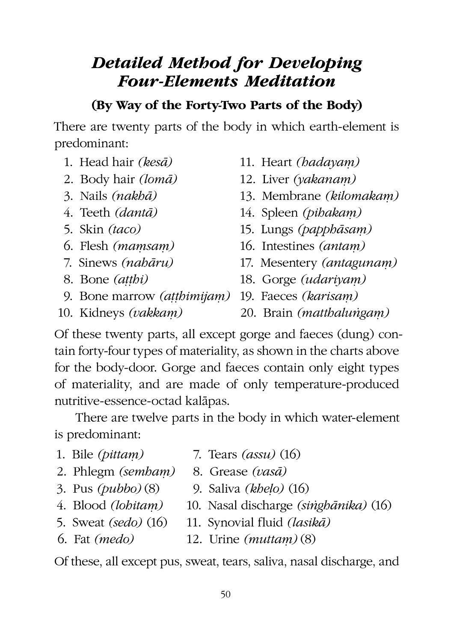# *Detailed Method for Developing Four-Elements Meditation*

#### **(By Way of the Forty-Two Parts of the Body)**

There are twenty parts of the body in which earth-element is predominant:<br>1. Head hair *(kesā)* 11. Heart *(badavam)* 

- 
- 2. Body hair *(lomà)*
- 3. Nails *(nakhà)*
- 4. Teeth *(dantà)*
- 5. Skin *(taco)*
- 6. Flesh (mamsam)
- 7. Sinews *(nahàru)*
- 8. Bone *(atthi)*
- 9. Bone marrow *(aṭṭbimijaṃ)* 19. Faeces *(karisaṃ)*
- 10. Kidneys (vakkam)
- 11. Heart *(badayam)*
- 12. Liver (yakanam)
- 13. Membrane *(kilomakam)*
- 14. Spleen *(pihakam)*
- 15. Lungs *(papphāsam)*
- 16. Intestines *(antam)*
- 17. Mesentery *(antagunam)*
- 18. Gorge *(udariyam)*
- - 20. Brain *(matthalungam)*

Of these twenty parts, all except gorge and faeces (dung) contain forty-four types of materiality, as shown in the charts above for the body-door. Gorge and faeces contain only eight types of materiality, and are made of only temperature-produced nutritive-essence-octad kalàpas.

There are twelve parts in the body in which water-element is predominant:

- 
- 2. Phlegm *(sembam)* 8. Grease *(vasā)*
- 
- 
- 
- 1. Bile *(pittaü)* 7. Tears *(assu)* (16)
	-
- 3. Pus *(pubbo)* (8) 9. Saliva *(kheëo)* (16)
- 4. Blood *(lohitaü)* 10. Nasal discharge *(siïghànika)* (16)
- 5. Sweat *(sedo)* (16) 11. Synovial fluid *(lasikà)*
- 6. Fat *(medo)* 12. Urine *(muttaü)* (8)

Of these, all except pus, sweat, tears, saliva, nasal discharge, and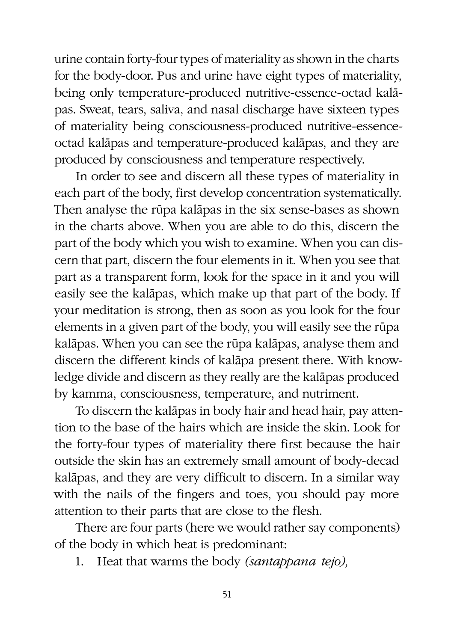urine contain forty-four types of materiality as shown in the charts for the body-door. Pus and urine have eight types of materiality, being only temperature-produced nutritive-essence-octad kalàpas. Sweat, tears, saliva, and nasal discharge have sixteen types of materiality being consciousness-produced nutritive-essence octad kalàpas and temperature-produced kalàpas, and they are produced by consciousness and temperature respectively.

In order to see and discern all these types of materiality in<br>each part of the body, first develop concentration systematically.<br>Then analyse the rūpa kalāpas in the six sense-bases as shown<br>in the charts above. When you a cern that part, discern the four elements in it. When you see that<br>part as a transparent form, look for the space in it and you will<br>easily see the kalāpas, which make up that part of the body. If<br>your meditation is strong ledge divide and discern as they really are the kalàpas produced by kamma, consciousness, temperature, and nutriment.

To discern the kalàpas in body hair and head hair, pay attention to the base of the hairs which are inside the skin. Look for<br>the forty-four types of materiality there first because the hair<br>outside the skin has an extremely small amount of body-decad<br>kalāpas, and they are very dif

There are four parts (here we would rather say components) of the body in which heat is predominant:

1. Heat that warms the body *(santappana tejo),*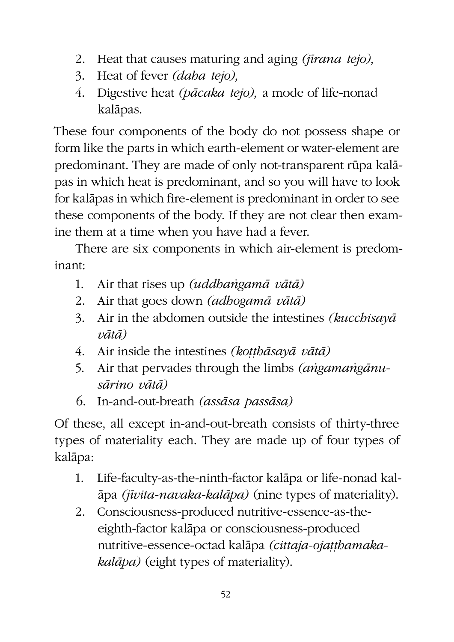- 2. Heat that causes maturing and aging *(jãrana tejo),*
- 3. Heat of fever *(daha tejo),*
- 4. Digestive heat *(pàcaka tejo),* a mode of life-nonad kalàpas.

These four components of the body do not possess shape or form like the parts in which earth-element or water-element are predominant. They are made of only not-transparent råpa kalàpas in which heat is predominant, and so you will have to look for kalàpas in which fire-element is predominant in order to see these components of the body. If they are not clear then examine them at a time when you have had a fever.

There are six components in which air-element is predominant:

- 1. Air that rises up *(uddhaïgamà vàtà)*
- 2. Air that goes down *(adhogamà vàtà)*
- 3. Air in the abdomen outside the intestines *(kucchisayà vàtà)*
- 4. Air inside the intestines *(kotthāsayā vātā)*
- 5. Air that pervades through the limbs *(aïgamaïgànu sàrino vàtà)*
- 6. In-and-out-breath *(assàsa passàsa)*

Of these, all except in-and-out-breath consists of thirty-three types of materiality each. They are made up of four types of kalàpa:

- 1. Life-faculty-as-the-ninth-factor kalàpa or life-nonad kal àpa *(jãvita-navaka-kalàpa)* (nine types of materiality).
- 2. Consciousness-produced nutritive-essence-as-the eighth-factor kalàpa or consciousness-produced nutritive-essence-octad kalàpa *(cittaja-ojaññhamaka kalàpa)* (eight types of materiality).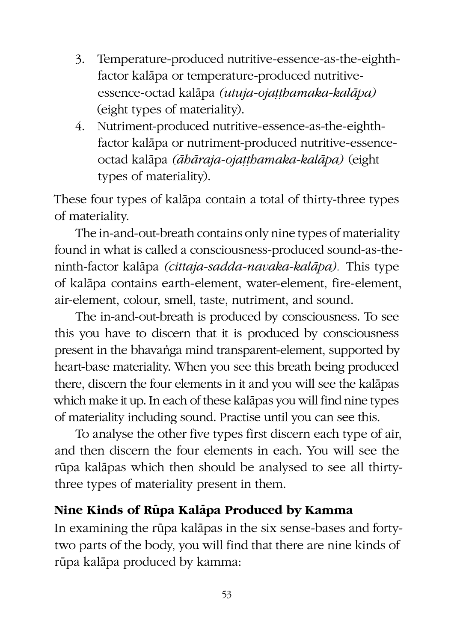- 3. Temperature-produced nutritive-essence-as-the-eighth factor kalàpa or temperature-produced nutritive essence-octad kalāpa (utuja-ojațthamaka-kalāpa) (eight types of materiality).
- 4. Nutriment-produced nutritive-essence-as-the-eighth factor kalàpa or nutriment-produced nutritive-essence octad kalāpa *(āhāraja-ojaṭṭhamaka-kalāpa)* (eight types of materiality).

These four types of kalàpa contain a total of thirty-three types of materiality.

The in-and-out-breath contains only nine types of materiality found in what is called a consciousness-produced sound-as-the ninth-factor kalàpa *(cittaja-sadda-navaka-kalàpa).* This type of kalàpa contains earth-element, water-element, fire-element, air-element, colour, smell, taste, nutriment, and sound.

The in-and-out-breath is produced by consciousness. To see<br>this you have to discern that it is produced by consciousness<br>present in the bhavanga mind transparent-element, supported by<br>heart-base materiality. When you see t

To analyse the other five types first discern each type of air, and then discern the four elements in each. You will see the råpa kalàpas which then should be analysed to see all thirty three types of materiality present in them.

#### **Nine Kinds of Råpa Kalàpa Produced by Kamma**

In examining the råpa kalàpas in the six sense-bases and forty two parts of the body, you will find that there are nine kinds of råpa kalàpa produced by kamma: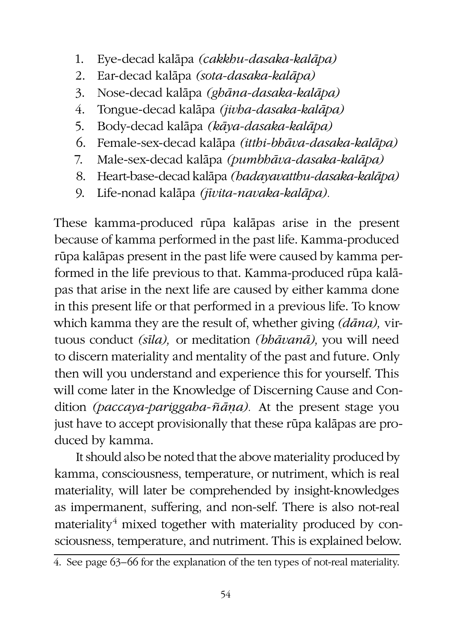- 1. Eye-decad kalàpa *(cakkhu-dasaka-kalàpa)*
- 2. Ear-decad kalàpa *(sota-dasaka-kalàpa)*
- 3. Nose-decad kalàpa *(ghàna-dasaka-kalàpa)*
- 4. Tongue-decad kalàpa *(jivha-dasaka-kalàpa)*
- 5. Body-decad kalàpa *(kàya-dasaka-kalàpa)*
- 6. Female-sex-decad kalàpa *(itthi-bhàva-dasaka-kalàpa)*
- 7. Male-sex-decad kalàpa *(pumbhàva-dasaka-kalàpa)*
- 8. Heart-base-decad kalàpa *(hadayavatthu-dasaka-kalàpa)*
- 9. Life-nonad kalàpa *(jãvita-navaka-kalàpa).*

These kamma-produced råpa kalàpas arise in the present because of kamma performed in the past life. Kamma-produced råpa kalàpas present in the past life were caused by kamma performed in the life previous to that. Kamma-produced råpa kalàpas that arise in the next life are caused by either kamma done in this present life or that performed in a previous life. To know which kamma they are the result of, whether giving *(dàna),* virtuous conduct *(sila)*, or meditation *(bhāvanā)*, you will need<br>to discern materiality and mentality of the past and future. Only<br>then will you understand and experience this for yourself. This<br>will come later in the Know dition *(paccaya-pariggaha-ñāṇa)*. At the present stage you just have to accept provisionally that these rūpa kalāpas are produced by kamma.

It should also be noted that the above materiality produced by<br>kamma, consciousness, temperature, or nutriment, which is real<br>materiality, will later be comprehended by insight-knowledges<br>as impermanent, suffering, and non materiality<sup>4</sup> mixed together with materiality produced by consciousness, temperature, and nutriment. This is explained below.

<sup>4.</sup> See page 63 – 66 for the explanation of the ten types of not-real materiality.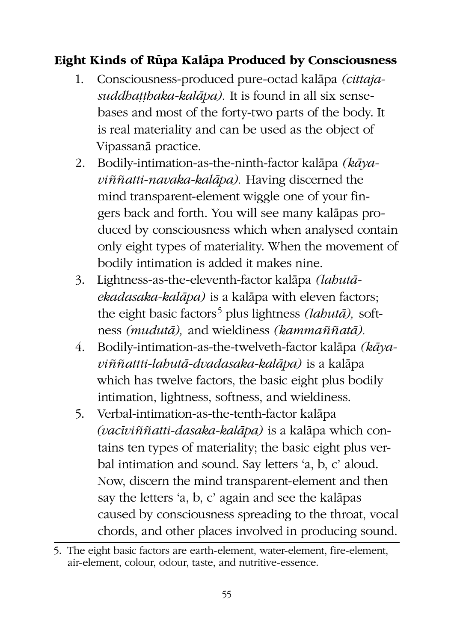#### **Eight Kinds of Råpa Kalàpa Produced by Consciousness**

- 1. Consciousness-produced pure-octad kalàpa *(cittaja suddhatthaka-kalāpa)*. It is found in all six sensebases and most of the forty-two parts of the body. It is real materiality and can be used as the object of Vipassanà practice.
- 2. Bodily-intimation-as-the-ninth-factor kalàpa *(kàya viññatti-navaka-kalāpa)*. Having discerned the mind transparent-element wiggle one of your fingers back and forth. You will see many kalàpas produced by consciousness which when analysed contain only eight types of materiality. When the movement of bodily intimation is added it makes nine.
- 3. Lightness-as-the-eleventh-factor kalàpa *(lahutà ekadasaka-kalāpa)* is a kalāpa with eleven factors; the eight basic factors<sup>5</sup> plus lightness *(labutā)*, softness *(mudutā)*, and wieldiness *(kammaññatā)*.
- 4. Bodily-intimation-as-the-twelveth-factor kalàpa *(kàya vi¤¤attti-lahutà-dvadasaka-kalàpa)* is a kalàpa which has twelve factors, the basic eight plus bodily intimation, lightness, softness, and wieldiness.
- 5. Verbal-intimation-as-the-tenth-factor kalàpa *(vacãvi¤¤atti-dasaka-kalàpa)* is a kalàpa which contains ten types of materiality; the basic eight plus verbal intimation and sound. Say letters 'a, b, c' aloud.<br>Now, discern the mind transparent-element and then<br>say the letters 'a, b, c' again and see the kalāpas<br>caused by consciousness spreading to the throat, vocal<br>chords, a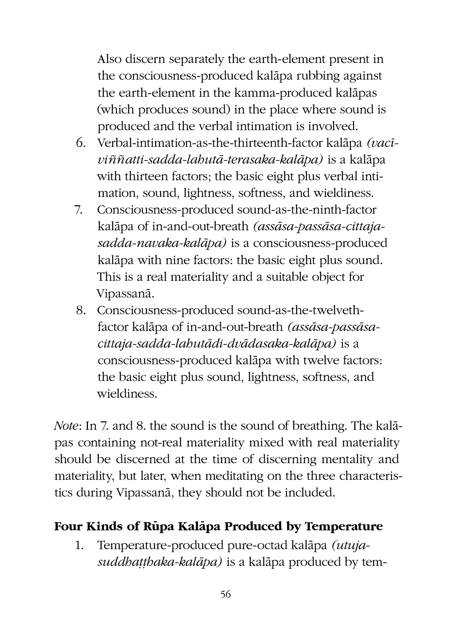Also discern separately the earth-element present in<br>the consciousness-produced kalāpa rubbing against<br>the earth-element in the kamma-produced kalāpas<br>(which produces sound) in the place where sound is<br>produced and the ver

- 6. Verbal-intimation-as-the-thirteenth-factor kalàpa *(vacã vi¤¤atti-sadda-lahutà-terasaka-kalàpa)* is a kalàpa with thirteen factors; the basic eight plus verbal intimation, sound, lightness, softness, and wieldiness.
- 7. Consciousness-produced sound-as-the-ninth-factor kalàpa of in-and-out-breath *(assàsa-passàsa-cittaja sadda-navaka-kalàpa)* is a consciousness-produced kalàpa with nine factors: the basic eight plus sound. This is a real materiality and a suitable object for Vipassanà.
- 8. Consciousness-produced sound-as-the-twelveth factor kalàpa of in-and-out-breath *(assàsa-passàsa cittaja-sadda-lahutàdi-dvàdasaka-kalàpa)* is a consciousness-produced kalàpa with twelve factors: the basic eight plus sound, lightness, softness, and wieldiness.

*Note*: In 7. and 8. the sound is the sound of breathing. The kalàpas containing not-real materiality mixed with real materiality should be discerned at the time of discerning mentality and materiality, but later, when meditating on the three characteristics during Vipassanà, they should not be included.

#### **Four Kinds of Råpa Kalàpa Produced by Temperature**

1. Temperature-produced pure-octad kalàpa *(utuja suddhatthaka-kalāpa)* is a kalāpa produced by tem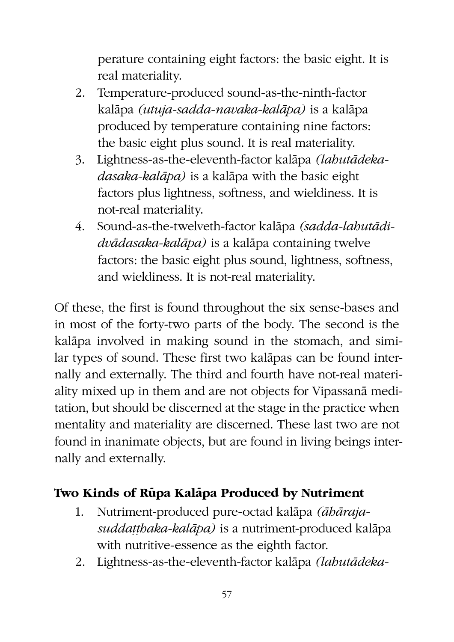perature containing eight factors: the basic eight. It is real materiality.

- 2. Temperature-produced sound-as-the-ninth-factor kalàpa *(utuja-sadda-navaka-kalàpa)* is a kalàpa produced by temperature containing nine factors: the basic eight plus sound. It is real materiality.
- 3. Lightness-as-the-eleventh-factor kalàpa *(lahutàdekadasaka-kalàpa)* is a kalàpa with the basic eight factors plus lightness, softness, and wieldiness. It is not-real materiality.
- 4. Sound-as-the-twelveth-factor kalàpa *(sadda-lahutàdi dvàdasaka-kalàpa)* is a kalàpa containing twelve factors: the basic eight plus sound, lightness, softness, and wieldiness. It is not-real materiality.

Of these, the first is found throughout the six sense-bases and in most of the forty-two parts of the body. The second is the kalàpa involved in making sound in the stomach, and similar types of sound. These first two kalàpas can be found internally and externally. The third and fourth have not-real materiality mixed up in them and are not objects for Vipassanà meditation, but should be discerned at the stage in the practice when mentality and materiality are discerned. These last two are not found in inanimate objects, but are found in living beings internally and externally.

#### **Two Kinds of Råpa Kalàpa Produced by Nutriment**

- 1. Nutriment-produced pure-octad kalàpa *(àhàraja suddaṭṭbaka-kalāpa)* is a nutriment-produced kalāpa<br>with nutritive-essence as the eighth factor.
- 2. Lightness-as-the-eleventh-factor kalàpa *(lahutàdeka-*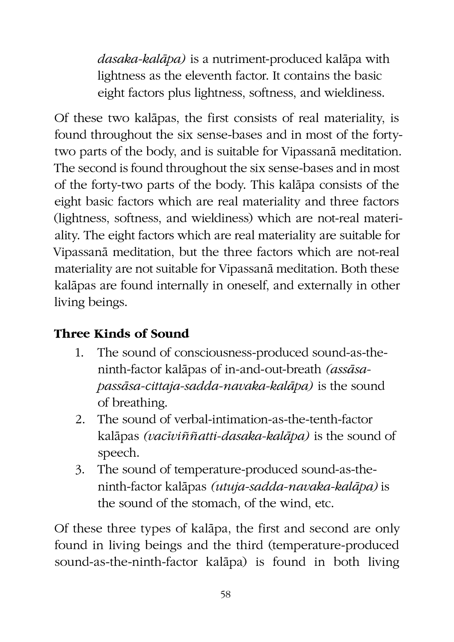*dasaka-kalàpa)* is a nutriment-produced kalàpa with lightness as the eleventh factor. It contains the basic eight factors plus lightness, softness, and wieldiness.

Of these two kalàpas, the first consists of real materiality, is found throughout the six sense-bases and in most of the forty two parts of the body, and is suitable for Vipassana meditation.<br>The second is found throughout the six sense-bases and in most<br>of the forty-two parts of the body. This kalapa consists of the<br>eight basic factors which are ality. The eight factors which are real materiality are suitable for<br>Vipassanā meditation, but the three factors which are not-real<br>materiality are not suitable for Vipassanā meditation. Both these<br>kalāpas are found intern

#### **Three Kinds of Sound**

- 1. The sound of consciousness-produced sound-as-the ninth-factor kalàpas of in-and-out-breath *(assàsa passàsa-cittaja-sadda-navaka-kalàpa)* is the sound of breathing.
- 2. The sound of verbal-intimation-as-the-tenth-factor<br>kalāpas *(vacīviññatti-dasaka-kalāpa)* is the sound of<br>speech.
- 3. The sound of temperature-produced sound-as-the ninth-factor kalàpas *(utuja-sadda-navaka-kalàpa)* is the sound of the stomach, of the wind, etc.

Of these three types of kalàpa, the first and second are only found in living beings and the third (temperature-produced sound-as-the-ninth-factor kalàpa) is found in both living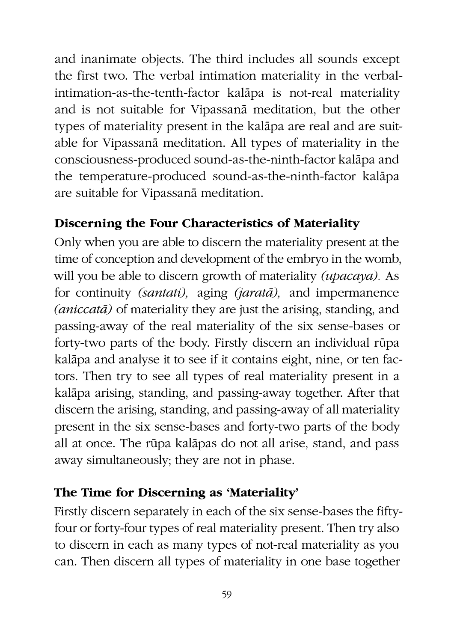and inanimate objects. The third includes all sounds except the first two. The verbal intimation materiality in the verbal intimation-as-the-tenth-factor kalàpa is not-real materiality and is not suitable for Vipassanà meditation, but the other types of materiality present in the kalàpa are real and are suitable for Vipassanà meditation. All types of materiality in the consciousness-produced sound-as-the-ninth-factor kalàpa and the temperature-produced sound-as-the-ninth-factor kalàpa are suitable for Vipassanà meditation.

#### **Discerning the Four Characteristics of Materiality**

Only when you are able to discern the materiality present at the time of conception and development of the embryo in the womb, will you be able to discern growth of materiality (*upacaya*). As for continuity (*santati*), a (aniccata) of materiality they are just the arising, standing, and passing-away of the real materiality of the six sense-bases or forty-two parts of the body. Firstly discern an individual rūpa kalāpa and analyse it to see tors. Then try to see all types of real materiality present in a<br>kalāpa arising, standing, and passing-away together. After that<br>discern the arising, standing, and passing-away of all materiality<br>present in the six sense-b

#### **The Time for Discerning as 'Materiality'**

Firstly discern separately in each of the six sense-bases the fifty four or forty-four types of real materiality present. Then try also to discern in each as many types of not-real materiality as you can. Then discern all types of materiality in one base together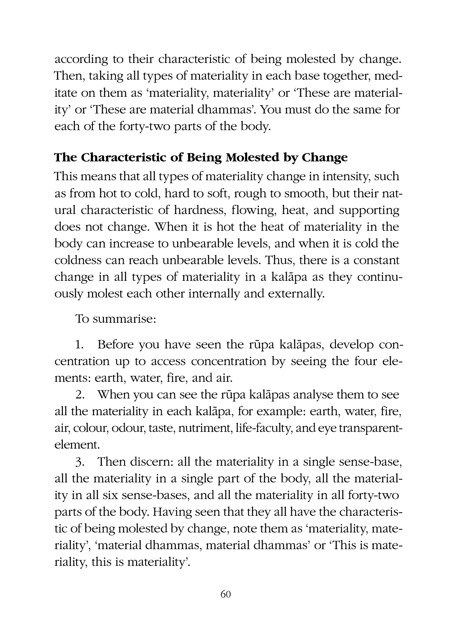according to their characteristic of being molested by change. Then, taking all types of materiality in each base together, meditate on them as 'materiality, materiality' or 'These are materiality' or 'These are material dhammas'. You must do the same for each of the forty-two parts of the body.

#### **The Characteristic of Being Molested by Change**

This means that all types of materiality change in intensity, such as from hot to cold, hard to soft, rough to smooth, but their natural characteristic of hardness, flowing, heat, and supporting<br>does not change. When it is hot the heat of materiality in the<br>body can increase to unbearable levels, and when it is cold the<br>coldness can reach unbearable le ously molest each other internally and externally.

To summarise:

1. Before you have seen the råpa kalàpas, develop concentration up to access concentration by seeing the four elements: earth, water, fire, and air.

2. When you can see the råpa kalàpas analyse them to see all the materiality in each kalàpa, for example: earth, water, fire, air, colour, odour, taste, nutriment, life-faculty, and eye transparent element.

3. Then discern: all the materiality in a single sense-base, all the materiality in a single part of the body, all the materiality in all six sense-bases, and all the materiality in all forty-two parts of the body. Having seen that they all have the characteristic of being molested by change, note them as 'materiality, materiality', 'material dhammas, material dhammas' or 'This is materiality, this is materiality'.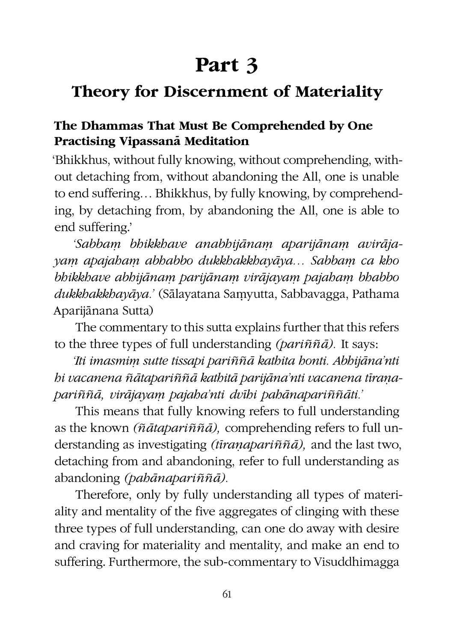## **Part 3**

### **Theory for Discernment of Materiality**

## **The Dhammas That Must Be Comprehended by One Practising Vipassanà Meditation**

'Bhikkhus, without fully knowing, without comprehending, with out detaching from, without abandoning the All, one is unable to end suffering… Bhikkhus, by fully knowing, by comprehend ing, by detaching from, by abandoning the All, one is able to end suffering.'

'Sabbam bhikkhave anabhijānam aparijānam avirāja*yaṃ apajahaṃ abhabbo dukkhakkhayāya... Sabbaṃ ca kho bhikkhave abhijānaṃ parijānaṃ virājayaṃ pajahaṃ bhabbo dukkhakkhayāya.'* (Sālayatana Saṃyutta, Sabbavagga, Pathama Aparijānana Sutta)

The commentary to this sutta explains further that this refers to the three types of full understanding *(pari* $\tilde{n}\tilde{a}$ *)*. It says:

*'Iti imasmiü sutte tissapi pari¤¤à kathita honti. Abhijàna'nti hi vacanena ¤àtapari¤¤à kathità parijàna'nti vacanena tãraõa pari¤¤à, viràjayaü pajaha'nti dvãhi pahànapari¤¤àti.'*

This means that fully knowing refers to full understanding as the known *(* $\tilde{n}$ *ātapari* $\tilde{n}$ *ā)*, comprehending refers to full understanding as investigating *(tīraṇapariññā)*, and the last two, detaching from and abandoning, refer to full understanding as abandoning *(pahānapariññā)*.

Therefore, only by fully understanding all types of materiality and mentality of the five aggregates of clinging with these three types of full understanding, can one do away with desire and craving for materiality and mentality, and make an end to suffering. Furthermore, the sub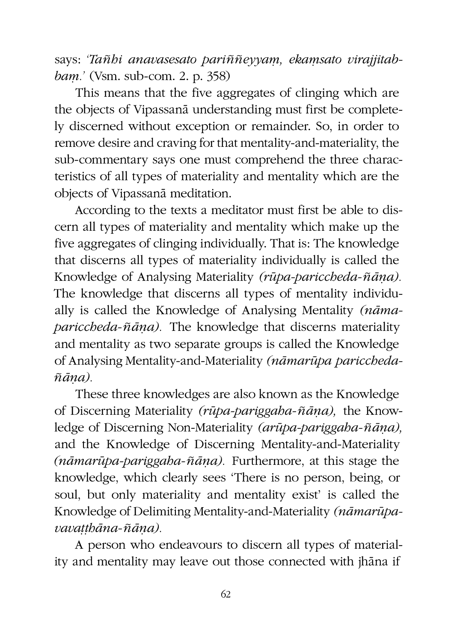says: 'Tañhi anavasesato pariññeyyam, ekamsato virajjitab*bam.'* (Vsm. sub-com. 2. p. 358)

This means that the five aggregates of clinging which are the objects of Vipassanà understanding must first be completely discerned without exception or remainder. So, in order to remove desire and craving for that mentality-and-materiality, the sub-commentary says one must comprehend the three characteristics of all types of materiality and mentality which are the objects of Vipassanà meditation.

According to the texts a meditator must first be able to discern all types of materiality and mentality which make up the<br>five aggregates of clinging individually. That is: The knowledge<br>that discerns all types of materiality individually is called the<br>Knowledge of Analysing Materi The knowledge that discerns all types of mentality individually is called the Knowledge of Analysing Mentality *(nàma pariccheda-¤àõa).* The knowledge that discerns materiality and mentality as two separate groups is called the Knowledge of Analysing Mentality-and-Materiality *(nàmaråpa pariccheda-*  $\tilde{n}$ *āna*).

These three knowledges are also known as the Knowledge of Discerning Materiality *(rūpa-pariggaha-ñāṇa)*, the Knowledge of Discerning Non-Materiality (arūpa-pariggaha-ñāņa), and the Knowledge of Discerning Mentality-and-Materiality (nāmarūpa-pariggaba-ñāṇa). Furthermore, at this stage the knowledge, which clearly sees 'There is no person, being, or soul, but only materiality and mentality exist' is called the Knowledge of Delimiting Mentality-and-Mat *vavaññhàna-¤àõa).*

A person who endeavours to discern all types of materiality and mentality may leave out those connected with jhàna if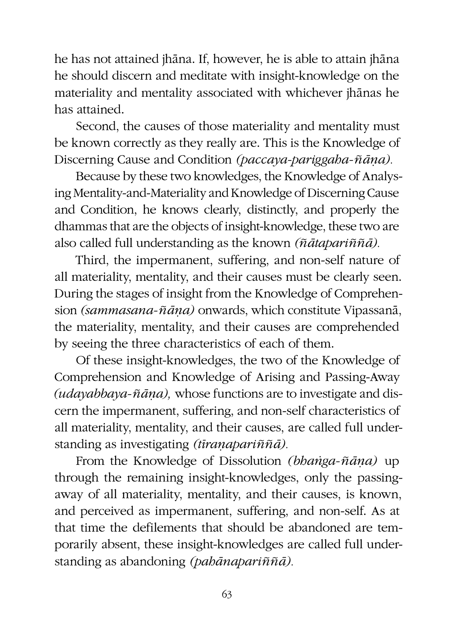he has not attained jhàna. If, however, he is able to attain jhàna he should discern and meditate with insight-knowledge on the materiality and mentality associated with whichever jhànas he has attained.

Second, the causes of those materiality and mentality must be known correctly as they really are. This is the Knowledge of Discerning Cause and Condition *(paccaya-pariggaha-* $\tilde{n}$ *āṇa)*.

Because by these two knowledges, the Knowledge of Analys ing Mentality-and-Materiality and Knowledge of Discerning Cause<br>and Condition, he knows clearly, distinctly, and properly the<br>dhammas that are the objects of insight-knowledge, these two are<br>also called full understanding

Third, the impermanent, suffering, and non-self nature of all materiality, mentality, and their causes must be clearly seen. During the stages of insight from the Knowledge of Comprehension *(sammasana-ñāṇa)* onwards, which constitute Vipassanā, the materiality, mentality, and their causes are comprehended by seeing the three characteristics of each of them.

Of these insight-knowledges, the two of the Knowledge of Comprehension and Knowledge of Arising and Passing-Away *(udayabbaya-¤àõa),* whose functions are to investigate and dis cern the impermanent, suffering, and non-self characteristics of all materiality, mentality, and their causes, are called full understanding as investigating *(tīraņapariññā)*.

From the Knowledge of Dissolution *(bhanga-ñāṇa)* up through the remaining insight-knowledges, only the passingaway of all materiality, mentality, and their causes, is known, and perceived as impermanent, suffering, and non-self. As at that time the defilements that should be abandoned are temporarily absent, these insight-knowledges are called full understanding as abandoning *(pahānapariññā)*.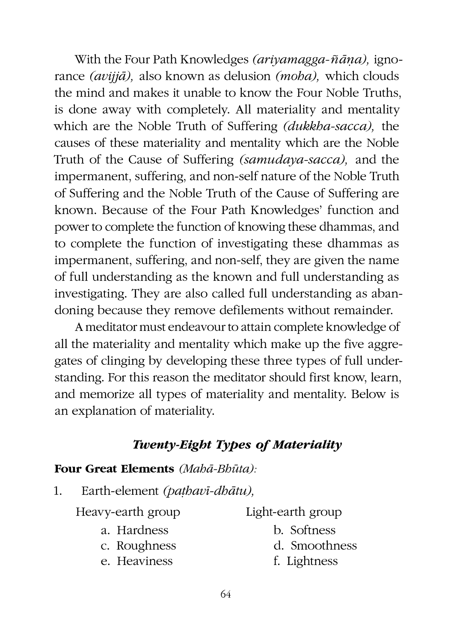With the Four Path Knowledges *(ariyamagga-ñāna)*, ignorance *(avijjā)*, also known as delusion *(moba)*, which clouds<br>the mind and makes it unable to know the Four Noble Truths,<br>is done away with completely. All materiality and mentality<br>which are the Noble Truth of Suffering doning because they remove defilements without remainder.

A meditator must endeavour to attain complete knowledge of all the materiality and mentality which make up the five aggregates of clinging by developing these three types of full understanding. For this reason the meditator should first know, learn, and memorize all types of materiality and mentality. Below is an explanation of materiality.

#### *Twenty-Eight Types of Materiality*

#### **Four Great Elements** *(Mahà-Bhåta):*

1. Earth-element (pathavī-dhātu),

Heavy-earth group Light-earth group

- 
- 
- e. Heaviness f. Lightness
- a. Hardness b. Softness
- c. Roughness d. Smoothness
	-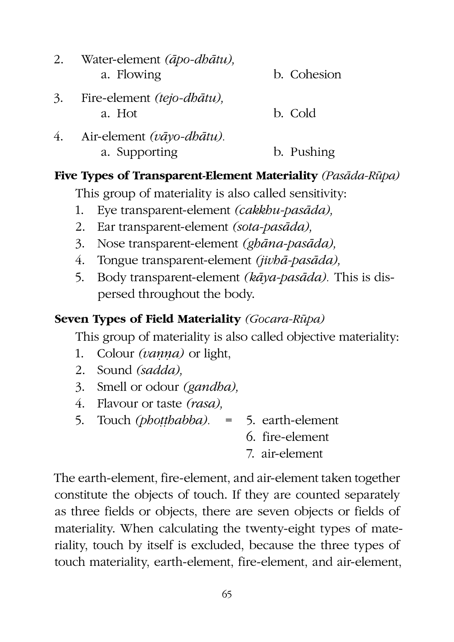| 2. | Water-element (apo-dhatu),<br>a. Flowing     | b. Cohesion |
|----|----------------------------------------------|-------------|
| 3. | Fire-element <i>(tejo-dbātu)</i> ,<br>a. Hot | b. Cold     |
| 4. | Air-element (vāyo-dhātu).                    |             |

a. Supporting b. Pushing

#### **Five Types of Transparent-Element Materiality** *(Pasàda-Råpa)*

This group of materiality is also called sensitivity:

- 1. Eye transparent-element *(cakkhu-pasàda),*
- 2. Ear transparent-element *(sota-pasàda),*
- 3. Nose transparent-element *(ghàna-pasàda),*
- 4. Tongue transparent-element *(jivhà-pasàda),*
- 5. Body transparent-element *(kàya-pasàda).* This is dispersed throughout the body.

#### **Seven Types of Field Materiality** *(Gocara-Råpa)*

This group of materiality is also called objective materiality:

- 1. Colour *(vanna)* or light,
- 2. Sound *(sadda),*
- 3. Smell or odour *(gandha),*
- 4. Flavour or taste *(rasa),*
- 5. Touch *(phoññhabba). =* 5. earth-element
	- 6. fire-element
	- 7. air-element

The earth-element, fire-element, and air-element taken together constitute the objects of touch. If they are counted separately as three fields or objects, there are seven objects or fields of materiality. When calculating riality, touch by itself is excluded, because the three types of touch materiality, earth-element, fire-element, and air-element,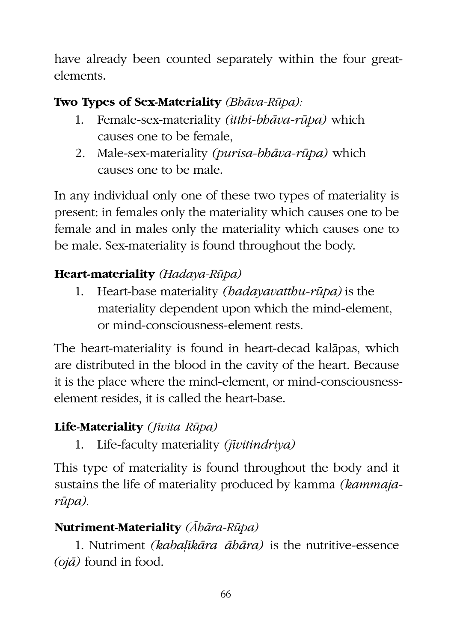have already been counted separately within the four great elements.

#### **Two Types of Sex-Materiality** *(Bhàva-Råpa):*

- 1. Female-sex-materiality *(itthi-bhàva-råpa)* which causes one to be female,
- 2. Male-sex-materiality *(purisa-bhàva-råpa)* which causes one to be male.

In any individual only one of these two types of materiality is<br>present: in females only the materiality which causes one to be<br>female and in males only the materiality which causes one to<br>be male. Sex-materiality is found

#### **Heart-materiality** *(Hadaya-Råpa)*

1. Heart-base materiality *(hadayavatthu-råpa)* is the materiality dependent upon which the mind-element, or mind-consciousness-element rests.

The heart-materiality is found in heart-decad kalàpas, which are distributed in the blood in the cavity of the heart. Because it is the place where the mind-element, or mind-consciousness element resides, it is called the heart-base.

#### **Life-Materiality** *(Jãvita Råpa)*

1. Life-faculty materiality *(jãvitindriya)*

This type of materiality is found throughout the body and it sustains the life of materiality produced by kamma *(kammaja råpa).*

#### **Nutriment-Materiality** *(âhàra-Råpa)*

1. Nutriment *(kabalīkāra āhāra)* is the nutritive-essence *(ojà)* found in food.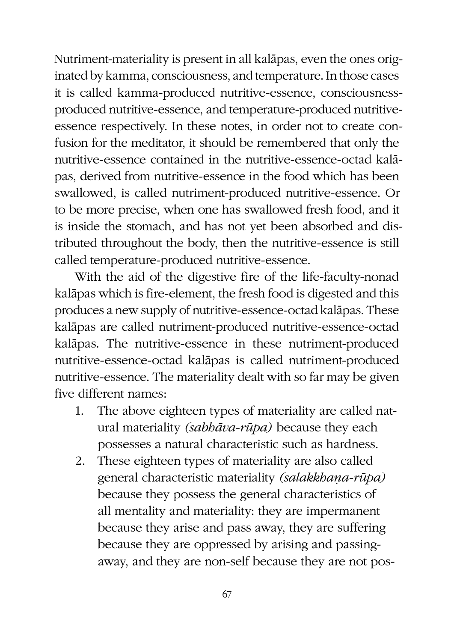Nutriment-materiality is present in all kalàpas, even the ones originated by kamma, consciousness, and temperature. In those cases it is called kamma-produced nutritive-essence, consciousness produced nutritive-essence, and temperature-produced nutritive essence respectively. In these notes, in order not to create confusion for the meditator, it should be remembered that only the nutritive-essence contained in the nutritive-essence-octad kalàpas, derived from nutritive-essence in the food which has been swallowed, is called nutriment-produced nutritive-essence. Or to be more precise, when one has swallowed fresh food, and it is inside the stomach, and has not tributed throughout the body, then the nutritive-essence is still called temperature-produced nutritive-essence.

With the aid of the digestive fire of the life-faculty-nonad<br>kalāpas which is fire-element, the fresh food is digested and this<br>produces a new supply of nutritive-essence-octad kalāpas. These<br>kalāpas are called nutriment-p

- 1. The above eighteen types of materiality are called natural materiality *(sabhàva-råpa)* because they each possesses a natural characteristic such as hardness.
- 2. These eighteen types of materiality are also called general characteristic materiality *(salakkhana-rūpa)* because they possess the general characteristics of all mentality and materiality: they are impermanent because they arise and pass away, they are suffering because they are oppressed by arising and passing away, and they are non-self because they are not pos-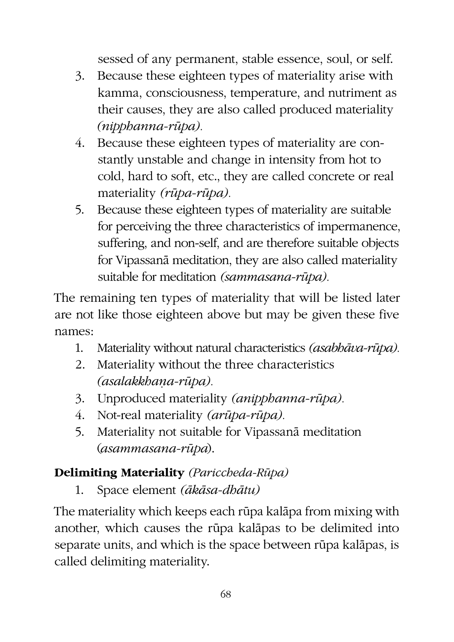sessed of any permanent, stable essence, soul, or self.

- 3. Because these eighteen types of materiality arise with kamma, consciousness, temperature, and nutriment as their causes, they are also called produced materiality *(nipphanna-råpa).*
- 4. Because these eighteen types of materiality are constantly unstable and change in intensity from hot to cold, hard to soft, etc., they are called concrete or real materiality *(råpa-råpa).*
- 5. Because these eighteen types of materiality are suitable<br>for perceiving the three characteristics of impermanence,<br>suffering, and non-self, and are therefore suitable objects<br>for Vipassanā meditation, they are also cal

The remaining ten types of materiality that will be listed later are not like those eighteen above but may be given these five names:

- 1. Materiality without natural characteristics *(asabhàva-råpa).*
- 2. Materiality without the three characteristics *(asalakkhaõa-råpa).*
- 3. Unproduced materiality *(anipphanna-råpa).*
- 4. Not-real materiality *(aråpa-råpa).*
- 5. Materiality not suitable for Vipassanà meditation (*asammasana-råpa*).

## **Delimiting Materiality** *(Pariccheda-Råpa)*

1. Space element *(àkàsa-dhàtu)*

The materiality which keeps each råpa kalàpa from mixing with another, which causes the råpa kalàpas to be delimited into separate units, and which is the space between råpa kalàpas, is called delimiting materiality.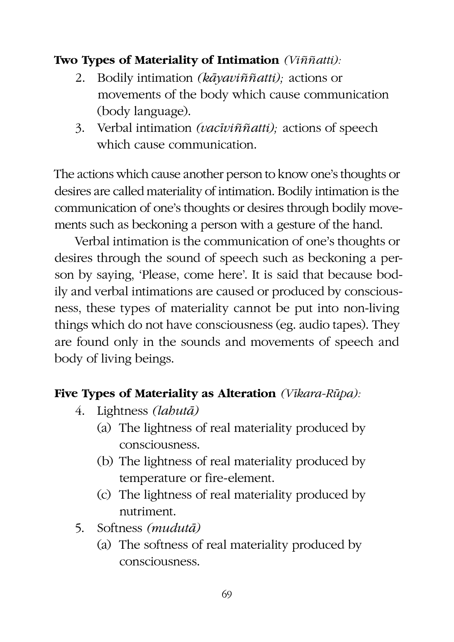#### **Two Types of Materiality of Intimation** *(Vi¤¤atti):*

- 2. Bodily intimation *(kāyaviññatti)*; actions or movements of the body which cause communication (body language).
- 3. Verbal intimation *(vacīviññatti)*; actions of speech which cause communication.

The actions which cause another person to know one's thoughts or desires are called materiality of intimation. Bodily intimation is the communication of one's thoughts or desires through bodily movements such as beckoning a person with a gesture of the hand.

Verbal intimation is the communication of one's thoughts or desires through the sound of speech such as beckoning a person by saying, 'Please, come here'. It is said that because bodily and verbal intimations are caused or produced by consciousness, these types of materiality cannot be put into non-living things which do not have consciousness (eg. audio tapes). They are found only in the sounds and movements of speech and body of living beings.

#### **Five Types of Materiality as Alteration** *(Vãkara-Råpa):*

- 4. Lightness *(lahutà)*
	- (a) The lightness of real materiality produced by consciousness.
	- (b) The lightness of real materiality produced by temperature or fire-element.
	- (c) The lightness of real materiality produced by nutriment.
- 5. Softness *(mudutà)*
	- (a) The softness of real materiality produced by consciousness.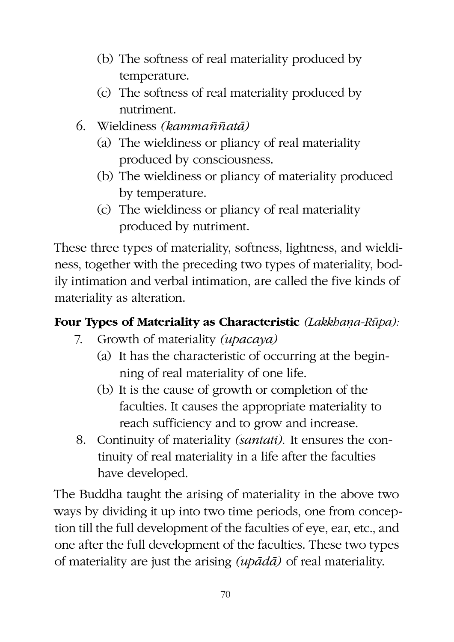- (b) The softness of real materiality produced by temperature.
- (c) The softness of real materiality produced by nutriment.
- 6. Wieldiness *(kamma¤¤atà)*
	- (a) The wieldiness or pliancy of real materiality produced by consciousness.
	- (b) The wieldiness or pliancy of materiality produced by temperature.
	- (c) The wieldiness or pliancy of real materiality produced by nutriment.

These three types of materiality, softness, lightness, and wieldiness, together with the preceding two types of materiality, bodily intimation and verbal intimation, are called the five kinds of materiality as alteration.

## **Four Types of Materiality as Characteristic** *(Lakkhana-Rūpa):*

- 7. Growth of materiality *(upacaya)*
	- (a) It has the characteristic of occurring at the beginning of real materiality of one life.
	- (b) It is the cause of growth or completion of the faculties. It causes the appropriate materiality to reach sufficiency and to grow and increase.
- 8. Continuity of materiality *(santati).* It ensures the continuity of real materiality in a life after the faculties have developed.

The Buddha taught the arising of materiality in the above two ways by dividing it up into two time periods, one from conception till the full development of the faculties of eye, ear, etc., and one after the full development of the faculties. These two types of materiality are just the arising *(upàdà)* of real materiality.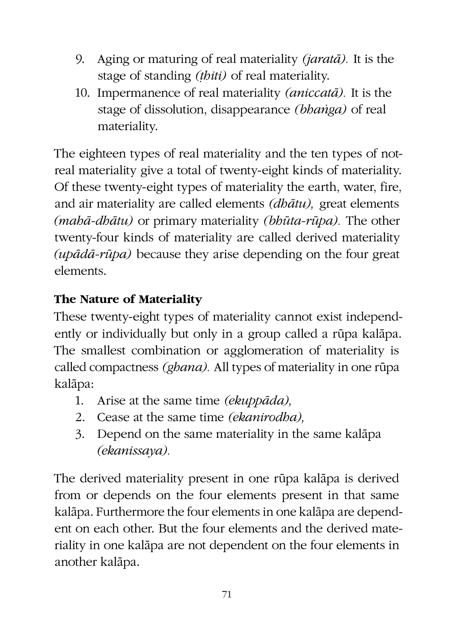- 9. Aging or maturing of real materiality *(jaratà).* It is the stage of standing *(ñhiti)* of real materiality.
- 10. Impermanence of real materiality *(aniccatà).* It is the stage of dissolution, disappearance *(bhaïga)* of real materiality.

The eighteen types of real materiality and the ten types of notreal materiality give a total of twenty-eight kinds of materiality. Of these twenty-eight types of materiality the earth, water, fire, and air materiality are called elements *(dhàtu),* great elements *(mahà-dhàtu)* or primary materiality *(bhåta-råpa).* The other twenty-four kinds of materiality are called derived materiality *(upàdà-råpa)* because they arise depending on the four great elements.

## **The Nature of Materiality**

These twenty-eight types of materiality cannot exist independently or individually but only in a group called a rūpa kalāpa. The smallest combination or agglomeration of materiality is called compactness *(ghana)*. All types of materiality in one rūpa kalāpa:

- 1. Arise at the same time *(ekuppàda),*
- 2. Cease at the same time *(ekanirodha),*
- 3. Depend on the same materiality in the same kalàpa *(ekanissaya).*

The derived materiality present in one råpa kalàpa is derived from or depends on the four elements present in that same kalàpa. Furthermore the four elements in one kalàpa are dependent on each other. But the four elements and the derived materiality in one kalàpa are not dependent on the four elements in another kalàpa.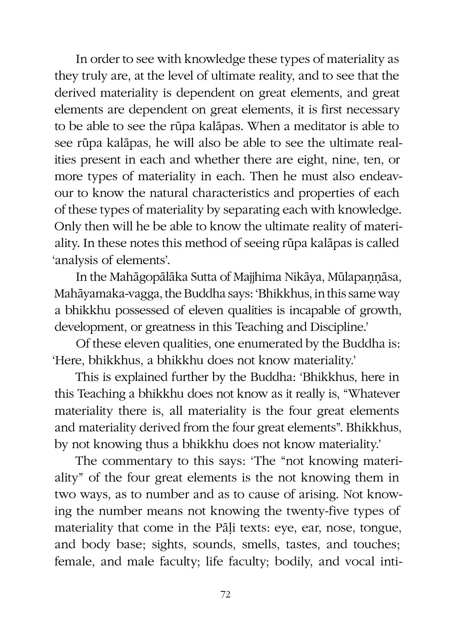In order to see with knowledge these types of materiality as<br>they truly are, at the level of ultimate reality, and to see that the<br>derived materiality is dependent on great elements, and great<br>elements are dependent on gre ities present in each and whether there are eight, nine, ten, or more types of materiality in each. Then he must also endeavour to know the natural characteristics and properties of each of these types of materiality by separating each with knowledge. Only then will he be able to know the ultimate reality of materiality. In these notes this method of seeing råpa kalàpas is called 'analysis of elements'.

In the Mahāgopālāka Sutta of Majjhima Nikāya, Mūlapaṇṇāsa,<br>Mahāyamaka-vagga, the Buddha says: 'Bhikkhus, in this same way<br>a bhikkhu possessed of eleven qualities is incapable of growth,<br>development, or greatness in this Te

Of these eleven qualities, one enumerated by the Buddha is: 'Here, bhikkhus, a bhikkhu does not know materiality.'

This is explained further by the Buddha: 'Bhikkhus, here in this Teaching a bhikkhu does not know as it really is, "Whatever materiality there is, all materiality is the four great elements and materiality derived from the

The commentary to this says: 'The "not knowing materiality" of the four great elements is the not knowing them in two ways, as to number and as to cause of arising. Not knowing the number means not knowing the twenty-five types of<br>materiality that come in the Pāḷi texts: eye, ear, nose, tongue,<br>and body base; sights, sounds, smells, tastes, and touches;<br>female, and male faculty; life faculty;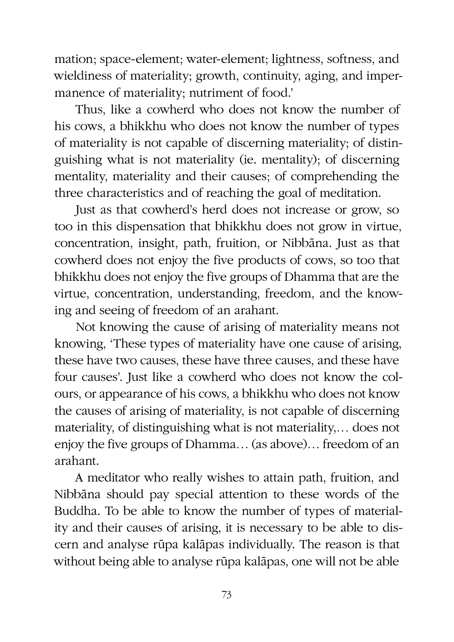mation; space-element; water-element; lightness, softness, and wieldiness of materiality; growth, continuity, aging, and impermanence of materiality; nutriment of food.'

Thus, like a cowherd who does not know the number of his cows, a bhikkhu who does not know the number of types of materiality is not capable of discerning materiality; of distinguishing what is not materiality (ie. mentality); of discerning mentality, materiality and their causes; of comprehending the three characteristics and of reaching the goal of meditation.

Just as that cowherd's herd does not increase or grow, so<br>too in this dispensation that bhikkhu does not grow in virtue,<br>concentration, insight, path, fruition, or Nibbāna. Just as that<br>cowherd does not enjoy the five prod ing and seeing of freedom of an arahant.

Not knowing the cause of arising of materiality means not<br>knowing, 'These types of materiality have one cause of arising,<br>these have two causes, these have three causes, and these have<br>four causes'. Just like a cowherd who ours, or appearance of his cows, a bhikkhu who does not know<br>the causes of arising of materiality, is not capable of discerning<br>materiality, of distinguishing what is not materiality,... does not<br>enjoy the five groups of D

A meditator who really wishes to attain path, fruition, and Nibbàna should pay special attention to these words of the Buddha. To be able to know the number of types of materiality and their causes of arising, it is necessary to be able to discern and analyse råpa kalàpas individually. The reason is that without being able to analyse råpa kalàpas, one will not be able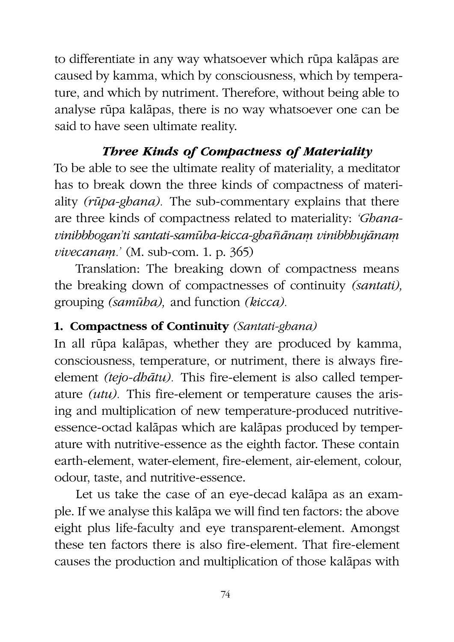to differentiate in any way whatsoever which rūpa kalāpas are caused by kamma, which by consciousness, which by temperature, and which by nutriment. Therefore, without being able to analyse rūpa kalāpas, there is no way whatsoever one can be said to have seen ultimate reality.

## *Three Kinds of Compactness of Materiality*

To be able to see the ultimate reality of materiality, a meditator has to break down the three kinds of compactness of materiality *(råpa-ghana).* The sub-commentary explains that there are three kinds of compactness related to materiality: *'Ghana vinibbhogan'ti santati-samūha-kicca-ghañānaṃ vinibbhujānaṃ*<br>*vivecanaṃ.'* (M. sub-com. 1. p. 365)

Translation: The breaking down of compactness means the breaking down of compactnesses of continuity *(santati)*, grouping *(samåha),* and function *(kicca).*

## **1. Compactness of Continuity** *(Santati-ghana)*

In all råpa kalàpas, whether they are produced by kamma, consciousness, temperature, or nutriment, there is always fire element *(tejo-dhàtu).* This fire-element is also called temperature *(utu).* This fire-element or temperature causes the arising and multiplication of new temperature-produced nutritive essence-octad kalàpas which are kalàpas produced by temperature with nutritive-essence as the eighth factor. These contain earth-element, water-element, fire-element, air-element, colour, odour, taste, and nutritive-essence.

Let us take the case of an eye-decad kalàpa as an example. If we analyse this kalapa we will find ten factors: the above<br>eight plus life-faculty and eye transparent-element. Amongst<br>these ten factors there is also fire-element. That fire-element<br>causes the production and mult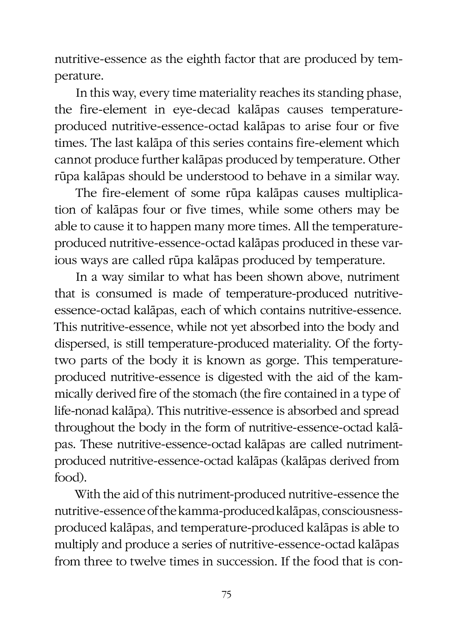nutritive-essence as the eighth factor that are produced by temperature.

In this way, every time materiality reaches its standing phase, the fire-element in eye-decad kalàpas causes temperature produced nutritive-essence-octad kalāpas to arise four or five<br>times. The last kalāpa of this series contains fire-element which<br>cannot produce further kalāpas produced by temperature. Other<br>rūpa kalāpas should be understo

The fire-element of some rūpa kalāpas causes multiplication of kalàpas four or five times, while some others may be able to cause it to happen many more times. All the temperature produced nutritive-essence-octad kalàpas produced in these various ways are called rūpa kalāpas produced by temperature.

In a way similar to what has been shown above, nutriment that is consumed is made of temperature-produced nutritive essence-octad kalàpas, each of which contains nutritive-essence. This nutritive-essence, while not yet absorbed into the body and dispersed, is still temperature-produced materiality. Of the forty two parts of the body it is known as gorge. This temperature produced nutritive-essence is digested with the aid of the kammically derived fire of the stomach (the fire contained in a type of life-nonad kalàpa). This nutritive-essence is absorbed and spread throughout the body in the form of nutritive-essence-octad kalàpas. These nutritive-essence-octad kalàpas are called nutriment produced nutritive-essence-octad kalàpas (kalàpas derived from food).

With the aid of this nutriment-produced nutritive-essence the nutritive-essence of the kamma-produced kalàpas, consciousness produced kalàpas, and temperature-produced kalàpas is able to multiply and produce a series of nutritive-essence-octad kalàpas from three to twelve times in succession. If the food that is con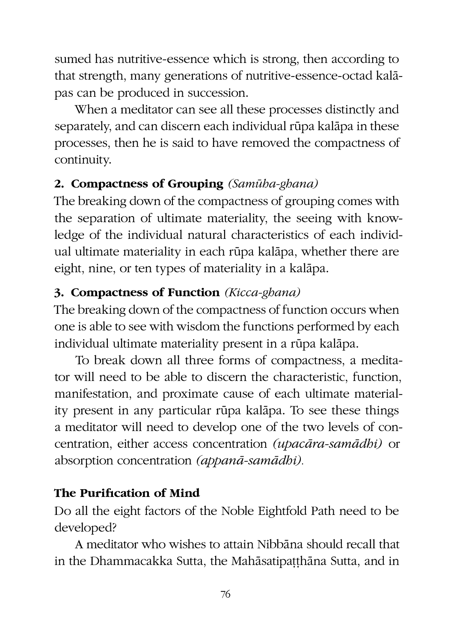sumed has nutritive-essence which is strong, then according to that strength, many generations of nutritive-essence-octad kalàpas can be produced in succession.

When a meditator can see all these processes distinctly and separately, and can discern each individual råpa kalàpa in these processes, then he is said to have removed the compactness of continuity.

## **2. Compactness of Grouping** *(Samåha-ghana)*

The breaking down of the compactness of grouping comes with the separation of ultimate materiality, the seeing with knowledge of the individual natural characteristics of each individual ultimate materiality in each rūpa kalāpa, whether there are eight, nine, or ten types of materiality in a kalāpa.

## **3. Compactness of Function** *(Kicca-ghana)*

The breaking down of the compactness of function occurs when one is able to see with wisdom the functions performed by each individual ultimate materiality present in a råpa kalàpa.

To break down all three forms of compactness, a meditator will need to be able to discern the characteristic, function, manifestation, and proximate cause of each ultimate materiality present in any particular råpa kalàpa. To see these things a meditator will need to develop one of the two levels of concentration, either access concentration *(upacàra-samàdhi)* or absorption concentration *(appanà-samàdhi).*

## **The Purification of Mind**

Do all the eight factors of the Noble Eightfold Path need to be developed?

A meditator who wishes to attain Nibbāna should recall that in the Dhammacakka Sutta, the Mahāsatipaṭṭhāna Sutta, and in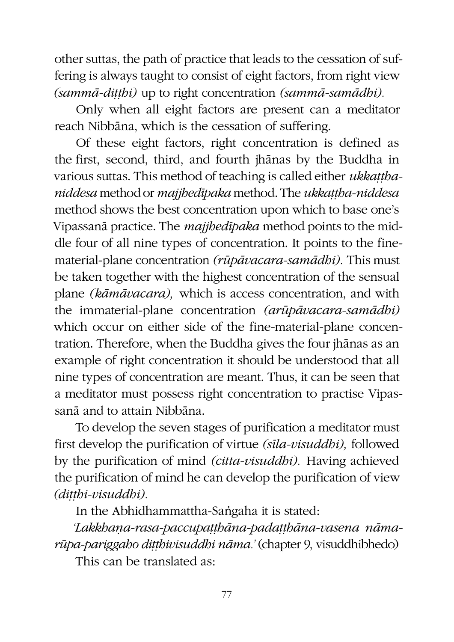other suttas, the path of practice that leads to the cessation of suffering is always taught to consist of eight factors, from right view *(sammā-ditthi)* up to right concentration *(sammā-samādhi)*.

Only when all eight factors are present can a meditator reach Nibbàna, which is the cessation of suffering.

Of these eight factors, right concentration is defined as the first, second, third, and fourth jhānas by the Buddha in various suttas. This method of teaching is called either *ukkaṭthaniddesa* method or *majjhedãpaka* method. The *ukkaññha-niddesa* method shows the best concentration upon which to base one's Vipassanà practice. The *majjhedãpaka* method points to the middle four of all nine types of concentration. It points to the fine material-plane concentration (*rūpāvacara-samādhi*). This must<br>be taken together with the highest concentration of the sensual<br>plane (*kāmāvacara*), which is access concentration, and with<br>the immaterial-plane concentratio which occur on either side of the fine-material-plane concentration. Therefore, when the Buddha gives the four jhanas as an example of right concentration it should be understood that all nine types of concentration are meant. Thus, it can be seen that a meditator must possess righ sanà and to attain Nibbàna.

To develop the seven stages of purification a meditator must<br>first develop the purification of virtue *(sila-visuddbi)*, followed<br>by the purification of mind *(citta-visuddbi)*. Having achieved<br>the purification of mind he  $(dithi-visuddbi).$ 

In the Abhidhammattha-Saṅgaha it is stated:

*'Lakkhaõa-rasa-paccupaññhàna-padaññhàna-vasena nàma* rūpa-pariggaho dițibivisuddhi nāma.' (chapter 9, visuddhibhedo) This can be translated as: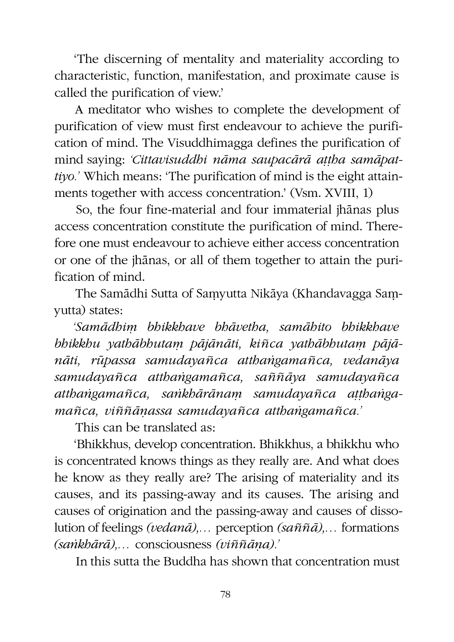'The discerning of mentality and materiality according to characteristic, function, manifestation, and proximate cause is called the purification of view.'

A meditator who wishes to complete the development of purification of view must first endeavour to achieve the purification of mind. The Visuddhimagga defines the purification of mind saying: '*Cittavisuddhi nāma saupacārā aṭṭha samāpattiyo.'* Which means: 'The purification of mind is the eight attainments together with access concentration.' (Vsm. XVIII, 1)

So, the four fine-material and four immaterial jhànas plus access concentration constitute the purification of mind. Therefore one must endeavour to achieve either access concentration or one of the jhànas, or all of them together to attain the purification of mind.

The Samādhi Sutta of Samyutta Nikāya (Khandavagga Samyutta) states:

*'Samàdhiü bhikkhave bhàvetha, samàhito bhikkhave bhikkhu yathàbhutaü pàjànàti, ki¤ca yathàbhutaü pàjà nàti, råpassa samudaya¤ca atthaïgama¤ca, vedanàya samudaya¤ca atthaïgama¤ca, sa¤¤àya samudaya¤ca atthaïgama¤ca, saïkhàrànaü samudaya¤ca aññhaïga ma¤ca, vi¤¤àõassa samudaya¤ca atthaïgama¤ca.'*

This can be translated as:

'Bhikkhus, develop concentration. Bhikkhus, a bhikkhu who<br>is concentrated knows things as they really are. And what does<br>he know as they really are? The arising of materiality and its<br>causes, and its passing-away and its c lution of feelings *(vedanā),...* perception *(saññā),...* formations *(saïkhàrà),…* consciousness *(vi¤¤àõa).'*

In this sutta the Buddha has shown that concentration must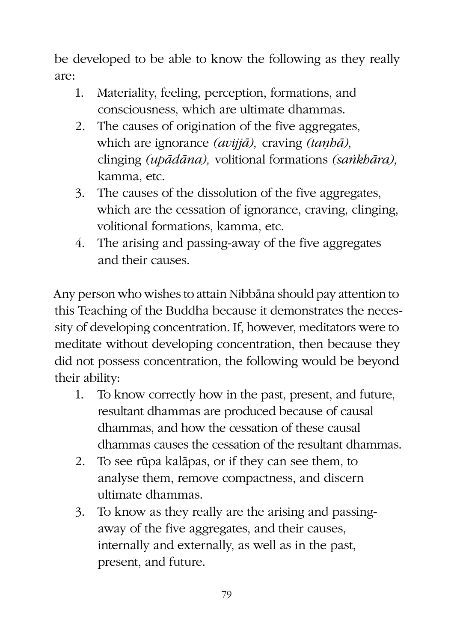be developed to be able to know the following as they really are:<br>2. Materiality, feeling, perception, formations, and consciousness, which are ultimate dhammas.

- 
- 2. The causes of origination of the five aggregates, which are ignorance *(avijjā)*, craving *(taṇbā)*, clinging *(upàdàna),* volitional formations *(saïkhàra),* kamma, etc.
- 3. The causes of the dissolution of the five aggregates, which are the cessation of ignorance, craving, clinging, volitional formations, kamma, etc.
- 4. The arising and passing-away of the five aggregates and their causes.

Any person who wishes to attain Nibbàna should pay attention to this Teaching of the Buddha because it demonstrates the necessity of developing concentration. If, however, meditators were to meditate without developing concentration, then because they did not possess concentration, the following would be beyond their ability:

- 1. To know correctly how in the past, present, and future, resultant dhammas are produced because of causal dhammas, and how the cessation of these causal dhammas causes the cessation of the resultant dhammas.
- 2. To see råpa kalàpas, or if they can see them, to analyse them, remove compactness, and discern ultimate dhammas.
- 3. To know as they really are the arising and passing away of the five aggregates, and their causes, internally and externally, as well as in the past, present, and future.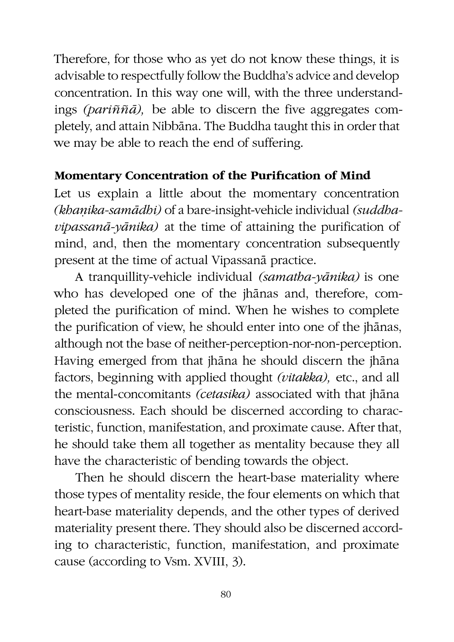Therefore, for those who as yet do not know these things, it is advisable to respectfully follow the Buddha's advice and develop concentration. In this way one will, with the three understandings *(pariññā)*, be able to discern the five aggregates completely, and attain Nibbàna. The Buddha taught this in order that we may be able to reach the end of suffering.

#### **Momentary Concentration of the Purification of Mind**

Let us explain a little about the momentary concentration *(khanika-samādhi)* of a bare-insight-vehicle individual *(suddhavipassanà-yànika)* at the time of attaining the purification of mind, and, then the momentary concentration subsequently present at the time of actual Vipassanà practice.

A tranquillity-vehicle individual *(samatha-yànika)* is one who has developed one of the jhànas and, therefore, completed the purification of mind. When he wishes to complete<br>the purification of view, he should enter into one of the jhanas,<br>although not the base of neither-perception-nor-non-perception.<br>Having emerged from that jhana h teristic, function, manifestation, and proximate cause. After that, he should take them all together as mentality because they all have the characteristic of bending towards the object.

Then he should discern the heart-base materiality where<br>those types of mentality reside, the four elements on which that<br>heart-base materiality depends, and the other types of derived<br>materiality present there. They should ing to characteristic, function, manifestation, and proximate cause (according to Vsm. XVIII, 3).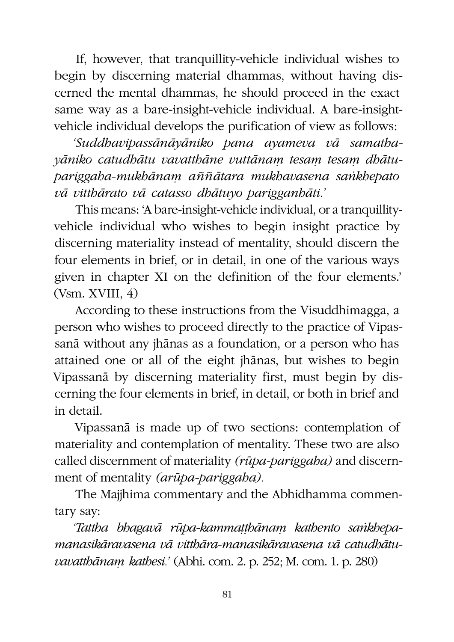If, however, that tranquillity-vehicle individual wishes to begin by discerning material dhammas, without having discerned the mental dhammas, he should proceed in the exact same way as a bare-insight-vehicle individual. A bare-insight vehicle individual develops the purification of view as follows:

*'Suddhavipassànàyàniko pana ayameva và samatha* vāniko catudhātu vavatthāne vuttānam tesam tesam dhātu*pariggaha-mukhànaü a¤¤àtara mukhavasena saïkhepato và vitthàrato và catasso dhàtuyo parigganhàti.'*

This means: 'A bare-insight-vehicle individual, or a tranquillity vehicle individual who wishes to begin insight practice by discerning materiality instead of mentality, should discern the four elements in brief, or in detail, in one of the various ways given in chapter XI on the defini

According to these instructions from the Visuddhimagga, a person who wishes to proceed directly to the practice of Vipassanà without any jhànas as a foundation, or a person who has attained one or all of the eight jhànas, but wishes to begin Vipassanà by discerning materiality first, must begin by discerning the four elements in brief, in detail, or both in brief and in detail.

Vipassanà is made up of two sections: contemplation of materiality and contemplation of mentality. These two are also called discernment of materiality *(råpa-pariggaha)* and discern ment of mentality *(aråpa-pariggaha).*

The Majjhima commentary and the Abhidhamma commentary say:

'Tattha bhagavā rūpa-kammatthānam kathento sankhepa*manasikàravasena và vitthàra-manasikàravasena và catudhàtu vavatthānam kathesi.'* (Abhi. com. 2. p. 252; M. com. 1. p. 280)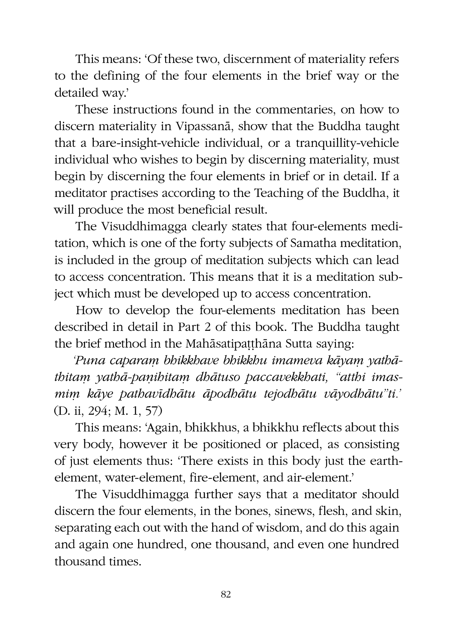This means: 'Of these two, discernment of materiality refers to the defining of the four elements in the brief way or the detailed way.'

These instructions found in the commentaries, on how to discern materiality in Vipassanā, show that the Buddha taught that a bare-insight-vehicle individual, or a tranquillity-vehicle individual who wishes to begin by disc

The Visuddhimagga clearly states that four-elements meditation, which is one of the forty subjects of Samatha meditation, is included in the group of meditation subjects which can lead to access concentration. This means that it is a meditation subject which must be developed up to access concentration.

How to develop the four-elements meditation has been described in detail in Part 2 of this book. The Buddha taught the brief method in the Mahāsatipaṭṭhāna Sutta saying:

'Puna caparam bhikkhave bhikkhu imameva kāyam yathāthitam yathā-paṇihitam dhātuso paccavekkhati, "atthi imas*miü kàye pathavãdhàtu àpodhàtu tejodhàtu vàyodhàtu"ti.'* (D. ii, 294; M. 1, 57)

This means: 'Again, bhikkhus, a bhikkhu reflects about this very body, however it be positioned or placed, as consisting of just elements thus: 'There exists in this body just the earth element, water-element, fire-element, and air-element.'

The Visuddhimagga further says that a meditator should<br>discern the four elements, in the bones, sinews, flesh, and skin,<br>separating each out with the hand of wisdom, and do this again<br>and again one hundred, one thousand, a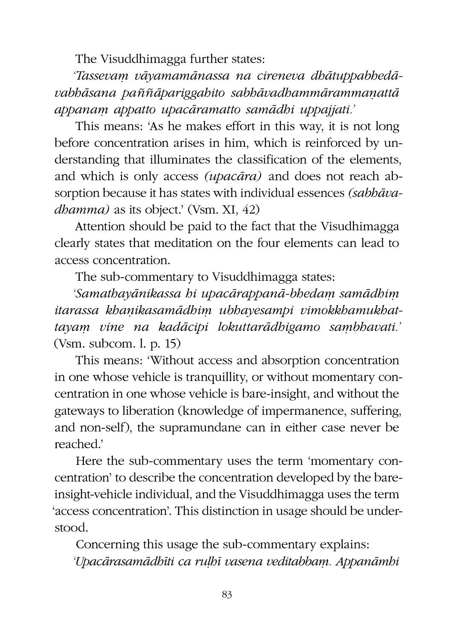The Visuddhimagga further states:

*'Tassevaü vàyamamànassa na cireneva dhàtuppabhedà vabhàsana pa¤¤àpariggahito sabhàvadhammàrammaõattà appanaü appatto upacàramatto samàdhi uppajjati.'*

This means: 'As he makes effort in this way, it is not long before concentration arises in him, which is reinforced by understanding that illuminates the classification of the elements, and which is only access *(upacàra)* and does not reach absorption because it has states with individual essences *(sabhàva dhamma)* as its object.' (Vsm. XI, 42)

Attention should be paid to the fact that the Visudhimagga clearly states that meditation on the four elements can lead to access concentration.

The sub-commentary to Visuddhimagga states:

'Samathayānikassa hi upacārappanā-bhedam samādhim<br>itarassa khaṇikasamādhiṃ ubhayesampi vimokkhamukhattayam vine na kadācipi lokuttarādhigamo sambhavati.' (Vsm. subcom. l. p. 15)

This means: 'Without access and absorption concentration in one whose vehicle is tranquillity, or without momentary concentration in one whose vehicle is bare-insight, and without the gateways to liberation (knowledge of impermanence, suffering, and non-self), the supramundane can in either case never be reached.'

Here the sub-commentary uses the term 'momentary concentration' to describe the concentration developed by the bareinsight-vehicle individual, and the Visuddhimagga uses the term 'access concentration'. This distinction in usage should be understood.

Concerning this usage the sub-commentary explains: 'Upacārasamādhīti ca rulhī vasena veditabbam. Appanāmhi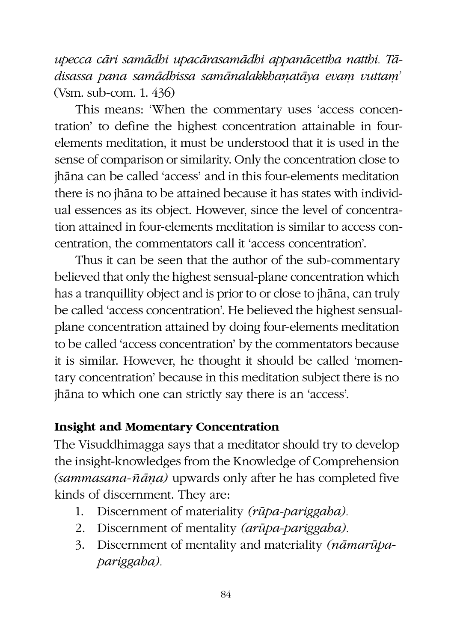*upecca càri samàdhi upacàrasamàdhi appanàcettha natthi. Tà* disassa pana samādhissa samānalakkhanatāya evam vuttam<sup>'</sup> (Vsm. sub-com. 1. 436)

This means: 'When the commentary uses 'access concentration' to define the highest concentration attainable in four elements meditation, it must be understood that it is used in the sense of comparison or similarity. Only the concentration close to jhana can be called 'access' and in this four-elements meditation there is no jhana to be ual essences as its object. However, since the level of concentration attained in four-elements meditation is similar to access concentration, the commentators call it 'access concentration'.

Thus it can be seen that the author of the sub-commentary<br>believed that only the highest sensual-plane concentration which<br>has a tranquillity object and is prior to or close to jhāna, can truly<br>be called 'access concentrat plane concentration attained by doing four-elements meditation to be called 'access concentration' by the commentators because it is similar. However, he thought it should be called 'momentary concentration' because in this meditation subject there is no jhàna to which one can strictly say there is an 'access'.

## **Insight and Momentary Concentration**

The Visuddhimagga says that a meditator should try to develop the insight-knowledges from the Knowledge of Comprehension *(sammasana-¤àõa)* upwards only after he has completed five kinds of discernment. They are:

- 1. Discernment of materiality *(råpa-pariggaha).*
- 2. Discernment of mentality *(aråpa-pariggaha).*
- 3. Discernment of mentality and materiality *(nàmaråpapariggaha).*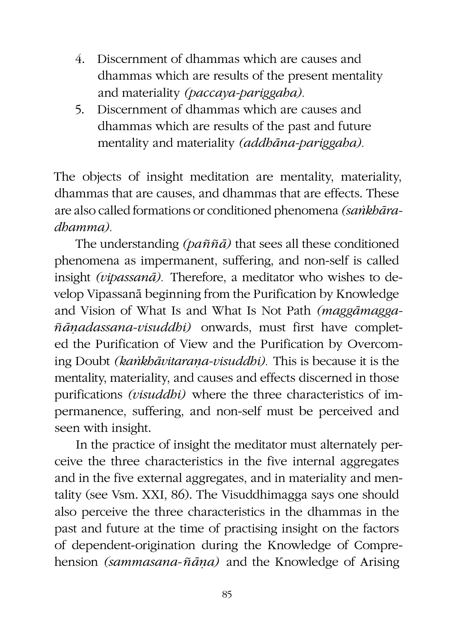- 4. Discernment of dhammas which are causes and dhammas which are results of the present mentality and materiality *(paccaya-pariggaha).*
- 5. Discernment of dhammas which are causes and dhammas which are results of the past and future mentality and materiality *(addhàna-pariggaha).*

The objects of insight meditation are mentality, materiality, dhammas that are causes, and dhammas that are effects. These are also called formations or conditioned phenomena *(saïkhàra dhamma).*

The understanding *(paññā)* that sees all these conditioned phenomena as impermanent, suffering, and non-self is called insight *(vipassanā)*. Therefore, a meditator who wishes to develop Vipassanà beginning from the Purification by Knowledge and Vision of What Is and What Is Not Path *(maggàmagga- ¤àõadassana-visuddhi)* onwards, must first have completed the Purification of View and the Purification by Overcoming Doubt *(kanikhāvitaraṇa-visuddhi)*. This is because it is the mentality, materiality, and causes and effects discerned in those purifications *(visuddhi)* where the three characteristics of impermanence, suffering, and non-self must be perceived and seen with insight.

In the practice of insight the meditator must alternately perceive the three characteristics in the five internal aggregates and in the five external aggregates, and in materiality and mentality (see Vsm. XXI, 86). The Visuddhimagga says one should<br>also perceive the three characteristics in the dhammas in the<br>past and future at the time of practising insight on the factors<br>of dependent-origination during th hension *(sammasana-ñāna)* and the Knowledge of Arising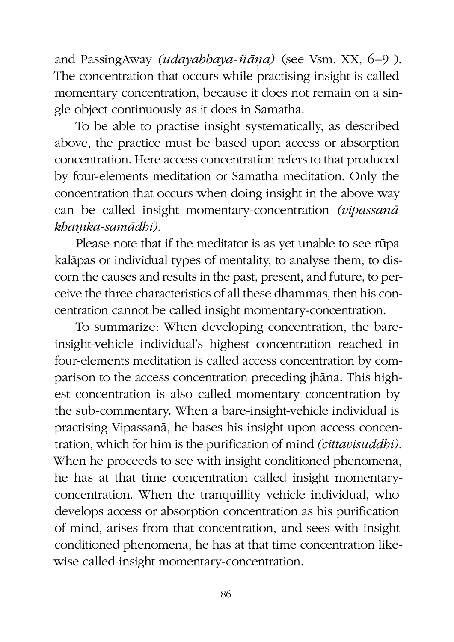and PassingAway *(udayabbaya-ñāṇa)* (see Vsm. XX, 6–9).<br>The concentration that occurs while practising insight is called momentary concentration, because it does not remain on a single object continuously as it does in Samatha.

To be able to practise insight systematically, as described<br>above, the practice must be based upon access or absorption<br>concentration. Here access concentration refers to that produced<br>by four-elements meditation or Samath *khaõika-samàdhi).*

Please note that if the meditator is as yet unable to see rūpa<br>kalāpas or individual types of mentality, to analyse them, to discorn the causes and results in the past, present, and future, to perceive the three characteristics of all these dhammas, then his concentration cannot be called insight momentary-concentration.

To summarize: When developing concentration, the bare insight-vehicle individual's highest concentration reached in four-elements meditation is called access concentration by comparison to the access concentration preceding jhàna. This highest concentration is also called momentary concentration by the sub-commentary. When a bare-insight-vehicle individual is practising Vipassanà, he bases his insight upon access concentration, which for him is the purification of mind *(cittavisuddhi).* When he proceeds to see with insight conditioned phenomena, he has at that time concentration called insight momentary concentration. When the tranquillity vehicle individual, who develops access or absorption concentration as his purification of mind, arises from that concentration, and sees with insight conditioned phenomena, he has at t wise called insight momentary-concentration.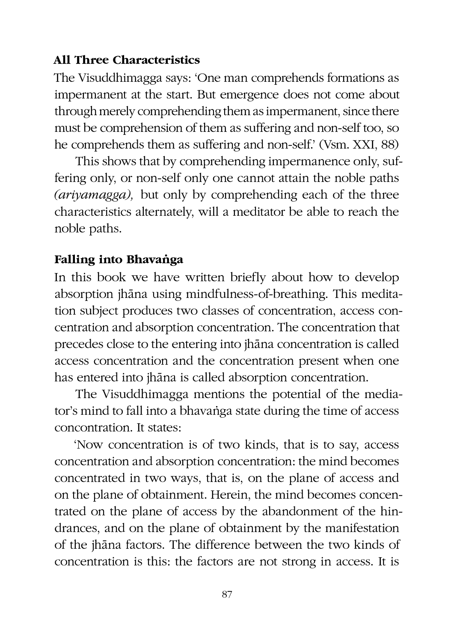#### **All Three Characteristics**

The Visuddhimagga says: 'One man comprehends formations as<br>impermanent at the start. But emergence does not come about<br>through merely comprehending them as impermanent, since there<br>must be comprehension of them as sufferin

This shows that by comprehending impermanence only, suffering only, or non-self only one cannot attain the noble paths *(ariyamagga),* but only by comprehending each of the three characteristics alternately, will a meditator be able to reach the noble paths.

#### **Falling into Bhavanga**

In this book we have written briefly about how to develop absorption jhàna using mindfulness-of-breathing. This meditation subject produces two classes of concentration, access concentration and absorption concentration. The concentration that<br>precedes close to the entering into jhana concentration is called<br>access concentration and the concentration present when one<br>has entered into jhana is called

The Visuddhimagga mentions the potential of the mediator's mind to fall into a bhavanga state during the time of access concontration. It states:

'Now concentration is of two kinds, that is to say, access<br>concentration and absorption concentration: the mind becomes<br>concentrated in two ways, that is, on the plane of access and<br>on the plane of obtainment. Herein, the trated on the plane of access by the abandonment of the hindrances, and on the plane of obtainment by the manifestation of the jhàna factors. The difference between the two kinds of concentration is this: the factors are not strong in access. It is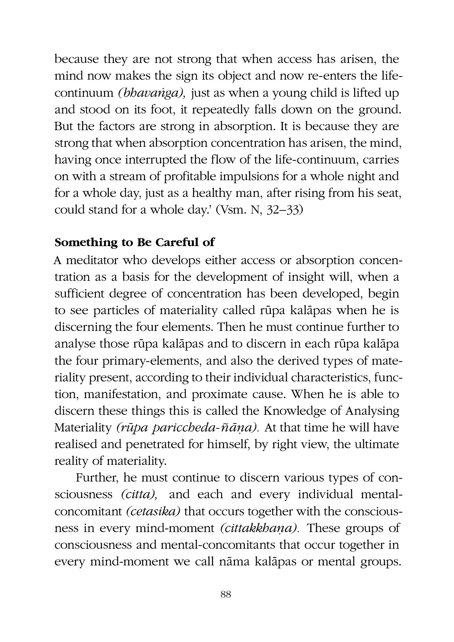because they are not strong that when access has arisen, the mind now makes the sign its object and now re-enters the life continuum *(bhavanga)*, just as when a young child is lifted up<br>and stood on its foot, it repeatedly falls down on the ground.<br>But the factors are strong in absorption. It is because they are<br>strong that when absorption c

#### **Something to Be Careful of**

A meditator who develops either access or absorption concentration as a basis for the development of insight will, when a<br>sufficient degree of concentration has been developed, begin<br>to see particles of materiality called rūpa kalāpas when he is<br>discerning the four elements. Then riality present, according to their individual characteristics, function, manifestation, and proximate cause. When he is able to discern these things this is called the Knowledge of Analysing Materiality ( $r\bar{u}pa\ pariccheda$ - $\tilde{n}\bar{a}na$ ). At that time he will have realised and penetrated for

Further, he must continue to discern various types of consciousness *(citta),* and each and every individual mental concomitant *(cetasika)* that occurs together with the consciousness in every mind-moment *(cittakkhaṇa)*. These groups of consciousness and mental-concomitants that occur together in every mind-moment we call nāma kalāpas or mental groups.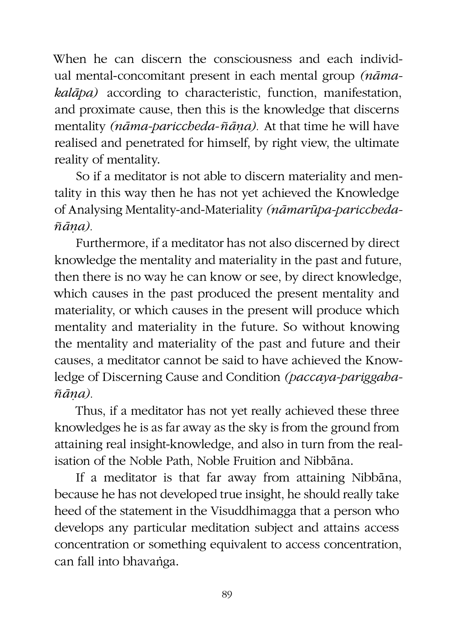When he can discern the consciousness and each individual mental-concomitant present in each mental group *(nàma kalāpa*) according to characteristic, function, manifestation, and proximate cause, then this is the knowledge that discerns mentality ( $n\bar{a}ma-pariccheda$ - $\tilde{n}\bar{a}na$ ). At that time he will have realised and penetrated for h

So if a meditator is not able to discern materiality and mentality in this way then he has not yet achieved the Knowledge of Analysing Mentality-and-Materiality *(nàmaråpa-pariccheda-*  $\tilde{n}$ *āna*).

Furthermore, if a meditator has not also discerned by direct<br>knowledge the mentality and materiality in the past and future,<br>then there is no way he can know or see, by direct knowledge,<br>which causes in the past produced t ledge of Discerning Cause and Condition *(paccaya-pariggaha-*  $\tilde{n}$ *āna*).

Thus, if a meditator has not yet really achieved these three knowledges he is as far away as the sky is from the ground from attaining real insight-knowledge, and also in turn from the realisation of the Noble Path, Noble Fruition and Nibbàna.

If a meditator is that far away from attaining Nibbāna,<br>because he has not developed true insight, he should really take<br>heed of the statement in the Visuddhimagga that a person who<br>develops any particular meditation subje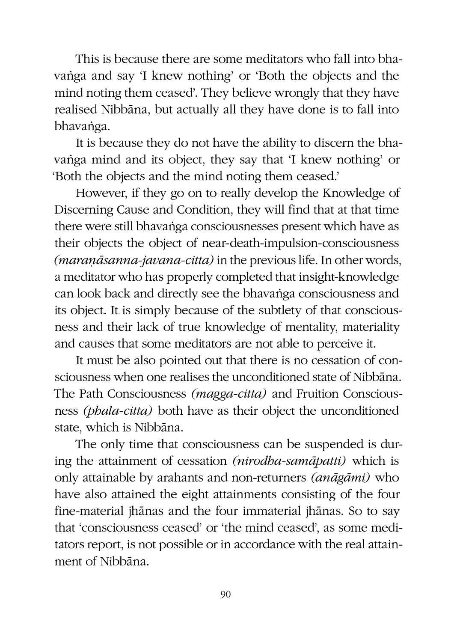This is because there are some meditators who fall into bhavaniga and say 'I knew nothing' or 'Both the objects and the mind noting them ceased'. They believe wrongly that they have realised Nibbāna, but actually all they have done is to fall into bhavaniga.

It is because they do not have the ability to discern the bhavaniga mind and its object, they say that 'I knew nothing' or 'Both the objects and the mind noting them ceased.'

However, if they go on to really develop the Knowledge of<br>Discerning Cause and Condition, they will find that at that time<br>there were still bhavanga consciousnesses present which have as<br>their objects the object of near-de (maraņāsanna-javana-citta) in the previous life. In other words, a meditator who has properly completed that insight-knowledge can look back and directly see the bhavanga consciousness and its object. It is simply because ness and their lack of true knowledge of mentality, materiality and causes that some meditators are not able to perceive it.

It must be also pointed out that there is no cessation of consciousness when one realises the unconditioned state of Nibbàna. The Path Consciousness *(magga-citta)* and Fruition Consciousness *(phala-citta)* both have as their object the unconditioned state, which is Nibbàna.

The only time that consciousness can be suspended is during the attainment of cessation *(nirodba-samāpatti)* which is<br>only attainable by arahants and non-returners *(anāgāmi)* who<br>have also attained the eight attainments consisting of the four<br>fine-material jhānas and the four tators report, is not possible or in accordance with the real attainment of Nibbàna.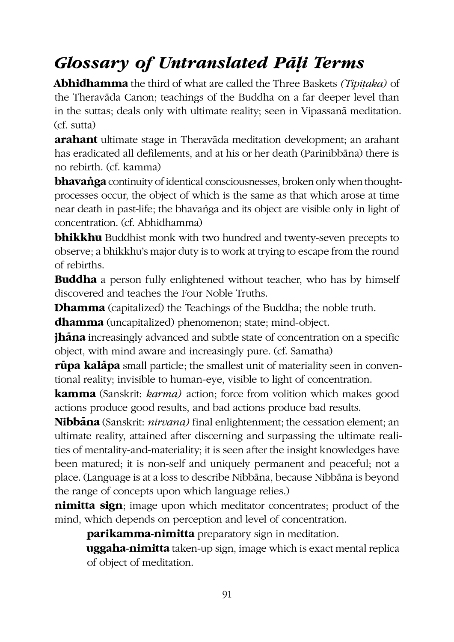## *Glossary of Untranslated Pàëi Terms*

**Abhidhamma** the third of what are called the Three Baskets (*Tipițaka*) of the Theravāda Canon; teachings of the Buddha on a far deeper level than in the suttas; deals only with ultimate reality; seen in Vipassanā meditat

**arahant** ultimate stage in Theravàda meditation development; an arahant has eradicated all defilements, and at his or her death (Parinibbàna) there is no rebirth. (cf. kamma)

**bhavanga** continuity of identical consciousnesses, broken only when thoughtprocesses occur, the object of which is the same as that which arose at time near death in past-life; the bhavaïga and its object are visible only in light of concentration. (cf. Abhidhamma)

**bhikkhu** Buddhist monk with two hundred and twenty-seven precepts to observe; a bhikkhu's major duty is to work at trying to escape from the round of rebirths.

**Buddha** a person fully enlightened without teacher, who has by himself discovered and teaches the Four Noble Truths.

**Dhamma** (capitalized) the Teachings of the Buddha; the noble truth.

**dhamma** (uncapitalized) phenomenon; state; mind-object.

**jhāna** increasingly advanced and subtle state of concentration on a specific object, with mind aware and increasingly pure. (cf. Samatha)

**råpa kalàpa** small particle; the smallest unit of materiality seen in conventional reality; invisible to human-eye, visible to light of concentration.

**kamma** (Sanskrit: *karma)* action; force from volition which makes good actions produce good results, and bad actions produce bad results.

**Nibbàna** (Sanskrit: *nirvana)* final enlightenment; the cessation element; an ultimate reality, attained after discerning and surpassing the ultimate realities of mentality-and-materiality; it is seen after the insight knowledges have<br>been matured; it is non-self and uniquely permanent and peaceful; not a<br>place. (Language is at a loss to describe Nibbāna, because Nibbāna is

**nimitta sign**; image upon which meditator concentrates; product of the mind, which depends on perception and level of concentration.

**parikamma-nimitta** preparatory sign in meditation.

**uggaha-nimitta** taken-up sign, image which is exact mental replica of object of meditation.